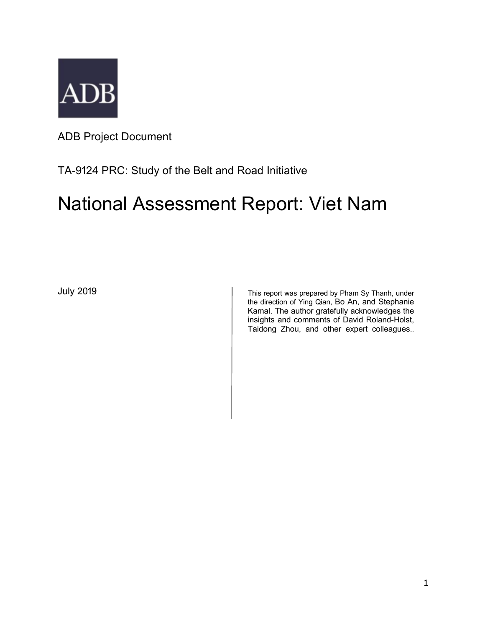

ADB Project Document

# TA-9124 PRC: Study of the Belt and Road Initiative

# National Assessment Report: Viet Nam

July 2019 **July 2019** This report was prepared by Pham Sy Thanh, under the direction of Ying Qian, Bo An, and Stephanie Kamal. The author gratefully acknowledges the insights and comments of David Roland-Holst, Taidong Zhou, and other expert colleagues..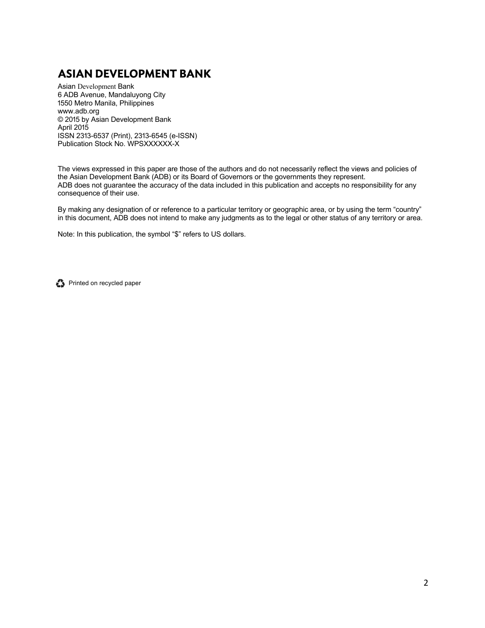# **ASIAN DEVELOPMENT BANK**

Asian Development Bank 6 ADB Avenue, Mandaluyong City 1550 Metro Manila, Philippines www.adb.org © 2015 by Asian Development Bank April 2015 ISSN 2313-6537 (Print), 2313-6545 (e-ISSN) Publication Stock No. WPSXXXXXX-X

The views expressed in this paper are those of the authors and do not necessarily reflect the views and policies of the Asian Development Bank (ADB) or its Board of Governors or the governments they represent. ADB does not guarantee the accuracy of the data included in this publication and accepts no responsibility for any consequence of their use.

By making any designation of or reference to a particular territory or geographic area, or by using the term "country" in this document, ADB does not intend to make any judgments as to the legal or other status of any territory or area.

Note: In this publication, the symbol "\$" refers to US dollars.

Printed on recycled paper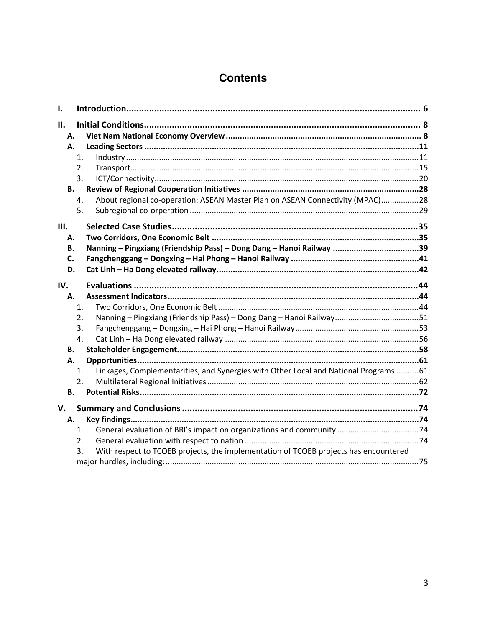# **Contents**

| I.       |                |                                                                                       |  |
|----------|----------------|---------------------------------------------------------------------------------------|--|
| П.       |                |                                                                                       |  |
| А.       |                |                                                                                       |  |
| Α.       |                |                                                                                       |  |
|          | 1.             |                                                                                       |  |
|          | 2.             |                                                                                       |  |
|          | 3.             |                                                                                       |  |
| В.       |                |                                                                                       |  |
|          | 4.             | About regional co-operation: ASEAN Master Plan on ASEAN Connectivity (MPAC)28         |  |
|          | 5.             |                                                                                       |  |
| Ш.       |                |                                                                                       |  |
| А.       |                |                                                                                       |  |
| В.       |                | Nanning - Pingxiang (Friendship Pass) - Dong Dang - Hanoi Railway 39                  |  |
| C.       |                |                                                                                       |  |
| D.       |                |                                                                                       |  |
|          |                |                                                                                       |  |
| IV.      |                |                                                                                       |  |
| А.       |                |                                                                                       |  |
|          | $\mathbf{1}$ . |                                                                                       |  |
|          | 2.             | Nanning - Pingxiang (Friendship Pass) - Dong Dang - Hanoi Railway51                   |  |
|          | 3.             |                                                                                       |  |
|          | 4.             |                                                                                       |  |
| В.<br>Α. |                |                                                                                       |  |
|          | 1.             | Linkages, Complementarities, and Synergies with Other Local and National Programs  61 |  |
|          | 2.             |                                                                                       |  |
| В.       |                |                                                                                       |  |
|          |                |                                                                                       |  |
| V.       |                |                                                                                       |  |
| А.       |                |                                                                                       |  |
|          | $\mathbf{1}$ . |                                                                                       |  |
|          | 2.             |                                                                                       |  |
|          | 3.             | With respect to TCOEB projects, the implementation of TCOEB projects has encountered  |  |
|          |                |                                                                                       |  |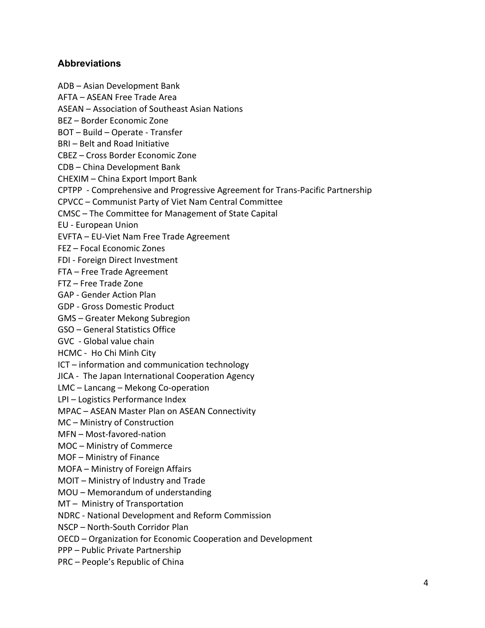#### **Abbreviations**

ADB – Asian Development Bank AFTA – ASEAN Free Trade Area ASEAN – Association of Southeast Asian Nations BEZ – Border Economic Zone BOT – Build – Operate - Transfer BRI – Belt and Road Initiative CBEZ – Cross Border Economic Zone CDB – China Development Bank CHEXIM – China Export Import Bank CPTPP - Comprehensive and Progressive Agreement for Trans-Pacific Partnership CPVCC – Communist Party of Viet Nam Central Committee CMSC – The Committee for Management of State Capital EU - European Union EVFTA – EU-Viet Nam Free Trade Agreement FEZ – Focal Economic Zones FDI - Foreign Direct Investment FTA – Free Trade Agreement FTZ – Free Trade Zone GAP - Gender Action Plan GDP - Gross Domestic Product GMS – Greater Mekong Subregion GSO – General Statistics Office GVC - Global value chain HCMC - Ho Chi Minh City ICT – information and communication technology JICA - The Japan International Cooperation Agency LMC – Lancang – Mekong Co-operation LPI – Logistics Performance Index MPAC – ASEAN Master Plan on ASEAN Connectivity MC – Ministry of Construction MFN – Most-favored-nation MOC – Ministry of Commerce MOF – Ministry of Finance MOFA – Ministry of Foreign Affairs MOIT – Ministry of Industry and Trade MOU – Memorandum of understanding MT – Ministry of Transportation NDRC - National Development and Reform Commission NSCP – North-South Corridor Plan OECD – Organization for Economic Cooperation and Development

PPP – Public Private Partnership

PRC – People's Republic of China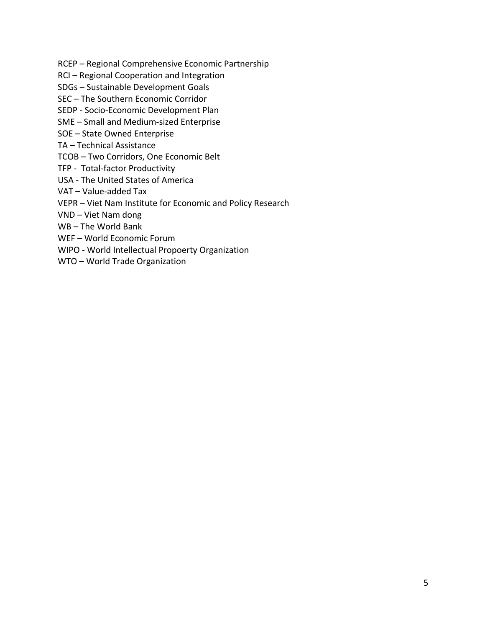- RCEP Regional Comprehensive Economic Partnership
- RCI Regional Cooperation and Integration
- SDGs Sustainable Development Goals
- SEC The Southern Economic Corridor
- SEDP Socio-Economic Development Plan
- SME Small and Medium-sized Enterprise
- SOE State Owned Enterprise
- TA Technical Assistance
- TCOB Two Corridors, One Economic Belt
- TFP Total-factor Productivity
- USA The United States of America
- VAT Value-added Tax
- VEPR Viet Nam Institute for Economic and Policy Research
- VND Viet Nam dong
- WB The World Bank
- WEF World Economic Forum
- WIPO World Intellectual Propoerty Organization
- WTO World Trade Organization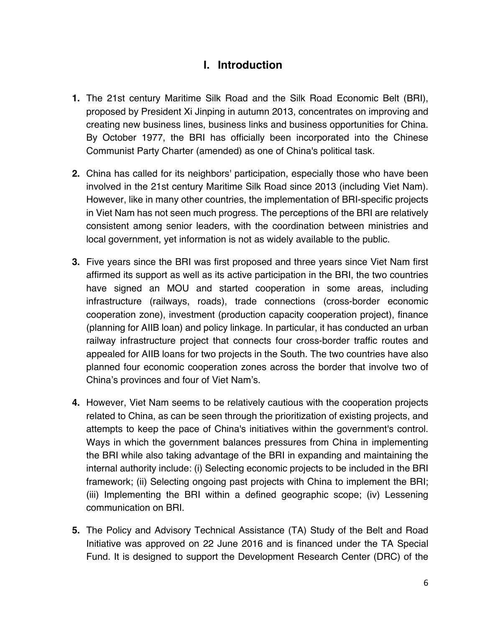# **I. Introduction**

- **1.** The 21st century Maritime Silk Road and the Silk Road Economic Belt (BRI), proposed by President Xi Jinping in autumn 2013, concentrates on improving and creating new business lines, business links and business opportunities for China. By October 1977, the BRI has officially been incorporated into the Chinese Communist Party Charter (amended) as one of China's political task.
- **2.** China has called for its neighbors' participation, especially those who have been involved in the 21st century Maritime Silk Road since 2013 (including Viet Nam). However, like in many other countries, the implementation of BRI-specific projects in Viet Nam has not seen much progress. The perceptions of the BRI are relatively consistent among senior leaders, with the coordination between ministries and local government, yet information is not as widely available to the public.
- **3.** Five years since the BRI was first proposed and three years since Viet Nam first affirmed its support as well as its active participation in the BRI, the two countries have signed an MOU and started cooperation in some areas, including infrastructure (railways, roads), trade connections (cross-border economic cooperation zone), investment (production capacity cooperation project), finance (planning for AIIB loan) and policy linkage. In particular, it has conducted an urban railway infrastructure project that connects four cross-border traffic routes and appealed for AIIB loans for two projects in the South. The two countries have also planned four economic cooperation zones across the border that involve two of China's provinces and four of Viet Nam's.
- **4.** However, Viet Nam seems to be relatively cautious with the cooperation projects related to China, as can be seen through the prioritization of existing projects, and attempts to keep the pace of China's initiatives within the government's control. Ways in which the government balances pressures from China in implementing the BRI while also taking advantage of the BRI in expanding and maintaining the internal authority include: (i) Selecting economic projects to be included in the BRI framework; (ii) Selecting ongoing past projects with China to implement the BRI; (iii) Implementing the BRI within a defined geographic scope; (iv) Lessening communication on BRI.
- **5.** The Policy and Advisory Technical Assistance (TA) Study of the Belt and Road Initiative was approved on 22 June 2016 and is financed under the TA Special Fund. It is designed to support the Development Research Center (DRC) of the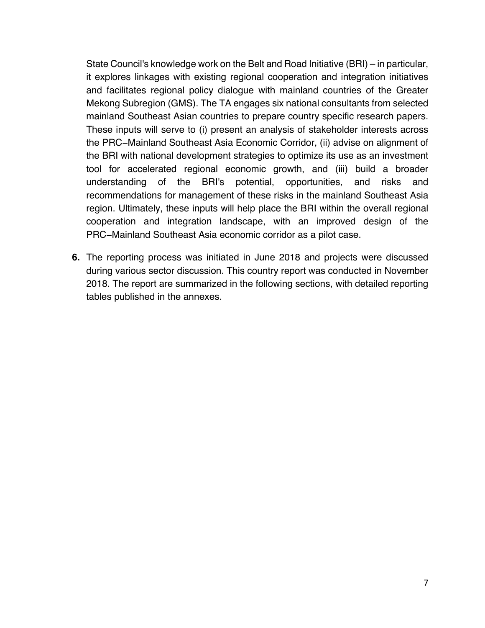State Council's knowledge work on the Belt and Road Initiative (BRI) – in particular, it explores linkages with existing regional cooperation and integration initiatives and facilitates regional policy dialogue with mainland countries of the Greater Mekong Subregion (GMS). The TA engages six national consultants from selected mainland Southeast Asian countries to prepare country specific research papers. These inputs will serve to (i) present an analysis of stakeholder interests across the PRC−Mainland Southeast Asia Economic Corridor, (ii) advise on alignment of the BRI with national development strategies to optimize its use as an investment tool for accelerated regional economic growth, and (iii) build a broader understanding of the BRI's potential, opportunities, and risks and recommendations for management of these risks in the mainland Southeast Asia region. Ultimately, these inputs will help place the BRI within the overall regional cooperation and integration landscape, with an improved design of the PRC−Mainland Southeast Asia economic corridor as a pilot case.

**6.** The reporting process was initiated in June 2018 and projects were discussed during various sector discussion. This country report was conducted in November 2018. The report are summarized in the following sections, with detailed reporting tables published in the annexes.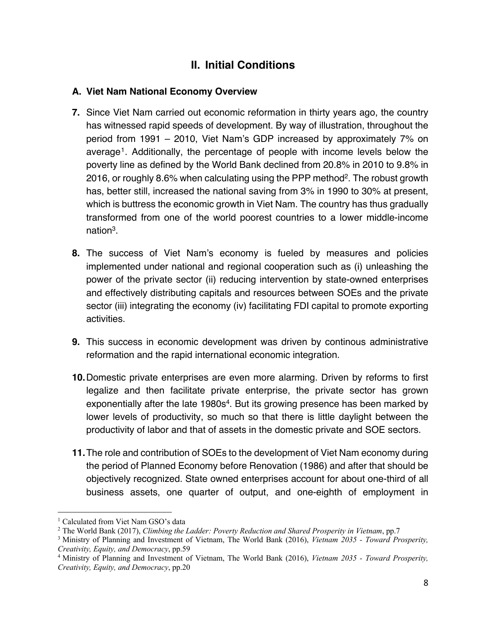# **II. Initial Conditions**

# **A. Viet Nam National Economy Overview**

- **7.** Since Viet Nam carried out economic reformation in thirty years ago, the country has witnessed rapid speeds of development. By way of illustration, throughout the period from 1991 – 2010, Viet Nam's GDP increased by approximately 7% on average1. Additionally, the percentage of people with income levels below the poverty line as defined by the World Bank declined from 20.8% in 2010 to 9.8% in 2016, or roughly 8.6% when calculating using the PPP method2. The robust growth has, better still, increased the national saving from 3% in 1990 to 30% at present, which is buttress the economic growth in Viet Nam. The country has thus gradually transformed from one of the world poorest countries to a lower middle-income nation3.
- **8.** The success of Viet Nam's economy is fueled by measures and policies implemented under national and regional cooperation such as (i) unleashing the power of the private sector (ii) reducing intervention by state-owned enterprises and effectively distributing capitals and resources between SOEs and the private sector (iii) integrating the economy (iv) facilitating FDI capital to promote exporting activities.
- **9.** This success in economic development was driven by continous administrative reformation and the rapid international economic integration.
- **10.**Domestic private enterprises are even more alarming. Driven by reforms to first legalize and then facilitate private enterprise, the private sector has grown exponentially after the late 1980s<sup>4</sup>. But its growing presence has been marked by lower levels of productivity, so much so that there is little daylight between the productivity of labor and that of assets in the domestic private and SOE sectors.
- **11.**The role and contribution of SOEs to the development of Viet Nam economy during the period of Planned Economy before Renovation (1986) and after that should be objectively recognized. State owned enterprises account for about one-third of all business assets, one quarter of output, and one-eighth of employment in

<sup>&</sup>lt;sup>1</sup> Calculated from Viet Nam GSO's data

<sup>2</sup> The World Bank (2017), *Climbing the Ladder: Poverty Reduction and Shared Prosperity in Vietnam*, pp.7

<sup>3</sup> Ministry of Planning and Investment of Vietnam, The World Bank (2016), *Vietnam 2035 - Toward Prosperity, Creativity, Equity, and Democracy*, pp.59

<sup>4</sup> Ministry of Planning and Investment of Vietnam, The World Bank (2016), *Vietnam 2035 - Toward Prosperity, Creativity, Equity, and Democracy*, pp.20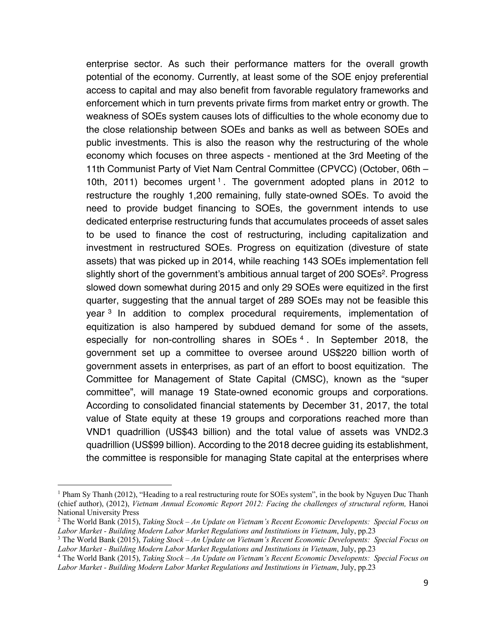enterprise sector. As such their performance matters for the overall growth potential of the economy. Currently, at least some of the SOE enjoy preferential access to capital and may also benefit from favorable regulatory frameworks and enforcement which in turn prevents private firms from market entry or growth. The weakness of SOEs system causes lots of difficulties to the whole economy due to the close relationship between SOEs and banks as well as between SOEs and public investments. This is also the reason why the restructuring of the whole economy which focuses on three aspects - mentioned at the 3rd Meeting of the 11th Communist Party of Viet Nam Central Committee (CPVCC) (October, 06th – 10th, 2011) becomes urgent<sup>1</sup>. The government adopted plans in 2012 to restructure the roughly 1,200 remaining, fully state-owned SOEs. To avoid the need to provide budget financing to SOEs, the government intends to use dedicated enterprise restructuring funds that accumulates proceeds of asset sales to be used to finance the cost of restructuring, including capitalization and investment in restructured SOEs. Progress on equitization (divesture of state assets) that was picked up in 2014, while reaching 143 SOEs implementation fell slightly short of the government's ambitious annual target of 200 SOEs<sup>2</sup>. Progress slowed down somewhat during 2015 and only 29 SOEs were equitized in the first quarter, suggesting that the annual target of 289 SOEs may not be feasible this year <sup>3</sup> In addition to complex procedural requirements, implementation of equitization is also hampered by subdued demand for some of the assets, especially for non-controlling shares in SOEs<sup>4</sup>. In September 2018, the government set up a committee to oversee around US\$220 billion worth of government assets in enterprises, as part of an effort to boost equitization. The Committee for Management of State Capital (CMSC), known as the "super committee", will manage 19 State-owned economic groups and corporations. According to consolidated financial statements by December 31, 2017, the total value of State equity at these 19 groups and corporations reached more than VND1 quadrillion (US\$43 billion) and the total value of assets was VND2.3 quadrillion (US\$99 billion). According to the 2018 decree guiding its establishment, the committee is responsible for managing State capital at the enterprises where

 $1$  Pham Sy Thanh (2012), "Heading to a real restructuring route for SOEs system", in the book by Nguyen Duc Thanh (chief author), (2012), *Vietnam Annual Economic Report 2012: Facing the challenges of structural reform*, Hanoi National University Press

<sup>2</sup> The World Bank (2015), *Taking Stock – An Update on Vietnam's Recent Economic Developents: Special Focus on*  Labor Market - Building Modern Labor Market Regulations and Institutions in Vietnam, July, pp.23<br><sup>3</sup> The World Bank (2015), *Taking Stock – An Update on Vietnam's Recent Economic Developents: Special Focus on* 

Labor Market - Building Modern Labor Market Regulations and Institutions in Vietnam, July, pp.23<br><sup>4</sup> The World Bank (2015), *Taking Stock – An Update on Vietnam's Recent Economic Developents: Special Focus on* 

*Labor Market - Building Modern Labor Market Regulations and Institutions in Vietnam*, July, pp.23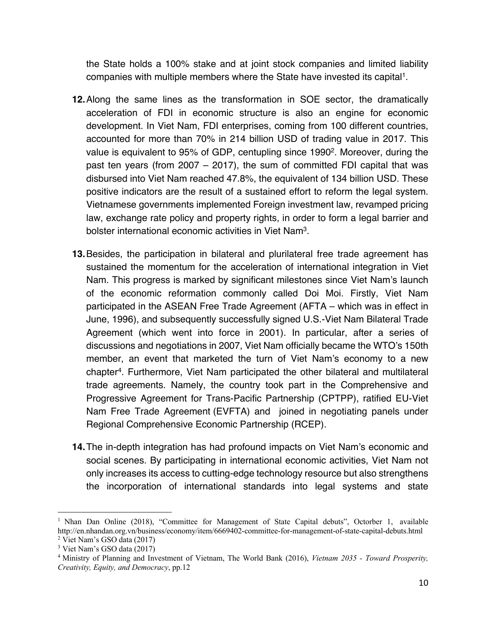the State holds a 100% stake and at joint stock companies and limited liability companies with multiple members where the State have invested its capital1.

- **12.**Along the same lines as the transformation in SOE sector, the dramatically acceleration of FDI in economic structure is also an engine for economic development. In Viet Nam, FDI enterprises, coming from 100 different countries, accounted for more than 70% in 214 billion USD of trading value in 2017. This value is equivalent to 95% of GDP, centupling since 19902. Moreover, during the past ten years (from 2007 – 2017), the sum of committed FDI capital that was disbursed into Viet Nam reached 47.8%, the equivalent of 134 billion USD. These positive indicators are the result of a sustained effort to reform the legal system. Vietnamese governments implemented Foreign investment law, revamped pricing law, exchange rate policy and property rights, in order to form a legal barrier and bolster international economic activities in Viet Nam3.
- **13.**Besides, the participation in bilateral and plurilateral free trade agreement has sustained the momentum for the acceleration of international integration in Viet Nam. This progress is marked by significant milestones since Viet Nam's launch of the economic reformation commonly called Doi Moi. Firstly, Viet Nam participated in the ASEAN Free Trade Agreement (AFTA – which was in effect in June, 1996), and subsequently successfully signed U.S.-Viet Nam Bilateral Trade Agreement (which went into force in 2001). In particular, after a series of discussions and negotiations in 2007, Viet Nam officially became the WTO's 150th member, an event that marketed the turn of Viet Nam's economy to a new chapter4. Furthermore, Viet Nam participated the other bilateral and multilateral trade agreements. Namely, the country took part in the Comprehensive and Progressive Agreement for Trans-Pacific Partnership (CPTPP), ratified EU-Viet Nam Free Trade Agreement (EVFTA) and joined in negotiating panels under Regional Comprehensive Economic Partnership (RCEP).
- **14.**The in-depth integration has had profound impacts on Viet Nam's economic and social scenes. By participating in international economic activities, Viet Nam not only increases its access to cutting-edge technology resource but also strengthens the incorporation of international standards into legal systems and state

<sup>&</sup>lt;sup>1</sup> Nhan Dan Online (2018), "Committee for Management of State Capital debuts", Octorber 1, available http://en.nhandan.org.vn/business/economy/item/6669402-committee-for-management-of-state-capital-debuts.html <sup>2</sup> Viet Nam's GSO data (2017)

<sup>3</sup> Viet Nam's GSO data (2017)

<sup>4</sup> Ministry of Planning and Investment of Vietnam, The World Bank (2016), *Vietnam 2035 - Toward Prosperity, Creativity, Equity, and Democracy*, pp.12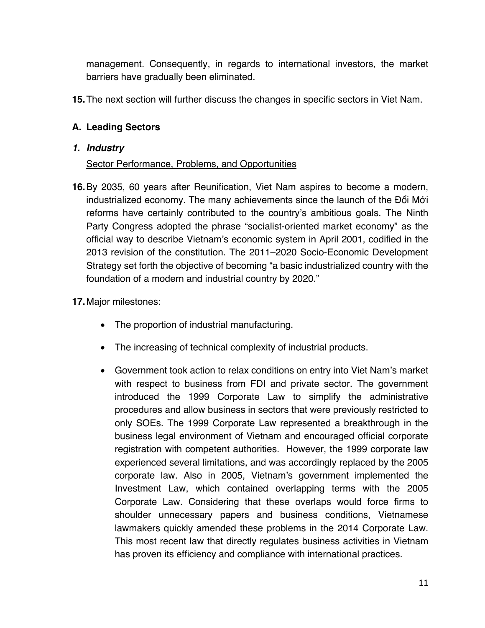management. Consequently, in regards to international investors, the market barriers have gradually been eliminated.

**15.**The next section will further discuss the changes in specific sectors in Viet Nam.

# **A. Leading Sectors**

## *1. Industry*

## Sector Performance, Problems, and Opportunities

**16.**By 2035, 60 years after Reunification, Viet Nam aspires to become a modern, industrialized economy. The many achievements since the launch of the Ðổi Mới reforms have certainly contributed to the country's ambitious goals. The Ninth Party Congress adopted the phrase "socialist-oriented market economy" as the official way to describe Vietnam's economic system in April 2001, codified in the 2013 revision of the constitution. The 2011–2020 Socio-Economic Development Strategy set forth the objective of becoming "a basic industrialized country with the foundation of a modern and industrial country by 2020."

# **17.**Major milestones:

- The proportion of industrial manufacturing.
- The increasing of technical complexity of industrial products.
- Government took action to relax conditions on entry into Viet Nam's market with respect to business from FDI and private sector. The government introduced the 1999 Corporate Law to simplify the administrative procedures and allow business in sectors that were previously restricted to only SOEs. The 1999 Corporate Law represented a breakthrough in the business legal environment of Vietnam and encouraged official corporate registration with competent authorities. However, the 1999 corporate law experienced several limitations, and was accordingly replaced by the 2005 corporate law. Also in 2005, Vietnam's government implemented the Investment Law, which contained overlapping terms with the 2005 Corporate Law. Considering that these overlaps would force firms to shoulder unnecessary papers and business conditions, Vietnamese lawmakers quickly amended these problems in the 2014 Corporate Law. This most recent law that directly regulates business activities in Vietnam has proven its efficiency and compliance with international practices.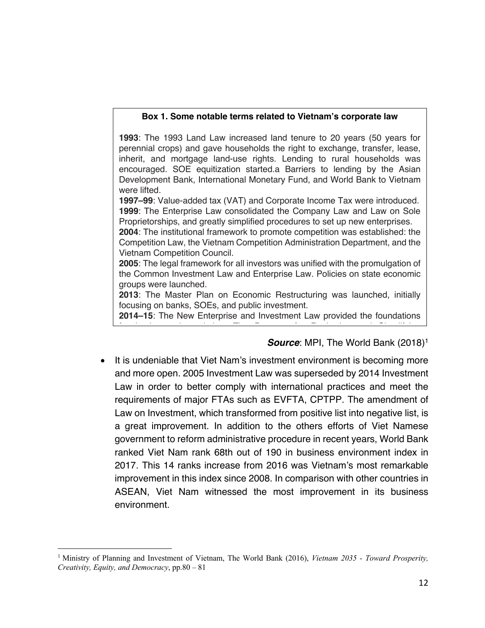#### **Box 1. Some notable terms related to Vietnam's corporate law**

**1993**: The 1993 Land Law increased land tenure to 20 years (50 years for perennial crops) and gave households the right to exchange, transfer, lease, inherit, and mortgage land-use rights. Lending to rural households was encouraged. SOE equitization started.a Barriers to lending by the Asian Development Bank, International Monetary Fund, and World Bank to Vietnam were lifted.

**1997–99**: Value-added tax (VAT) and Corporate Income Tax were introduced. **1999**: The Enterprise Law consolidated the Company Law and Law on Sole Proprietorships, and greatly simplified procedures to set up new enterprises.

**2004**: The institutional framework to promote competition was established: the Competition Law, the Vietnam Competition Administration Department, and the Vietnam Competition Council.

**2005**: The legal framework for all investors was unified with the promulgation of the Common Investment Law and Enterprise Law. Policies on state economic groups were launched.

**2013**: The Master Plan on Economic Restructuring was launched, initially focusing on banks, SOEs, and public investment.

**2014–15**: The New Enterprise and Investment Law provided the foundations for business deregulation. The Program for Reviewing and Simplifying

## **Source:** MPI, The World Bank (2018)<sup>1</sup>

• It is undeniable that Viet Nam's investment environment is becoming more and more open. 2005 Investment Law was superseded by 2014 Investment Law in order to better comply with international practices and meet the requirements of major FTAs such as EVFTA, CPTPP. The amendment of Law on Investment, which transformed from positive list into negative list, is a great improvement. In addition to the others efforts of Viet Namese government to reform administrative procedure in recent years, World Bank ranked Viet Nam rank 68th out of 190 in business environment index in 2017. This 14 ranks increase from 2016 was Vietnam's most remarkable improvement in this index since 2008. In comparison with other countries in ASEAN, Viet Nam witnessed the most improvement in its business environment.

<sup>1</sup> Ministry of Planning and Investment of Vietnam, The World Bank (2016), *Vietnam 2035 - Toward Prosperity, Creativity, Equity, and Democracy*, pp.80 – 81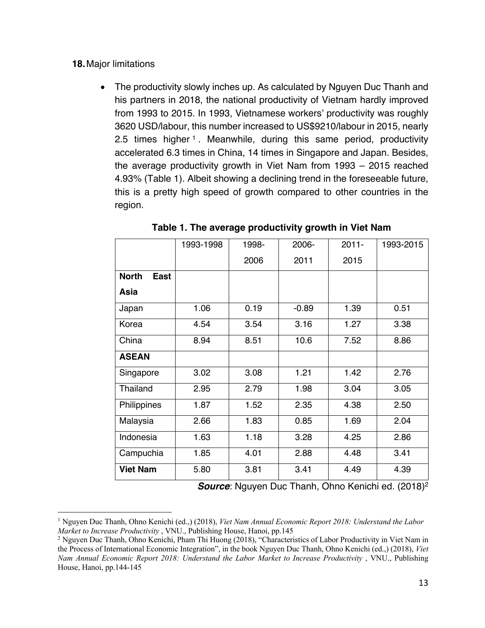#### **18.**Major limitations

• The productivity slowly inches up. As calculated by Nguyen Duc Thanh and his partners in 2018, the national productivity of Vietnam hardly improved from 1993 to 2015. In 1993, Vietnamese workers' productivity was roughly 3620 USD/labour, this number increased to US\$9210/labour in 2015, nearly 2.5 times higher<sup>1</sup>. Meanwhile, during this same period, productivity accelerated 6.3 times in China, 14 times in Singapore and Japan. Besides, the average productivity growth in Viet Nam from 1993 – 2015 reached 4.93% (Table 1). Albeit showing a declining trend in the foreseeable future, this is a pretty high speed of growth compared to other countries in the region.

|                      | 1993-1998 | 1998- | 2006-   | $2011 -$ | 1993-2015 |
|----------------------|-----------|-------|---------|----------|-----------|
|                      |           | 2006  | 2011    | 2015     |           |
| <b>North</b><br>East |           |       |         |          |           |
| Asia                 |           |       |         |          |           |
| Japan                | 1.06      | 0.19  | $-0.89$ | 1.39     | 0.51      |
| Korea                | 4.54      | 3.54  | 3.16    | 1.27     | 3.38      |
| China                | 8.94      | 8.51  | 10.6    | 7.52     | 8.86      |
| <b>ASEAN</b>         |           |       |         |          |           |
| Singapore            | 3.02      | 3.08  | 1.21    | 1.42     | 2.76      |
| <b>Thailand</b>      | 2.95      | 2.79  | 1.98    | 3.04     | 3.05      |
| Philippines          | 1.87      | 1.52  | 2.35    | 4.38     | 2.50      |
| Malaysia             | 2.66      | 1.83  | 0.85    | 1.69     | 2.04      |
| Indonesia            | 1.63      | 1.18  | 3.28    | 4.25     | 2.86      |
| Campuchia            | 1.85      | 4.01  | 2.88    | 4.48     | 3.41      |
| <b>Viet Nam</b>      | 5.80      | 3.81  | 3.41    | 4.49     | 4.39      |

**Table 1. The average productivity growth in Viet Nam**

*Source*: Nguyen Duc Thanh, Ohno Kenichi ed. (2018)2

<sup>1</sup> Nguyen Duc Thanh, Ohno Kenichi (ed.,) (2018), *Viet Nam Annual Economic Report 2018: Understand the Labor Market to Increase Productivity* , VNU., Publishing House, Hanoi, pp.145

<sup>2</sup> Nguyen Duc Thanh, Ohno Kenichi, Pham Thi Huong (2018), "Characteristics of Labor Productivity in Viet Nam in the Process of International Economic Integration", in the book Nguyen Duc Thanh, Ohno Kenichi (ed.,) (2018), *Viet Nam Annual Economic Report 2018: Understand the Labor Market to Increase Productivity* , VNU., Publishing House, Hanoi, pp.144-145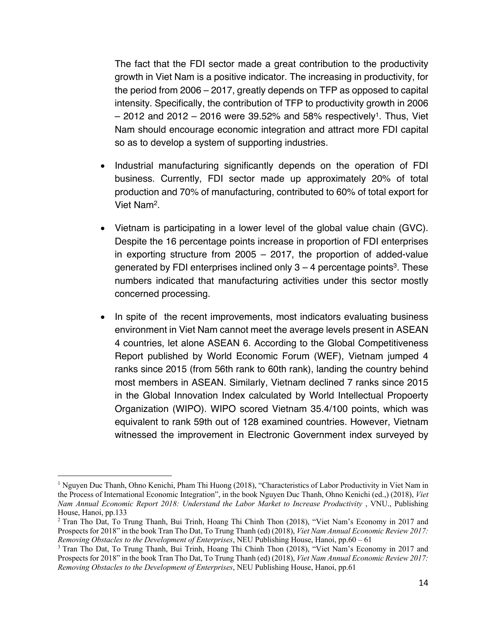The fact that the FDI sector made a great contribution to the productivity growth in Viet Nam is a positive indicator. The increasing in productivity, for the period from 2006 – 2017, greatly depends on TFP as opposed to capital intensity. Specifically, the contribution of TFP to productivity growth in 2006  $-$  2012 and 2012 – 2016 were 39.52% and 58% respectively<sup>1</sup>. Thus, Viet Nam should encourage economic integration and attract more FDI capital so as to develop a system of supporting industries.

- Industrial manufacturing significantly depends on the operation of FDI business. Currently, FDI sector made up approximately 20% of total production and 70% of manufacturing, contributed to 60% of total export for Viet Nam2.
- Vietnam is participating in a lower level of the global value chain (GVC). Despite the 16 percentage points increase in proportion of FDI enterprises in exporting structure from 2005 – 2017, the proportion of added-value generated by FDI enterprises inclined only  $3 - 4$  percentage points<sup>3</sup>. These numbers indicated that manufacturing activities under this sector mostly concerned processing.
- In spite of the recent improvements, most indicators evaluating business environment in Viet Nam cannot meet the average levels present in ASEAN 4 countries, let alone ASEAN 6. According to the Global Competitiveness Report published by World Economic Forum (WEF), Vietnam jumped 4 ranks since 2015 (from 56th rank to 60th rank), landing the country behind most members in ASEAN. Similarly, Vietnam declined 7 ranks since 2015 in the Global Innovation Index calculated by World Intellectual Propoerty Organization (WIPO). WIPO scored Vietnam 35.4/100 points, which was equivalent to rank 59th out of 128 examined countries. However, Vietnam witnessed the improvement in Electronic Government index surveyed by

<sup>&</sup>lt;sup>1</sup> Nguyen Duc Thanh, Ohno Kenichi, Pham Thi Huong (2018), "Characteristics of Labor Productivity in Viet Nam in the Process of International Economic Integration", in the book Nguyen Duc Thanh, Ohno Kenichi (ed.,) (2018), *Viet Nam Annual Economic Report 2018: Understand the Labor Market to Increase Productivity* , VNU., Publishing House, Hanoi, pp.133

<sup>2</sup> Tran Tho Dat, To Trung Thanh, Bui Trinh, Hoang Thi Chinh Thon (2018), "Viet Nam's Economy in 2017 and Prospects for 2018" in the book Tran Tho Dat, To Trung Thanh (ed) (2018), *Viet Nam Annual Economic Review 2017: Removing Obstacles to the Development of Enterprises*, NEU Publishing House, Hanoi, pp.60 – 61<br><sup>3</sup> Tran Tho Dat, To Trung Thanh, Bui Trinh, Hoang Thi Chinh Thon (2018), "Viet Nam's Economy in 2017 and

Prospects for 2018" in the book Tran Tho Dat, To Trung Thanh (ed) (2018), *Viet Nam Annual Economic Review 2017: Removing Obstacles to the Development of Enterprises*, NEU Publishing House, Hanoi, pp.61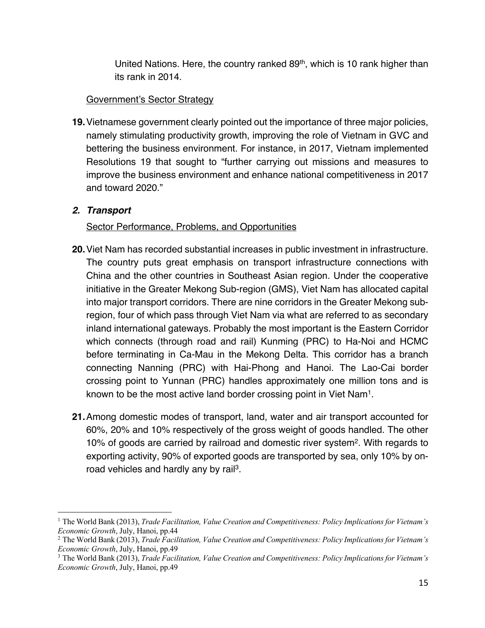United Nations. Here, the country ranked 89<sup>th</sup>, which is 10 rank higher than its rank in 2014.

## Government's Sector Strategy

**19.**Vietnamese government clearly pointed out the importance of three major policies, namely stimulating productivity growth, improving the role of Vietnam in GVC and bettering the business environment. For instance, in 2017, Vietnam implemented Resolutions 19 that sought to "further carrying out missions and measures to improve the business environment and enhance national competitiveness in 2017 and toward 2020."

## *2. Transport*

# Sector Performance, Problems, and Opportunities

- **20.**Viet Nam has recorded substantial increases in public investment in infrastructure. The country puts great emphasis on transport infrastructure connections with China and the other countries in Southeast Asian region. Under the cooperative initiative in the Greater Mekong Sub-region (GMS), Viet Nam has allocated capital into major transport corridors. There are nine corridors in the Greater Mekong subregion, four of which pass through Viet Nam via what are referred to as secondary inland international gateways. Probably the most important is the Eastern Corridor which connects (through road and rail) Kunming (PRC) to Ha-Noi and HCMC before terminating in Ca-Mau in the Mekong Delta. This corridor has a branch connecting Nanning (PRC) with Hai-Phong and Hanoi. The Lao-Cai border crossing point to Yunnan (PRC) handles approximately one million tons and is known to be the most active land border crossing point in Viet Nam1.
- **21.**Among domestic modes of transport, land, water and air transport accounted for 60%, 20% and 10% respectively of the gross weight of goods handled. The other 10% of goods are carried by railroad and domestic river system2. With regards to exporting activity, 90% of exported goods are transported by sea, only 10% by onroad vehicles and hardly any by rail<sup>3</sup>.

<sup>1</sup> The World Bank (2013), *Trade Facilitation, Value Creation and Competitiveness: Policy Implications for Vietnam's Economic Growth*, July, Hanoi, pp.44

<sup>2</sup> The World Bank (2013), *Trade Facilitation, Value Creation and Competitiveness: Policy Implications for Vietnam's Economic Growth*, July, Hanoi, pp.49

<sup>3</sup> The World Bank (2013), *Trade Facilitation, Value Creation and Competitiveness: Policy Implications for Vietnam's Economic Growth*, July, Hanoi, pp.49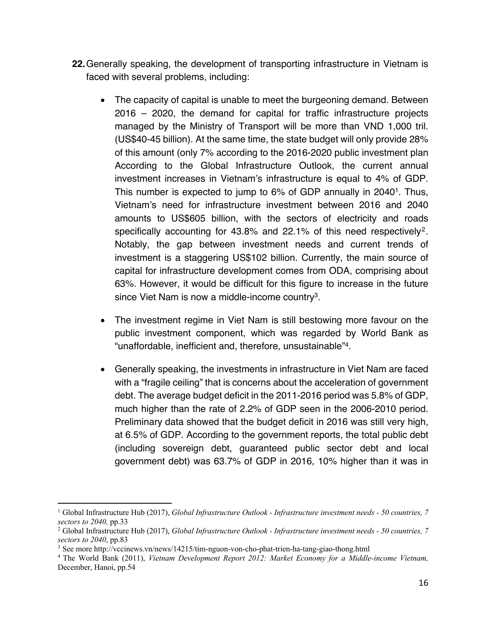- **22.**Generally speaking, the development of transporting infrastructure in Vietnam is faced with several problems, including:
	- The capacity of capital is unable to meet the burgeoning demand. Between 2016 – 2020, the demand for capital for traffic infrastructure projects managed by the Ministry of Transport will be more than VND 1,000 tril. (US\$40-45 billion). At the same time, the state budget will only provide 28% of this amount (only 7% according to the 2016-2020 public investment plan According to the Global Infrastructure Outlook, the current annual investment increases in Vietnam's infrastructure is equal to 4% of GDP. This number is expected to jump to 6% of GDP annually in 2040<sup>1</sup>. Thus, Vietnam's need for infrastructure investment between 2016 and 2040 amounts to US\$605 billion, with the sectors of electricity and roads specifically accounting for 43.8% and 22.1% of this need respectively<sup>2</sup>. Notably, the gap between investment needs and current trends of investment is a staggering US\$102 billion. Currently, the main source of capital for infrastructure development comes from ODA, comprising about 63%. However, it would be difficult for this figure to increase in the future since Viet Nam is now a middle-income country<sup>3</sup>.
	- The investment regime in Viet Nam is still bestowing more favour on the public investment component, which was regarded by World Bank as "unaffordable, inefficient and, therefore, unsustainable"4.
	- Generally speaking, the investments in infrastructure in Viet Nam are faced with a "fragile ceiling" that is concerns about the acceleration of government debt. The average budget deficit in the 2011-2016 period was 5.8% of GDP, much higher than the rate of 2.2% of GDP seen in the 2006-2010 period. Preliminary data showed that the budget deficit in 2016 was still very high, at 6.5% of GDP. According to the government reports, the total public debt (including sovereign debt, guaranteed public sector debt and local government debt) was 63.7% of GDP in 2016, 10% higher than it was in

<sup>1</sup> Global Infrastructure Hub (2017), *Global Infrastructure Outlook - Infrastructure investment needs - 50 countries, 7 sectors to 2040,* pp.33

<sup>2</sup> Global Infrastructure Hub (2017), *Global Infrastructure Outlook - Infrastructure investment needs - 50 countries, 7 sectors to 2040*, pp.83

<sup>&</sup>lt;sup>3</sup> See more http://vccinews.vn/news/14215/tim-nguon-von-cho-phat-trien-ha-tang-giao-thong.html

<sup>4</sup> The World Bank (2011), *Vietnam Development Report 2012: Market Economy for a Middle-income Vietnam,*  December, Hanoi, pp.54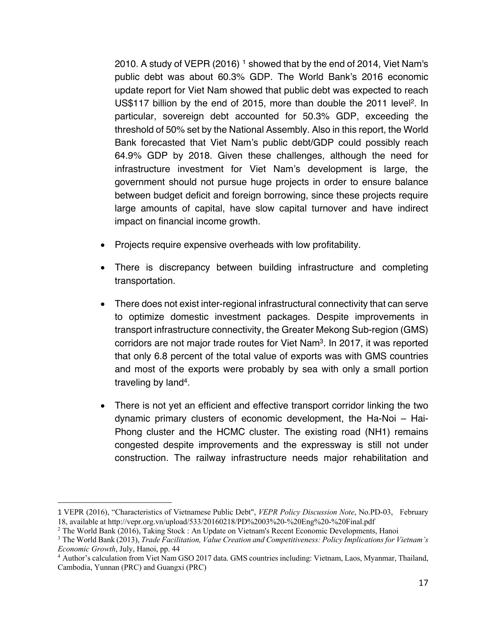2010. A study of VEPR  $(2016)$ <sup>1</sup> showed that by the end of 2014, Viet Nam's public debt was about 60.3% GDP. The World Bank's 2016 economic update report for Viet Nam showed that public debt was expected to reach US\$117 billion by the end of 2015, more than double the 2011 level<sup>2</sup>. In particular, sovereign debt accounted for 50.3% GDP, exceeding the threshold of 50% set by the National Assembly. Also in this report, the World Bank forecasted that Viet Nam's public debt/GDP could possibly reach 64.9% GDP by 2018. Given these challenges, although the need for infrastructure investment for Viet Nam's development is large, the government should not pursue huge projects in order to ensure balance between budget deficit and foreign borrowing, since these projects require large amounts of capital, have slow capital turnover and have indirect impact on financial income growth.

- Projects require expensive overheads with low profitability.
- There is discrepancy between building infrastructure and completing transportation.
- There does not exist inter-regional infrastructural connectivity that can serve to optimize domestic investment packages. Despite improvements in transport infrastructure connectivity, the Greater Mekong Sub-region (GMS) corridors are not major trade routes for Viet Nam<sup>3</sup>. In 2017, it was reported that only 6.8 percent of the total value of exports was with GMS countries and most of the exports were probably by sea with only a small portion traveling by land4.
- There is not yet an efficient and effective transport corridor linking the two dynamic primary clusters of economic development, the Ha-Noi – Hai-Phong cluster and the HCMC cluster. The existing road (NH1) remains congested despite improvements and the expressway is still not under construction. The railway infrastructure needs major rehabilitation and

<sup>1</sup> VEPR (2016), "Characteristics of Vietnamese Public Debt", *VEPR Policy Discussion Note*, No.PD-03, February 18, available at http://vepr.org.vn/upload/533/20160218/PD%2003%20-%20Eng%20-%20Final.pdf

<sup>2</sup> The World Bank (2016), Taking Stock : An Update on Vietnam's Recent Economic Developments, Hanoi

<sup>3</sup> The World Bank (2013), *Trade Facilitation, Value Creation and Competitiveness: Policy Implications for Vietnam's Economic Growth*, July, Hanoi, pp. 44

<sup>4</sup> Author's calculation from Viet Nam GSO 2017 data. GMS countries including: Vietnam, Laos, Myanmar, Thailand, Cambodia, Yunnan (PRC) and Guangxi (PRC)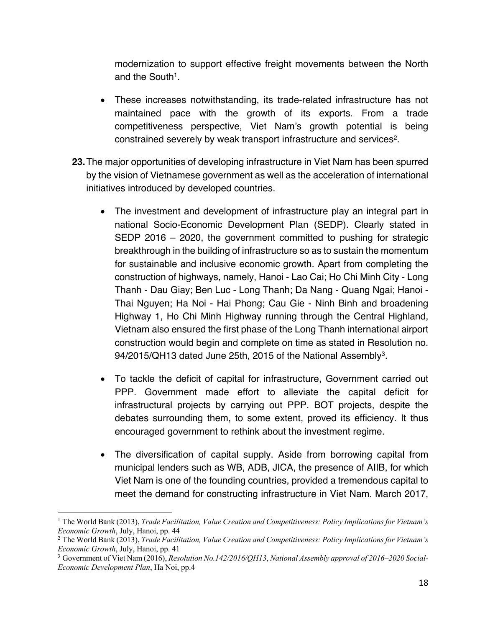modernization to support effective freight movements between the North and the South<sup>1</sup>.

- These increases notwithstanding, its trade-related infrastructure has not maintained pace with the growth of its exports. From a trade competitiveness perspective, Viet Nam's growth potential is being constrained severely by weak transport infrastructure and services<sup>2</sup>.
- **23.**The major opportunities of developing infrastructure in Viet Nam has been spurred by the vision of Vietnamese government as well as the acceleration of international initiatives introduced by developed countries.
	- The investment and development of infrastructure play an integral part in national Socio-Economic Development Plan (SEDP). Clearly stated in SEDP 2016 – 2020, the government committed to pushing for strategic breakthrough in the building of infrastructure so as to sustain the momentum for sustainable and inclusive economic growth. Apart from completing the construction of highways, namely, Hanoi - Lao Cai; Ho Chi Minh City - Long Thanh - Dau Giay; Ben Luc - Long Thanh; Da Nang - Quang Ngai; Hanoi - Thai Nguyen; Ha Noi - Hai Phong; Cau Gie - Ninh Binh and broadening Highway 1, Ho Chi Minh Highway running through the Central Highland, Vietnam also ensured the first phase of the Long Thanh international airport construction would begin and complete on time as stated in Resolution no. 94/2015/QH13 dated June 25th, 2015 of the National Assembly<sup>3</sup>.
	- To tackle the deficit of capital for infrastructure, Government carried out PPP. Government made effort to alleviate the capital deficit for infrastructural projects by carrying out PPP. BOT projects, despite the debates surrounding them, to some extent, proved its efficiency. It thus encouraged government to rethink about the investment regime.
	- The diversification of capital supply. Aside from borrowing capital from municipal lenders such as WB, ADB, JICA, the presence of AIIB, for which Viet Nam is one of the founding countries, provided a tremendous capital to meet the demand for constructing infrastructure in Viet Nam. March 2017,

<sup>1</sup> The World Bank (2013), *Trade Facilitation, Value Creation and Competitiveness: Policy Implications for Vietnam's Economic Growth*, July, Hanoi, pp. 44

<sup>2</sup> The World Bank (2013), *Trade Facilitation, Value Creation and Competitiveness: Policy Implications for Vietnam's Economic Growth*, July, Hanoi, pp. 41

<sup>3</sup> Government of Viet Nam (2016), *Resolution No.142/2016/QH13*, *National Assembly approval of 2016–2020 Social-Economic Development Plan*, Ha Noi, pp.4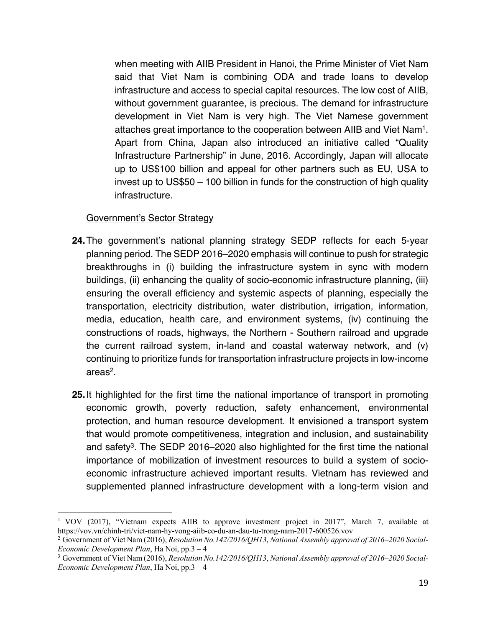when meeting with AIIB President in Hanoi, the Prime Minister of Viet Nam said that Viet Nam is combining ODA and trade loans to develop infrastructure and access to special capital resources. The low cost of AIIB, without government guarantee, is precious. The demand for infrastructure development in Viet Nam is very high. The Viet Namese government attaches great importance to the cooperation between AIIB and Viet Nam1. Apart from China, Japan also introduced an initiative called "Quality Infrastructure Partnership" in June, 2016. Accordingly, Japan will allocate up to US\$100 billion and appeal for other partners such as EU, USA to invest up to US\$50 – 100 billion in funds for the construction of high quality infrastructure.

#### Government's Sector Strategy

- **24.**The government's national planning strategy SEDP reflects for each 5-year planning period. The SEDP 2016–2020 emphasis will continue to push for strategic breakthroughs in (i) building the infrastructure system in sync with modern buildings, (ii) enhancing the quality of socio-economic infrastructure planning, (iii) ensuring the overall efficiency and systemic aspects of planning, especially the transportation, electricity distribution, water distribution, irrigation, information, media, education, health care, and environment systems, (iv) continuing the constructions of roads, highways, the Northern - Southern railroad and upgrade the current railroad system, in-land and coastal waterway network, and (v) continuing to prioritize funds for transportation infrastructure projects in low-income areas2.
- **25.**It highlighted for the first time the national importance of transport in promoting economic growth, poverty reduction, safety enhancement, environmental protection, and human resource development. It envisioned a transport system that would promote competitiveness, integration and inclusion, and sustainability and safety<sup>3</sup>. The SEDP 2016–2020 also highlighted for the first time the national importance of mobilization of investment resources to build a system of socioeconomic infrastructure achieved important results. Vietnam has reviewed and supplemented planned infrastructure development with a long-term vision and

<sup>&</sup>lt;sup>1</sup> VOV (2017), "Vietnam expects AIIB to approve investment project in 2017", March 7, available at https://vov.vn/chinh-tri/viet-nam-hy-vong-aiib-co-du-an-dau-tu-trong-nam-2017-600526.vov

<sup>2</sup> Government of Viet Nam (2016), *Resolution No.142/2016/QH13*, *National Assembly approval of 2016–2020 Social-Economic Development Plan*, Ha Noi, pp.3 – 4<br><sup>3</sup> Government of Viet Nam (2016), *Resolution No.142/2016/QH13*, *National Assembly approval of 2016–2020 Social-*

*Economic Development Plan*, Ha Noi, pp.3 – 4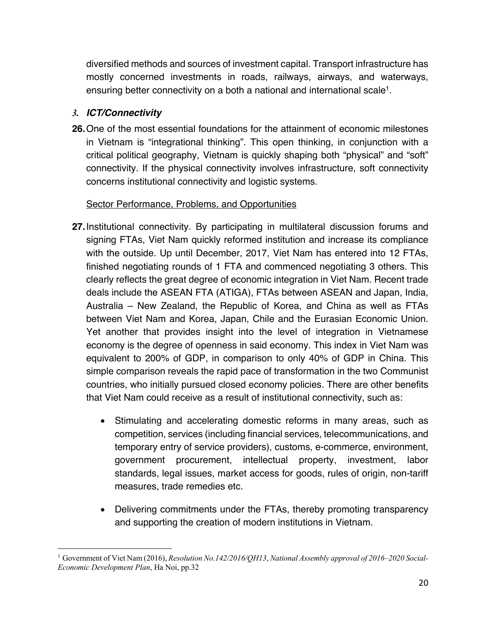diversified methods and sources of investment capital. Transport infrastructure has mostly concerned investments in roads, railways, airways, and waterways, ensuring better connectivity on a both a national and international scale<sup>1</sup>.

# *3. ICT/Connectivity*

**26.**One of the most essential foundations for the attainment of economic milestones in Vietnam is "integrational thinking". This open thinking, in conjunction with a critical political geography, Vietnam is quickly shaping both "physical" and "soft" connectivity. If the physical connectivity involves infrastructure, soft connectivity concerns institutional connectivity and logistic systems.

# Sector Performance, Problems, and Opportunities

- **27.**Institutional connectivity. By participating in multilateral discussion forums and signing FTAs, Viet Nam quickly reformed institution and increase its compliance with the outside. Up until December, 2017, Viet Nam has entered into 12 FTAs, finished negotiating rounds of 1 FTA and commenced negotiating 3 others. This clearly reflects the great degree of economic integration in Viet Nam. Recent trade deals include the ASEAN FTA (ATIGA), FTAs between ASEAN and Japan, India, Australia – New Zealand, the Republic of Korea, and China as well as FTAs between Viet Nam and Korea, Japan, Chile and the Eurasian Economic Union. Yet another that provides insight into the level of integration in Vietnamese economy is the degree of openness in said economy. This index in Viet Nam was equivalent to 200% of GDP, in comparison to only 40% of GDP in China. This simple comparison reveals the rapid pace of transformation in the two Communist countries, who initially pursued closed economy policies. There are other benefits that Viet Nam could receive as a result of institutional connectivity, such as:
	- Stimulating and accelerating domestic reforms in many areas, such as competition, services (including financial services, telecommunications, and temporary entry of service providers), customs, e-commerce, environment, government procurement, intellectual property, investment, labor standards, legal issues, market access for goods, rules of origin, non-tariff measures, trade remedies etc.
	- Delivering commitments under the FTAs, thereby promoting transparency and supporting the creation of modern institutions in Vietnam.

<sup>1</sup> Government of Viet Nam (2016), *Resolution No.142/2016/QH13*, *National Assembly approval of 2016–2020 Social-Economic Development Plan*, Ha Noi, pp.32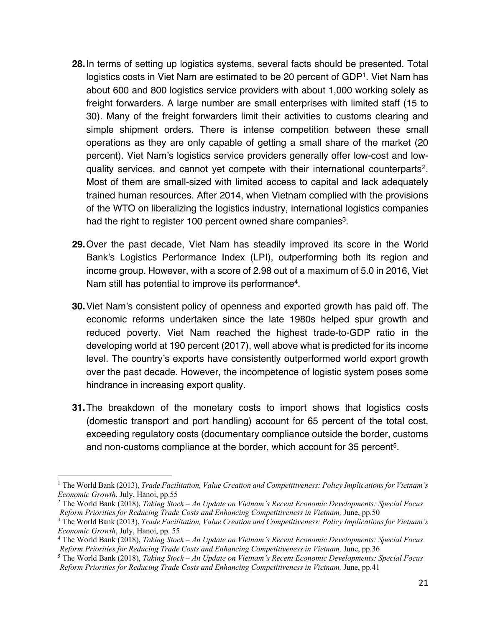- **28.**In terms of setting up logistics systems, several facts should be presented. Total logistics costs in Viet Nam are estimated to be 20 percent of GDP1. Viet Nam has about 600 and 800 logistics service providers with about 1,000 working solely as freight forwarders. A large number are small enterprises with limited staff (15 to 30). Many of the freight forwarders limit their activities to customs clearing and simple shipment orders. There is intense competition between these small operations as they are only capable of getting a small share of the market (20 percent). Viet Nam's logistics service providers generally offer low-cost and lowquality services, and cannot yet compete with their international counterparts<sup>2</sup>. Most of them are small-sized with limited access to capital and lack adequately trained human resources. After 2014, when Vietnam complied with the provisions of the WTO on liberalizing the logistics industry, international logistics companies had the right to register 100 percent owned share companies<sup>3</sup>.
- **29.**Over the past decade, Viet Nam has steadily improved its score in the World Bank's Logistics Performance Index (LPI), outperforming both its region and income group. However, with a score of 2.98 out of a maximum of 5.0 in 2016, Viet Nam still has potential to improve its performance4.
- **30.**Viet Nam's consistent policy of openness and exported growth has paid off. The economic reforms undertaken since the late 1980s helped spur growth and reduced poverty. Viet Nam reached the highest trade-to-GDP ratio in the developing world at 190 percent (2017), well above what is predicted for its income level. The country's exports have consistently outperformed world export growth over the past decade. However, the incompetence of logistic system poses some hindrance in increasing export quality.
- **31.**The breakdown of the monetary costs to import shows that logistics costs (domestic transport and port handling) account for 65 percent of the total cost, exceeding regulatory costs (documentary compliance outside the border, customs and non-customs compliance at the border, which account for 35 percent<sup>5</sup>.

<sup>1</sup> The World Bank (2013), *Trade Facilitation, Value Creation and Competitiveness: Policy Implications for Vietnam's Economic Growth*, July, Hanoi, pp.55

<sup>2</sup> The World Bank (2018), *Taking Stock – An Update on Vietnam's Recent Economic Developments: Special Focus*

Reform Priorities for Reducing Trade Costs and Enhancing Competitiveness in Vietnam, June, pp.50<br><sup>3</sup> The World Bank (2013), *Trade Facilitation, Value Creation and Competitiveness: Policy Implications for Vietnam's Economic Growth*, July, Hanoi, pp. 55

<sup>4</sup> The World Bank (2018), *Taking Stock – An Update on Vietnam's Recent Economic Developments: Special Focus Reform Priorities for Reducing Trade Costs and Enhancing Competitiveness in Vietnam,* June, pp.36

<sup>5</sup> The World Bank (2018), *Taking Stock – An Update on Vietnam's Recent Economic Developments: Special Focus Reform Priorities for Reducing Trade Costs and Enhancing Competitiveness in Vietnam,* June, pp.41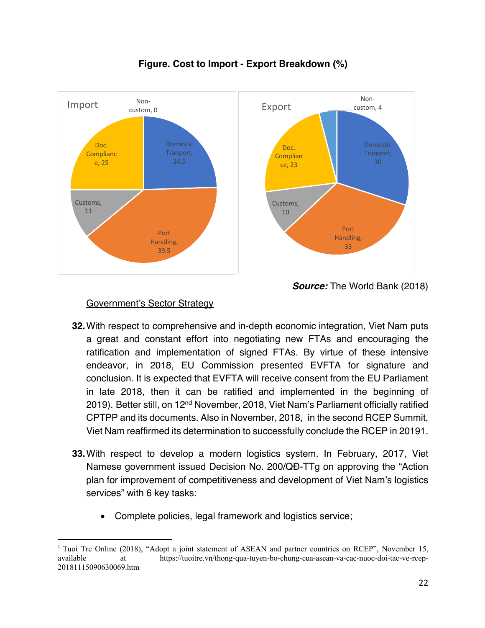

# **Figure. Cost to Import - Export Breakdown (%)**

#### Government's Sector Strategy

- **32.**With respect to comprehensive and in-depth economic integration, Viet Nam puts a great and constant effort into negotiating new FTAs and encouraging the ratification and implementation of signed FTAs. By virtue of these intensive endeavor, in 2018, EU Commission presented EVFTA for signature and conclusion. It is expected that EVFTA will receive consent from the EU Parliament in late 2018, then it can be ratified and implemented in the beginning of 2019). Better still, on 12<sup>nd</sup> November, 2018, Viet Nam's Parliament officially ratified CPTPP and its documents. Also in November, 2018, in the second RCEP Summit, Viet Nam reaffirmed its determination to successfully conclude the RCEP in 20191.
- **33.**With respect to develop a modern logistics system. In February, 2017, Viet Namese government issued Decision No. 200/QĐ-TTg on approving the "Action plan for improvement of competitiveness and development of Viet Nam's logistics services" with 6 key tasks:
	- Complete policies, legal framework and logistics service;

<sup>&</sup>lt;sup>1</sup> Tuoi Tre Online (2018), "Adopt a joint statement of ASEAN and partner countries on RCEP", November 15, available at https://tuoitre.vn/thong-qua-tuyen-bo-chung-cua-asean-va-cac-nuoc-doi-tac-ve-rcep-20181115090630069.htm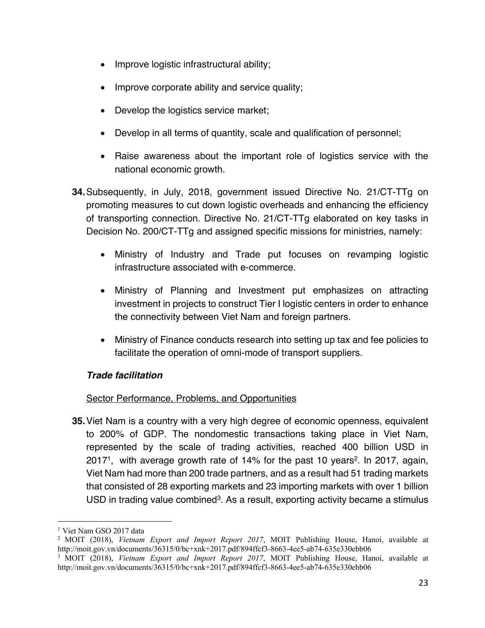- Improve logistic infrastructural ability;
- Improve corporate ability and service quality;
- Develop the logistics service market;
- Develop in all terms of quantity, scale and qualification of personnel;
- Raise awareness about the important role of logistics service with the national economic growth.
- **34.**Subsequently, in July, 2018, government issued Directive No. 21/CT-TTg on promoting measures to cut down logistic overheads and enhancing the efficiency of transporting connection. Directive No. 21/CT-TTg elaborated on key tasks in Decision No. 200/CT-TTg and assigned specific missions for ministries, namely:
	- Ministry of Industry and Trade put focuses on revamping logistic infrastructure associated with e-commerce.
	- Ministry of Planning and Investment put emphasizes on attracting investment in projects to construct Tier I logistic centers in order to enhance the connectivity between Viet Nam and foreign partners.
	- Ministry of Finance conducts research into setting up tax and fee policies to facilitate the operation of omni-mode of transport suppliers.

## *Trade facilitation*

## Sector Performance, Problems, and Opportunities

**35.**Viet Nam is a country with a very high degree of economic openness, equivalent to 200% of GDP. The nondomestic transactions taking place in Viet Nam, represented by the scale of trading activities, reached 400 billion USD in 20171, with average growth rate of 14% for the past 10 years2. In 2017, again, Viet Nam had more than 200 trade partners, and as a result had 51 trading markets that consisted of 28 exporting markets and 23 importing markets with over 1 billion USD in trading value combined<sup>3</sup>. As a result, exporting activity became a stimulus

<sup>&</sup>lt;sup>1</sup> Viet Nam GSO 2017 data

<sup>2</sup> MOIT (2018), *Vietnam Export and Import Report 2017*, MOIT Publishing House, Hanoi, available at http://moit.gov.vn/documents/36315/0/bc+xnk+2017.pdf/894ffcf3-8663-4ee5-ab74-635e330ebb06

<sup>3</sup> MOIT (2018), *Vietnam Export and Import Report 2017*, MOIT Publishing House, Hanoi, available at http://moit.gov.vn/documents/36315/0/bc+xnk+2017.pdf/894ffcf3-8663-4ee5-ab74-635e330ebb06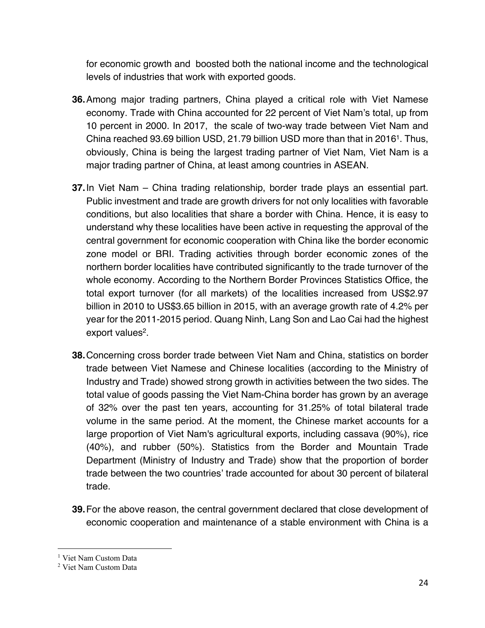for economic growth and boosted both the national income and the technological levels of industries that work with exported goods.

- **36.**Among major trading partners, China played a critical role with Viet Namese economy. Trade with China accounted for 22 percent of Viet Nam's total, up from 10 percent in 2000. In 2017, the scale of two-way trade between Viet Nam and China reached 93.69 billion USD, 21.79 billion USD more than that in 20161. Thus, obviously, China is being the largest trading partner of Viet Nam, Viet Nam is a major trading partner of China, at least among countries in ASEAN.
- **37.**In Viet Nam China trading relationship, border trade plays an essential part. Public investment and trade are growth drivers for not only localities with favorable conditions, but also localities that share a border with China. Hence, it is easy to understand why these localities have been active in requesting the approval of the central government for economic cooperation with China like the border economic zone model or BRI. Trading activities through border economic zones of the northern border localities have contributed significantly to the trade turnover of the whole economy. According to the Northern Border Provinces Statistics Office, the total export turnover (for all markets) of the localities increased from US\$2.97 billion in 2010 to US\$3.65 billion in 2015, with an average growth rate of 4.2% per year for the 2011-2015 period. Quang Ninh, Lang Son and Lao Cai had the highest export values $2$ .
- **38.**Concerning cross border trade between Viet Nam and China, statistics on border trade between Viet Namese and Chinese localities (according to the Ministry of Industry and Trade) showed strong growth in activities between the two sides. The total value of goods passing the Viet Nam-China border has grown by an average of 32% over the past ten years, accounting for 31.25% of total bilateral trade volume in the same period. At the moment, the Chinese market accounts for a large proportion of Viet Nam's agricultural exports, including cassava (90%), rice (40%), and rubber (50%). Statistics from the Border and Mountain Trade Department (Ministry of Industry and Trade) show that the proportion of border trade between the two countries' trade accounted for about 30 percent of bilateral trade.
- **39.**For the above reason, the central government declared that close development of economic cooperation and maintenance of a stable environment with China is a

<sup>&</sup>lt;sup>1</sup> Viet Nam Custom Data

<sup>2</sup> Viet Nam Custom Data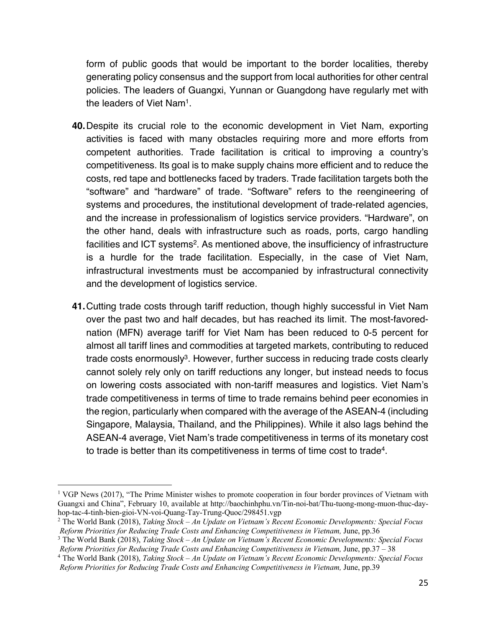form of public goods that would be important to the border localities, thereby generating policy consensus and the support from local authorities for other central policies. The leaders of Guangxi, Yunnan or Guangdong have regularly met with the leaders of Viet Nam1.

- **40.**Despite its crucial role to the economic development in Viet Nam, exporting activities is faced with many obstacles requiring more and more efforts from competent authorities. Trade facilitation is critical to improving a country's competitiveness. Its goal is to make supply chains more efficient and to reduce the costs, red tape and bottlenecks faced by traders. Trade facilitation targets both the "software" and "hardware" of trade. "Software" refers to the reengineering of systems and procedures, the institutional development of trade-related agencies, and the increase in professionalism of logistics service providers. "Hardware", on the other hand, deals with infrastructure such as roads, ports, cargo handling facilities and ICT systems<sup>2</sup>. As mentioned above, the insufficiency of infrastructure is a hurdle for the trade facilitation. Especially, in the case of Viet Nam, infrastructural investments must be accompanied by infrastructural connectivity and the development of logistics service.
- **41.**Cutting trade costs through tariff reduction, though highly successful in Viet Nam over the past two and half decades, but has reached its limit. The most-favorednation (MFN) average tariff for Viet Nam has been reduced to 0-5 percent for almost all tariff lines and commodities at targeted markets, contributing to reduced trade costs enormously<sup>3</sup>. However, further success in reducing trade costs clearly cannot solely rely only on tariff reductions any longer, but instead needs to focus on lowering costs associated with non-tariff measures and logistics. Viet Nam's trade competitiveness in terms of time to trade remains behind peer economies in the region, particularly when compared with the average of the ASEAN-4 (including Singapore, Malaysia, Thailand, and the Philippines). While it also lags behind the ASEAN-4 average, Viet Nam's trade competitiveness in terms of its monetary cost to trade is better than its competitiveness in terms of time cost to trade4.

<sup>&</sup>lt;sup>1</sup> VGP News (2017), "The Prime Minister wishes to promote cooperation in four border provinces of Vietnam with Guangxi and China", February 10, available at http://baochinhphu.vn/Tin-noi-bat/Thu-tuong-mong-muon-thuc-dayhop-tac-4-tinh-bien-gioi-VN-voi-Quang-Tay-Trung-Quoc/298451.vgp

<sup>2</sup> The World Bank (2018), *Taking Stock – An Update on Vietnam's Recent Economic Developments: Special Focus* Reform Priorities for Reducing Trade Costs and Enhancing Competitiveness in Vietnam, June, pp.36<br><sup>3</sup> The World Bank (2018), *Taking Stock – An Update on Vietnam's Recent Economic Developments: Special Focus* 

Reform Priorities for Reducing Trade Costs and Enhancing Competitiveness in Vietnam, June, pp.37 - 38<br><sup>4</sup> The World Bank (2018), *Taking Stock - An Update on Vietnam's Recent Economic Developments: Special Focus* 

*Reform Priorities for Reducing Trade Costs and Enhancing Competitiveness in Vietnam,* June, pp.39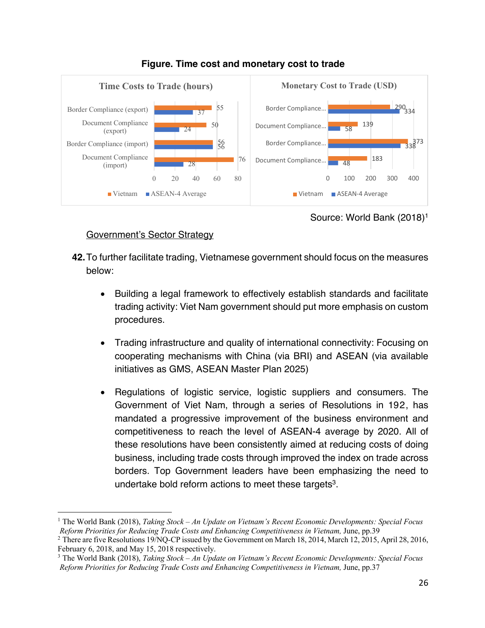

#### **Figure. Time cost and monetary cost to trade**

Source: World Bank (2018)1

# Government's Sector Strategy

- **42.**To further facilitate trading, Vietnamese government should focus on the measures below:
	- Building a legal framework to effectively establish standards and facilitate trading activity: Viet Nam government should put more emphasis on custom procedures.
	- Trading infrastructure and quality of international connectivity: Focusing on cooperating mechanisms with China (via BRI) and ASEAN (via available initiatives as GMS, ASEAN Master Plan 2025)
	- Regulations of logistic service, logistic suppliers and consumers. The Government of Viet Nam, through a series of Resolutions in 192, has mandated a progressive improvement of the business environment and competitiveness to reach the level of ASEAN-4 average by 2020. All of these resolutions have been consistently aimed at reducing costs of doing business, including trade costs through improved the index on trade across borders. Top Government leaders have been emphasizing the need to undertake bold reform actions to meet these targets<sup>3</sup>.

<sup>1</sup> The World Bank (2018), *Taking Stock – An Update on Vietnam's Recent Economic Developments: Special Focus Reform Priorities for Reducing Trade Costs and Enhancing Competitiveness in Vietnam,* June, pp.39

<sup>&</sup>lt;sup>2</sup> There are five Resolutions 19/NO-CP issued by the Government on March 18, 2014, March 12, 2015, April 28, 2016, February 6, 2018, and May 15, 2018 respectively.

<sup>3</sup> The World Bank (2018), *Taking Stock – An Update on Vietnam's Recent Economic Developments: Special Focus Reform Priorities for Reducing Trade Costs and Enhancing Competitiveness in Vietnam,* June, pp.37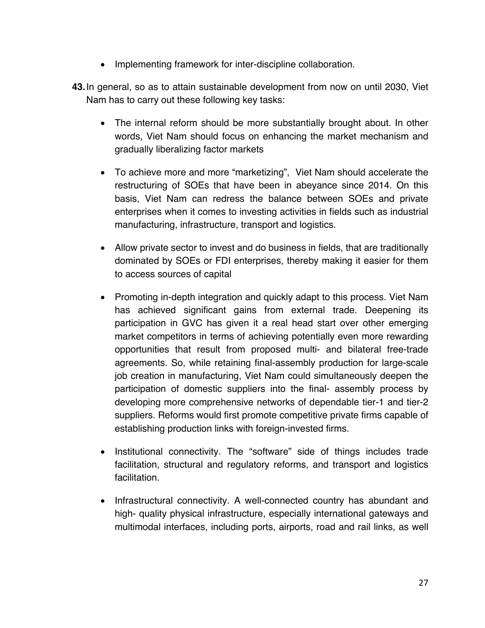- Implementing framework for inter-discipline collaboration.
- **43.**In general, so as to attain sustainable development from now on until 2030, Viet Nam has to carry out these following key tasks:
	- The internal reform should be more substantially brought about. In other words, Viet Nam should focus on enhancing the market mechanism and gradually liberalizing factor markets
	- To achieve more and more "marketizing", Viet Nam should accelerate the restructuring of SOEs that have been in abeyance since 2014. On this basis, Viet Nam can redress the balance between SOEs and private enterprises when it comes to investing activities in fields such as industrial manufacturing, infrastructure, transport and logistics.
	- Allow private sector to invest and do business in fields, that are traditionally dominated by SOEs or FDI enterprises, thereby making it easier for them to access sources of capital
	- Promoting in-depth integration and quickly adapt to this process. Viet Nam has achieved significant gains from external trade. Deepening its participation in GVC has given it a real head start over other emerging market competitors in terms of achieving potentially even more rewarding opportunities that result from proposed multi- and bilateral free-trade agreements. So, while retaining final-assembly production for large-scale job creation in manufacturing, Viet Nam could simultaneously deepen the participation of domestic suppliers into the final- assembly process by developing more comprehensive networks of dependable tier-1 and tier-2 suppliers. Reforms would first promote competitive private firms capable of establishing production links with foreign-invested firms.
	- Institutional connectivity. The "software" side of things includes trade facilitation, structural and regulatory reforms, and transport and logistics facilitation.
	- Infrastructural connectivity. A well-connected country has abundant and high- quality physical infrastructure, especially international gateways and multimodal interfaces, including ports, airports, road and rail links, as well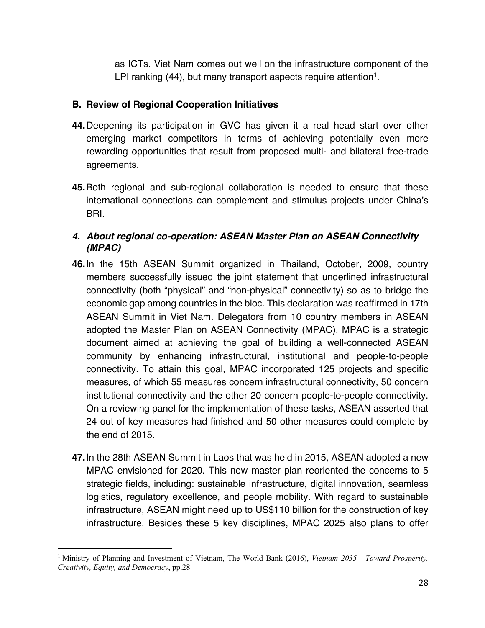as ICTs. Viet Nam comes out well on the infrastructure component of the LPI ranking (44), but many transport aspects require attention<sup>1</sup>.

#### **B. Review of Regional Cooperation Initiatives**

- **44.**Deepening its participation in GVC has given it a real head start over other emerging market competitors in terms of achieving potentially even more rewarding opportunities that result from proposed multi- and bilateral free-trade agreements.
- **45.**Both regional and sub-regional collaboration is needed to ensure that these international connections can complement and stimulus projects under China's BRI.

## *4. About regional co-operation: ASEAN Master Plan on ASEAN Connectivity (MPAC)*

- **46.**In the 15th ASEAN Summit organized in Thailand, October, 2009, country members successfully issued the joint statement that underlined infrastructural connectivity (both "physical" and "non-physical" connectivity) so as to bridge the economic gap among countries in the bloc. This declaration was reaffirmed in 17th ASEAN Summit in Viet Nam. Delegators from 10 country members in ASEAN adopted the Master Plan on ASEAN Connectivity (MPAC). MPAC is a strategic document aimed at achieving the goal of building a well-connected ASEAN community by enhancing infrastructural, institutional and people-to-people connectivity. To attain this goal, MPAC incorporated 125 projects and specific measures, of which 55 measures concern infrastructural connectivity, 50 concern institutional connectivity and the other 20 concern people-to-people connectivity. On a reviewing panel for the implementation of these tasks, ASEAN asserted that 24 out of key measures had finished and 50 other measures could complete by the end of 2015.
- **47.**In the 28th ASEAN Summit in Laos that was held in 2015, ASEAN adopted a new MPAC envisioned for 2020. This new master plan reoriented the concerns to 5 strategic fields, including: sustainable infrastructure, digital innovation, seamless logistics, regulatory excellence, and people mobility. With regard to sustainable infrastructure, ASEAN might need up to US\$110 billion for the construction of key infrastructure. Besides these 5 key disciplines, MPAC 2025 also plans to offer

<sup>1</sup> Ministry of Planning and Investment of Vietnam, The World Bank (2016), *Vietnam 2035 - Toward Prosperity, Creativity, Equity, and Democracy*, pp.28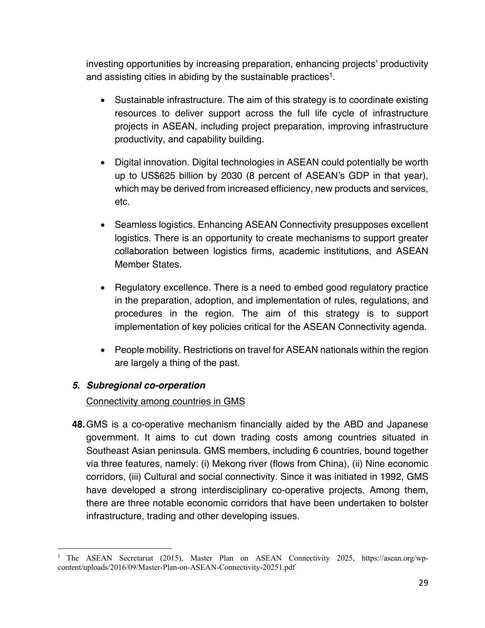investing opportunities by increasing preparation, enhancing projects' productivity and assisting cities in abiding by the sustainable practices<sup>1</sup>.

- Sustainable infrastructure. The aim of this strategy is to coordinate existing resources to deliver support across the full life cycle of infrastructure projects in ASEAN, including project preparation, improving infrastructure productivity, and capability building.
- Digital innovation. Digital technologies in ASEAN could potentially be worth up to US\$625 billion by 2030 (8 percent of ASEAN's GDP in that year), which may be derived from increased efficiency, new products and services, etc.
- Seamless logistics. Enhancing ASEAN Connectivity presupposes excellent logistics. There is an opportunity to create mechanisms to support greater collaboration between logistics firms, academic institutions, and ASEAN Member States.
- Regulatory excellence. There is a need to embed good regulatory practice in the preparation, adoption, and implementation of rules, regulations, and procedures in the region. The aim of this strategy is to support implementation of key policies critical for the ASEAN Connectivity agenda.
- People mobility. Restrictions on travel for ASEAN nationals within the region are largely a thing of the past.

# *5. Subregional co-orperation*

# Connectivity among countries in GMS

**48.**GMS is a co-operative mechanism financially aided by the ABD and Japanese government. It aims to cut down trading costs among countries situated in Southeast Asian peninsula. GMS members, including 6 countries, bound together via three features, namely: (i) Mekong river (flows from China), (ii) Nine economic corridors, (iii) Cultural and social connectivity. Since it was initiated in 1992, GMS have developed a strong interdisciplinary co-operative projects. Among them, there are three notable economic corridors that have been undertaken to bolster infrastructure, trading and other developing issues.

<sup>&</sup>lt;sup>1</sup> The ASEAN Secretariat (2015), Master Plan on ASEAN Connectivity 2025, https://asean.org/wpcontent/uploads/2016/09/Master-Plan-on-ASEAN-Connectivity-20251.pdf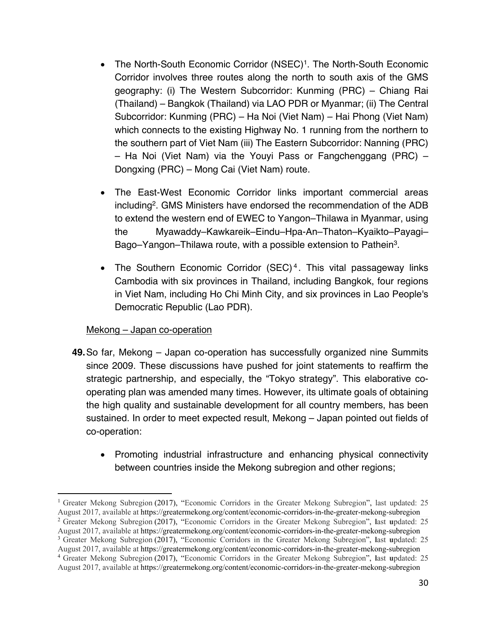- The North-South Economic Corridor (NSEC)<sup>1</sup>. The North-South Economic Corridor involves three routes along the north to south axis of the GMS geography: (i) The Western Subcorridor: Kunming (PRC) – Chiang Rai (Thailand) – Bangkok (Thailand) via LAO PDR or Myanmar; (ii) The Central Subcorridor: Kunming (PRC) – Ha Noi (Viet Nam) – Hai Phong (Viet Nam) which connects to the existing Highway No. 1 running from the northern to the southern part of Viet Nam (iii) The Eastern Subcorridor: Nanning (PRC) – Ha Noi (Viet Nam) via the Youyi Pass or Fangchenggang (PRC) – Dongxing (PRC) – Mong Cai (Viet Nam) route.
- The East-West Economic Corridor links important commercial areas including2. GMS Ministers have endorsed the recommendation of the ADB to extend the western end of EWEC to Yangon–Thilawa in Myanmar, using the Myawaddy–Kawkareik–Eindu–Hpa-An–Thaton–Kyaikto–Payagi– Bago–Yangon–Thilawa route, with a possible extension to Pathein<sup>3</sup>.
- The Southern Economic Corridor (SEC)<sup>4</sup>. This vital passageway links Cambodia with six provinces in Thailand, including Bangkok, four regions in Viet Nam, including Ho Chi Minh City, and six provinces in Lao People's Democratic Republic (Lao PDR).

## Mekong – Japan co-operation

- **49.**So far, Mekong Japan co-operation has successfully organized nine Summits since 2009. These discussions have pushed for joint statements to reaffirm the strategic partnership, and especially, the "Tokyo strategy". This elaborative cooperating plan was amended many times. However, its ultimate goals of obtaining the high quality and sustainable development for all country members, has been sustained. In order to meet expected result, Mekong – Japan pointed out fields of co-operation:
	- Promoting industrial infrastructure and enhancing physical connectivity between countries inside the Mekong subregion and other regions;

<sup>&</sup>lt;sup>1</sup> Greater Mekong Subregion (2017), "Economic Corridors in the Greater Mekong Subregion", last updated: 25 August 2017, available at https://greatermekong.org/content/economic-corridors-in-the-greater-mekong-subregion

<sup>2</sup> Greater Mekong Subregion (2017), "Economic Corridors in the Greater Mekong Subregion", **l**ast **u**pdated: 25 August 2017, available at https://greatermekong.org/content/economic-corridors-in-the-greater-mekong-subregion

<sup>3</sup> Greater Mekong Subregion (2017), "Economic Corridors in the Greater Mekong Subregion", **l**ast **u**pdated: 25 August 2017, available at https://greatermekong.org/content/economic-corridors-in-the-greater-mekong-subregion

<sup>4</sup> Greater Mekong Subregion (2017), "Economic Corridors in the Greater Mekong Subregion", **l**ast **u**pdated: 25 August 2017, available at https://greatermekong.org/content/economic-corridors-in-the-greater-mekong-subregion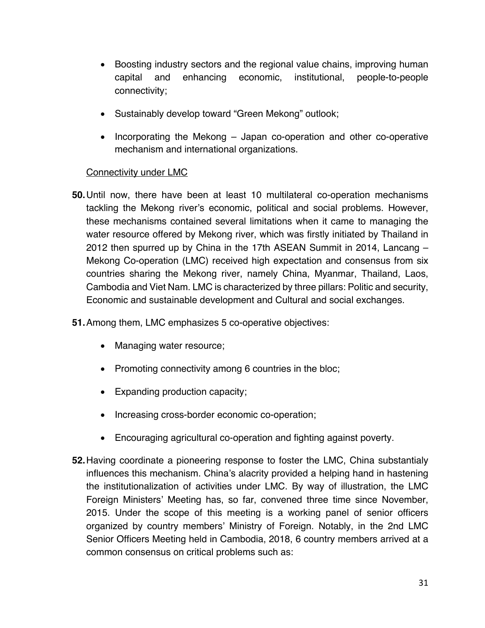- Boosting industry sectors and the regional value chains, improving human capital and enhancing economic, institutional, people-to-people connectivity;
- Sustainably develop toward "Green Mekong" outlook;
- Incorporating the Mekong Japan co-operation and other co-operative mechanism and international organizations.

#### Connectivity under LMC

**50.**Until now, there have been at least 10 multilateral co-operation mechanisms tackling the Mekong river's economic, political and social problems. However, these mechanisms contained several limitations when it came to managing the water resource offered by Mekong river, which was firstly initiated by Thailand in 2012 then spurred up by China in the 17th ASEAN Summit in 2014, Lancang – Mekong Co-operation (LMC) received high expectation and consensus from six countries sharing the Mekong river, namely China, Myanmar, Thailand, Laos, Cambodia and Viet Nam. LMC is characterized by three pillars: Politic and security, Economic and sustainable development and Cultural and social exchanges.

**51.**Among them, LMC emphasizes 5 co-operative objectives:

- Managing water resource;
- Promoting connectivity among 6 countries in the bloc;
- Expanding production capacity;
- Increasing cross-border economic co-operation;
- Encouraging agricultural co-operation and fighting against poverty.
- **52.**Having coordinate a pioneering response to foster the LMC, China substantialy influences this mechanism. China's alacrity provided a helping hand in hastening the institutionalization of activities under LMC. By way of illustration, the LMC Foreign Ministers' Meeting has, so far, convened three time since November, 2015. Under the scope of this meeting is a working panel of senior officers organized by country members' Ministry of Foreign. Notably, in the 2nd LMC Senior Officers Meeting held in Cambodia, 2018, 6 country members arrived at a common consensus on critical problems such as: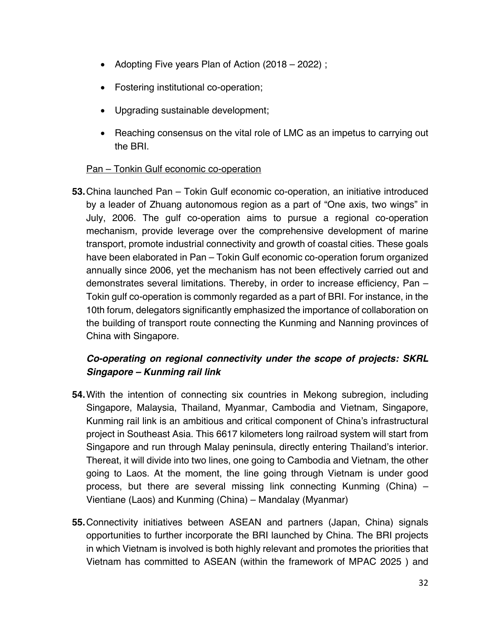- Adopting Five years Plan of Action (2018 2022) ;
- Fostering institutional co-operation;
- Upgrading sustainable development;
- Reaching consensus on the vital role of LMC as an impetus to carrying out the BRI.

## Pan – Tonkin Gulf economic co-operation

**53.**China launched Pan – Tokin Gulf economic co-operation, an initiative introduced by a leader of Zhuang autonomous region as a part of "One axis, two wings" in July, 2006. The gulf co-operation aims to pursue a regional co-operation mechanism, provide leverage over the comprehensive development of marine transport, promote industrial connectivity and growth of coastal cities. These goals have been elaborated in Pan – Tokin Gulf economic co-operation forum organized annually since 2006, yet the mechanism has not been effectively carried out and demonstrates several limitations. Thereby, in order to increase efficiency, Pan – Tokin gulf co-operation is commonly regarded as a part of BRI. For instance, in the 10th forum, delegators significantly emphasized the importance of collaboration on the building of transport route connecting the Kunming and Nanning provinces of China with Singapore.

# *Co-operating on regional connectivity under the scope of projects: SKRL Singapore – Kunming rail link*

- **54.**With the intention of connecting six countries in Mekong subregion, including Singapore, Malaysia, Thailand, Myanmar, Cambodia and Vietnam, Singapore, Kunming rail link is an ambitious and critical component of China's infrastructural project in Southeast Asia. This 6617 kilometers long railroad system will start from Singapore and run through Malay peninsula, directly entering Thailand's interior. Thereat, it will divide into two lines, one going to Cambodia and Vietnam, the other going to Laos. At the moment, the line going through Vietnam is under good process, but there are several missing link connecting Kunming (China) – Vientiane (Laos) and Kunming (China) – Mandalay (Myanmar)
- **55.**Connectivity initiatives between ASEAN and partners (Japan, China) signals opportunities to further incorporate the BRI launched by China. The BRI projects in which Vietnam is involved is both highly relevant and promotes the priorities that Vietnam has committed to ASEAN (within the framework of MPAC 2025 ) and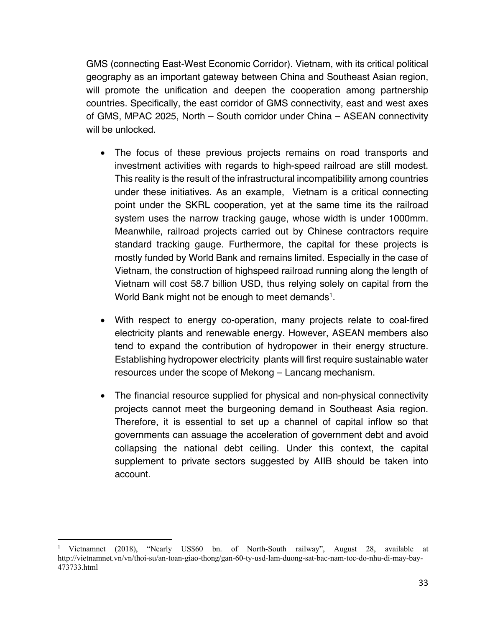GMS (connecting East-West Economic Corridor). Vietnam, with its critical political geography as an important gateway between China and Southeast Asian region, will promote the unification and deepen the cooperation among partnership countries. Specifically, the east corridor of GMS connectivity, east and west axes of GMS, MPAC 2025, North – South corridor under China – ASEAN connectivity will be unlocked.

- The focus of these previous projects remains on road transports and investment activities with regards to high-speed railroad are still modest. This reality is the result of the infrastructural incompatibility among countries under these initiatives. As an example, Vietnam is a critical connecting point under the SKRL cooperation, yet at the same time its the railroad system uses the narrow tracking gauge, whose width is under 1000mm. Meanwhile, railroad projects carried out by Chinese contractors require standard tracking gauge. Furthermore, the capital for these projects is mostly funded by World Bank and remains limited. Especially in the case of Vietnam, the construction of highspeed railroad running along the length of Vietnam will cost 58.7 billion USD, thus relying solely on capital from the World Bank might not be enough to meet demands<sup>1</sup>.
- With respect to energy co-operation, many projects relate to coal-fired electricity plants and renewable energy. However, ASEAN members also tend to expand the contribution of hydropower in their energy structure. Establishing hydropower electricity plants will first require sustainable water resources under the scope of Mekong – Lancang mechanism.
- The financial resource supplied for physical and non-physical connectivity projects cannot meet the burgeoning demand in Southeast Asia region. Therefore, it is essential to set up a channel of capital inflow so that governments can assuage the acceleration of government debt and avoid collapsing the national debt ceiling. Under this context, the capital supplement to private sectors suggested by AIIB should be taken into account.

<sup>1</sup> Vietnamnet (2018), "Nearly US\$60 bn. of North-South railway", August 28, available at http://vietnamnet.vn/vn/thoi-su/an-toan-giao-thong/gan-60-ty-usd-lam-duong-sat-bac-nam-toc-do-nhu-di-may-bay-473733.html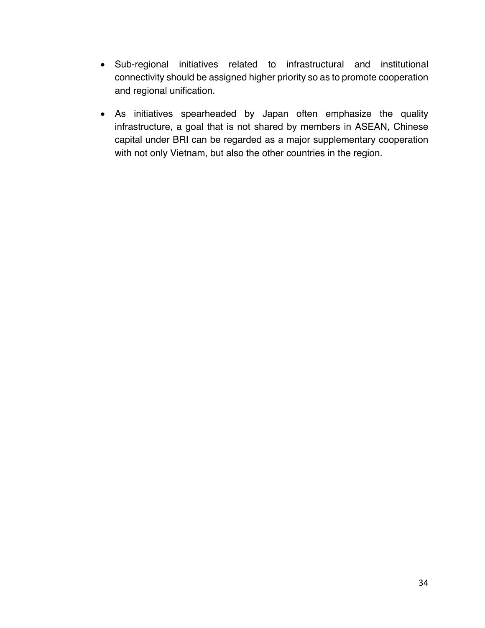- Sub-regional initiatives related to infrastructural and institutional connectivity should be assigned higher priority so as to promote cooperation and regional unification.
- As initiatives spearheaded by Japan often emphasize the quality infrastructure, a goal that is not shared by members in ASEAN, Chinese capital under BRI can be regarded as a major supplementary cooperation with not only Vietnam, but also the other countries in the region.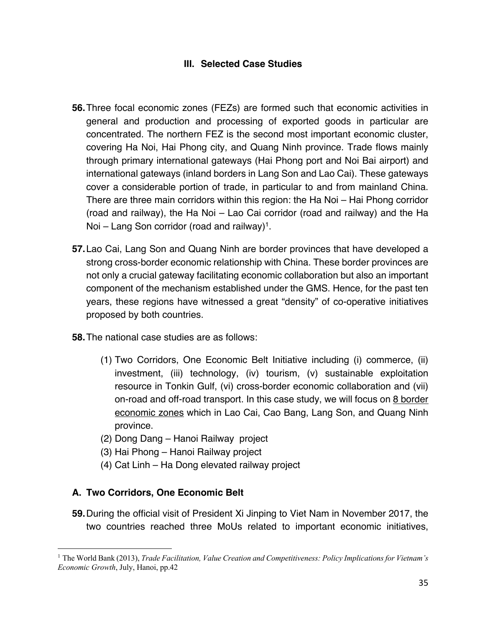# **III. Selected Case Studies**

- **56.**Three focal economic zones (FEZs) are formed such that economic activities in general and production and processing of exported goods in particular are concentrated. The northern FEZ is the second most important economic cluster, covering Ha Noi, Hai Phong city, and Quang Ninh province. Trade flows mainly through primary international gateways (Hai Phong port and Noi Bai airport) and international gateways (inland borders in Lang Son and Lao Cai). These gateways cover a considerable portion of trade, in particular to and from mainland China. There are three main corridors within this region: the Ha Noi – Hai Phong corridor (road and railway), the Ha Noi – Lao Cai corridor (road and railway) and the Ha Noi – Lang Son corridor (road and railway)<sup>1</sup>.
- **57.**Lao Cai, Lang Son and Quang Ninh are border provinces that have developed a strong cross-border economic relationship with China. These border provinces are not only a crucial gateway facilitating economic collaboration but also an important component of the mechanism established under the GMS. Hence, for the past ten years, these regions have witnessed a great "density" of co-operative initiatives proposed by both countries.
- **58.**The national case studies are as follows:
	- (1) Two Corridors, One Economic Belt Initiative including (i) commerce, (ii) investment, (iii) technology, (iv) tourism, (v) sustainable exploitation resource in Tonkin Gulf, (vi) cross-border economic collaboration and (vii) on-road and off-road transport. In this case study, we will focus on 8 border economic zones which in Lao Cai, Cao Bang, Lang Son, and Quang Ninh province.
	- (2) Dong Dang Hanoi Railway project
	- (3) Hai Phong Hanoi Railway project
	- (4) Cat Linh Ha Dong elevated railway project

## **A. Two Corridors, One Economic Belt**

**59.**During the official visit of President Xi Jinping to Viet Nam in November 2017, the two countries reached three MoUs related to important economic initiatives,

<sup>&</sup>lt;sup>1</sup> The World Bank (2013), *Trade Facilitation, Value Creation and Competitiveness: Policy Implications for Vietnam's Economic Growth*, July, Hanoi, pp.42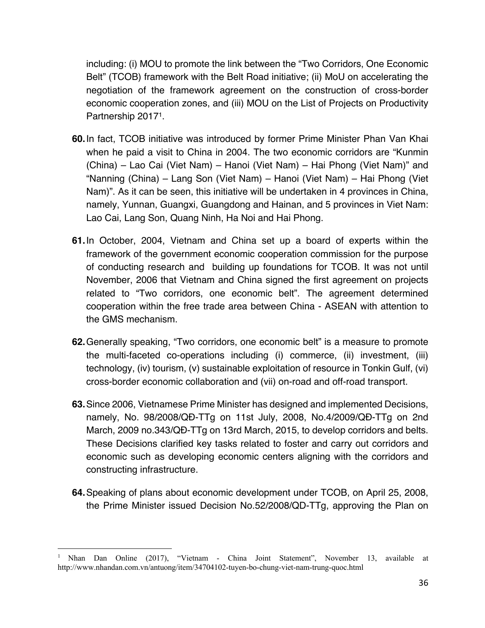including: (i) MOU to promote the link between the "Two Corridors, One Economic Belt" (TCOB) framework with the Belt Road initiative; (ii) MoU on accelerating the negotiation of the framework agreement on the construction of cross-border economic cooperation zones, and (iii) MOU on the List of Projects on Productivity Partnership 20171.

- **60.**In fact, TCOB initiative was introduced by former Prime Minister Phan Van Khai when he paid a visit to China in 2004. The two economic corridors are "Kunmin (China) – Lao Cai (Viet Nam) – Hanoi (Viet Nam) – Hai Phong (Viet Nam)" and "Nanning (China) – Lang Son (Viet Nam) – Hanoi (Viet Nam) – Hai Phong (Viet Nam)". As it can be seen, this initiative will be undertaken in 4 provinces in China, namely, Yunnan, Guangxi, Guangdong and Hainan, and 5 provinces in Viet Nam: Lao Cai, Lang Son, Quang Ninh, Ha Noi and Hai Phong.
- **61.**In October, 2004, Vietnam and China set up a board of experts within the framework of the government economic cooperation commission for the purpose of conducting research and building up foundations for TCOB. It was not until November, 2006 that Vietnam and China signed the first agreement on projects related to "Two corridors, one economic belt". The agreement determined cooperation within the free trade area between China - ASEAN with attention to the GMS mechanism.
- **62.**Generally speaking, "Two corridors, one economic belt" is a measure to promote the multi-faceted co-operations including (i) commerce, (ii) investment, (iii) technology, (iv) tourism, (v) sustainable exploitation of resource in Tonkin Gulf, (vi) cross-border economic collaboration and (vii) on-road and off-road transport.
- **63.**Since 2006, Vietnamese Prime Minister has designed and implemented Decisions, namely, No. 98/2008/QĐ-TTg on 11st July, 2008, No.4/2009/QĐ-TTg on 2nd March, 2009 no.343/QĐ-TTg on 13rd March, 2015, to develop corridors and belts. These Decisions clarified key tasks related to foster and carry out corridors and economic such as developing economic centers aligning with the corridors and constructing infrastructure.
- **64.**Speaking of plans about economic development under TCOB, on April 25, 2008, the Prime Minister issued Decision No.52/2008/QD-TTg, approving the Plan on

<sup>1</sup> Nhan Dan Online (2017), "Vietnam - China Joint Statement", November 13, available at http://www.nhandan.com.vn/antuong/item/34704102-tuyen-bo-chung-viet-nam-trung-quoc.html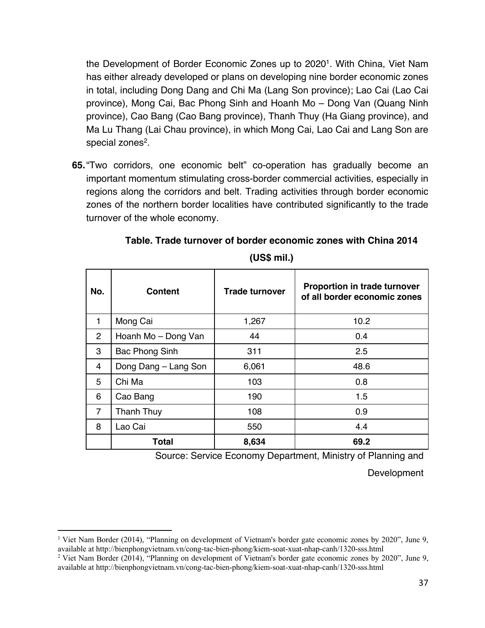the Development of Border Economic Zones up to 20201. With China, Viet Nam has either already developed or plans on developing nine border economic zones in total, including Dong Dang and Chi Ma (Lang Son province); Lao Cai (Lao Cai province), Mong Cai, Bac Phong Sinh and Hoanh Mo – Dong Van (Quang Ninh province), Cao Bang (Cao Bang province), Thanh Thuy (Ha Giang province), and Ma Lu Thang (Lai Chau province), in which Mong Cai, Lao Cai and Lang Son are special zones<sup>2</sup>.

**65.**"Two corridors, one economic belt" co-operation has gradually become an important momentum stimulating cross-border commercial activities, especially in regions along the corridors and belt. Trading activities through border economic zones of the northern border localities have contributed significantly to the trade turnover of the whole economy.

| No.            | <b>Content</b>       | <b>Trade turnover</b> | <b>Proportion in trade turnover</b><br>of all border economic zones |
|----------------|----------------------|-----------------------|---------------------------------------------------------------------|
| 1              | Mong Cai             | 1,267                 | 10.2                                                                |
| $\overline{2}$ | Hoanh Mo - Dong Van  | 44                    | 0.4                                                                 |
| 3              | Bac Phong Sinh       | 311                   | 2.5                                                                 |
| 4              | Dong Dang - Lang Son | 6,061                 | 48.6                                                                |
| 5              | Chi Ma               | 103                   | 0.8                                                                 |
| 6              | Cao Bang             | 190                   | 1.5                                                                 |
| $\overline{7}$ | Thanh Thuy           | 108                   | 0.9                                                                 |
| 8              | Lao Cai              | 550                   | 4.4                                                                 |
|                | <b>Total</b>         | 8,634                 | 69.2                                                                |

**Table. Trade turnover of border economic zones with China 2014** 

**(US\$ mil.)**

Source: Service Economy Department, Ministry of Planning and

**Development** 

<sup>1</sup> Viet Nam Border (2014), "Planning on development of Vietnam's border gate economic zones by 2020", June 9, available at http://bienphongvietnam.vn/cong-tac-bien-phong/kiem-soat-xuat-nhap-canh/1320-sss.html

<sup>&</sup>lt;sup>2</sup> Viet Nam Border (2014), "Planning on development of Vietnam's border gate economic zones by 2020", June 9, available at http://bienphongvietnam.vn/cong-tac-bien-phong/kiem-soat-xuat-nhap-canh/1320-sss.html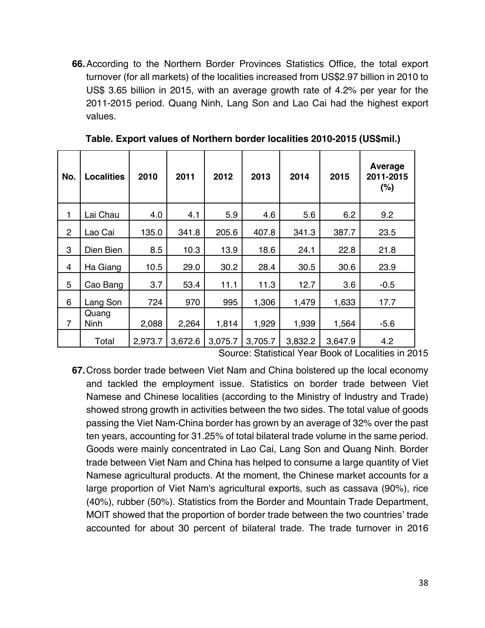**66.**According to the Northern Border Provinces Statistics Office, the total export turnover (for all markets) of the localities increased from US\$2.97 billion in 2010 to US\$ 3.65 billion in 2015, with an average growth rate of 4.2% per year for the 2011-2015 period. Quang Ninh, Lang Son and Lao Cai had the highest export values.

| No.            | <b>Localities</b>    | 2010    | 2011    | 2012    | 2013    | 2014    | 2015    | Average<br>2011-2015<br>(%) |
|----------------|----------------------|---------|---------|---------|---------|---------|---------|-----------------------------|
| 1              | Lai Chau             | 4.0     | 4.1     | 5.9     | 4.6     | 5.6     | 6.2     | 9.2                         |
| $\overline{2}$ | Lao Cai              | 135.0   | 341.8   | 205.6   | 407.8   | 341.3   | 387.7   | 23.5                        |
| 3              | Dien Bien            | 8.5     | 10.3    | 13.9    | 18.6    | 24.1    | 22.8    | 21.8                        |
| 4              | Ha Giang             | 10.5    | 29.0    | 30.2    | 28.4    | 30.5    | 30.6    | 23.9                        |
| 5              | Cao Bang             | 3.7     | 53.4    | 11.1    | 11.3    | 12.7    | 3.6     | $-0.5$                      |
| 6              | Lang Son             | 724     | 970     | 995     | 1,306   | 1,479   | 1,633   | 17.7                        |
| $\overline{7}$ | Quang<br><b>Ninh</b> | 2,088   | 2,264   | 1,814   | 1,929   | 1,939   | 1,564   | $-5.6$                      |
|                | Total                | 2,973.7 | 3,672.6 | 3,075.7 | 3,705.7 | 3,832.2 | 3,647.9 | 4.2                         |

**Table. Export values of Northern border localities 2010-2015 (US\$mil.)**

Source: Statistical Year Book of Localities in 2015

**67.**Cross border trade between Viet Nam and China bolstered up the local economy and tackled the employment issue. Statistics on border trade between Viet Namese and Chinese localities (according to the Ministry of Industry and Trade) showed strong growth in activities between the two sides. The total value of goods passing the Viet Nam-China border has grown by an average of 32% over the past ten years, accounting for 31.25% of total bilateral trade volume in the same period. Goods were mainly concentrated in Lao Cai, Lang Son and Quang Ninh. Border trade between Viet Nam and China has helped to consume a large quantity of Viet Namese agricultural products. At the moment, the Chinese market accounts for a large proportion of Viet Nam's agricultural exports, such as cassava (90%), rice (40%), rubber (50%). Statistics from the Border and Mountain Trade Department, MOIT showed that the proportion of border trade between the two countries' trade accounted for about 30 percent of bilateral trade. The trade turnover in 2016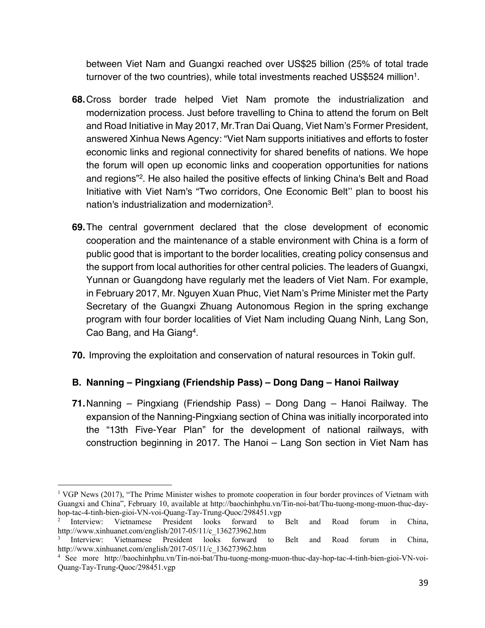between Viet Nam and Guangxi reached over US\$25 billion (25% of total trade turnover of the two countries), while total investments reached US\$524 million<sup>1</sup>.

- **68.**Cross border trade helped Viet Nam promote the industrialization and modernization process. Just before travelling to China to attend the forum on Belt and Road Initiative in May 2017, Mr.Tran Dai Quang, Viet Nam's Former President, answered Xinhua News Agency: "Viet Nam supports initiatives and efforts to foster economic links and regional connectivity for shared benefits of nations. We hope the forum will open up economic links and cooperation opportunities for nations and regions"2. He also hailed the positive effects of linking China's Belt and Road Initiative with Viet Nam's "Two corridors, One Economic Belt'' plan to boost his nation's industrialization and modernization3.
- **69.**The central government declared that the close development of economic cooperation and the maintenance of a stable environment with China is a form of public good that is important to the border localities, creating policy consensus and the support from local authorities for other central policies. The leaders of Guangxi, Yunnan or Guangdong have regularly met the leaders of Viet Nam. For example, in February 2017, Mr. Nguyen Xuan Phuc, Viet Nam's Prime Minister met the Party Secretary of the Guangxi Zhuang Autonomous Region in the spring exchange program with four border localities of Viet Nam including Quang Ninh, Lang Son, Cao Bang, and Ha Giang4.
- **70.** Improving the exploitation and conservation of natural resources in Tokin gulf.

# **B. Nanning – Pingxiang (Friendship Pass) – Dong Dang – Hanoi Railway**

**71.**Nanning – Pingxiang (Friendship Pass) – Dong Dang – Hanoi Railway. The expansion of the Nanning-Pingxiang section of China was initially incorporated into the "13th Five-Year Plan" for the development of national railways, with construction beginning in 2017. The Hanoi – Lang Son section in Viet Nam has

<sup>&</sup>lt;sup>1</sup> VGP News (2017), "The Prime Minister wishes to promote cooperation in four border provinces of Vietnam with Guangxi and China", February 10, available at http://baochinhphu.vn/Tin-noi-bat/Thu-tuong-mong-muon-thuc-dayhop-tac-4-tinh-bien-gioi-VN-voi-Quang-Tay-Trung-Quoc/298451.vgp

<sup>&</sup>lt;sup>2</sup> Interview: Vietnamese President looks forward to Belt and Road forum in China, http://www.xinhuanet.com/english/2017-05/11/c\_136273962.htm

<sup>3</sup> Interview: Vietnamese President looks forward to Belt and Road forum in China, http://www.xinhuanet.com/english/2017-05/11/c\_136273962.htm

<sup>4</sup> See more http://baochinhphu.vn/Tin-noi-bat/Thu-tuong-mong-muon-thuc-day-hop-tac-4-tinh-bien-gioi-VN-voi-Quang-Tay-Trung-Quoc/298451.vgp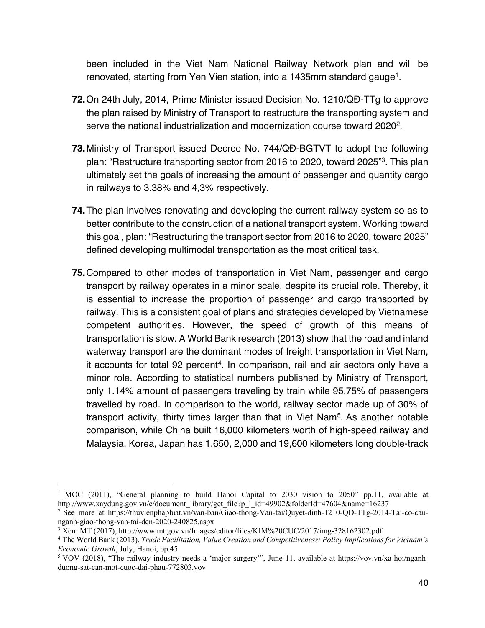been included in the Viet Nam National Railway Network plan and will be renovated, starting from Yen Vien station, into a 1435mm standard gauge<sup>1</sup>.

- **72.**On 24th July, 2014, Prime Minister issued Decision No. 1210/QĐ-TTg to approve the plan raised by Ministry of Transport to restructure the transporting system and serve the national industrialization and modernization course toward 2020<sup>2</sup>.
- **73.**Ministry of Transport issued Decree No. 744/QĐ-BGTVT to adopt the following plan: "Restructure transporting sector from 2016 to 2020, toward 2025"3. This plan ultimately set the goals of increasing the amount of passenger and quantity cargo in railways to 3.38% and 4,3% respectively.
- **74.**The plan involves renovating and developing the current railway system so as to better contribute to the construction of a national transport system. Working toward this goal, plan: "Restructuring the transport sector from 2016 to 2020, toward 2025" defined developing multimodal transportation as the most critical task.
- **75.**Compared to other modes of transportation in Viet Nam, passenger and cargo transport by railway operates in a minor scale, despite its crucial role. Thereby, it is essential to increase the proportion of passenger and cargo transported by railway. This is a consistent goal of plans and strategies developed by Vietnamese competent authorities. However, the speed of growth of this means of transportation is slow. A World Bank research (2013) show that the road and inland waterway transport are the dominant modes of freight transportation in Viet Nam, it accounts for total 92 percent<sup>4</sup>. In comparison, rail and air sectors only have a minor role. According to statistical numbers published by Ministry of Transport, only 1.14% amount of passengers traveling by train while 95.75% of passengers travelled by road. In comparison to the world, railway sector made up of 30% of transport activity, thirty times larger than that in Viet Nam5. As another notable comparison, while China built 16,000 kilometers worth of high-speed railway and Malaysia, Korea, Japan has 1,650, 2,000 and 19,600 kilometers long double-track

<sup>&</sup>lt;sup>1</sup> MOC (2011), "General planning to build Hanoi Capital to 2030 vision to 2050" pp.11, available at http://www.xaydung.gov.vn/c/document\_library/get\_file?p\_l\_id=49902&folderId=47604&name=16237

<sup>2</sup> See more at https://thuvienphapluat.vn/van-ban/Giao-thong-Van-tai/Quyet-dinh-1210-QD-TTg-2014-Tai-co-caunganh-giao-thong-van-tai-den-2020-240825.aspx

<sup>3</sup> Xem MT (2017), http://www.mt.gov.vn/Images/editor/files/KIM%20CUC/2017/img-328162302.pdf

<sup>4</sup> The World Bank (2013), *Trade Facilitation, Value Creation and Competitiveness: Policy Implications for Vietnam's Economic Growth*, July, Hanoi, pp.45

<sup>5</sup> VOV (2018), "The railway industry needs a 'major surgery'", June 11, available at https://vov.vn/xa-hoi/nganhduong-sat-can-mot-cuoc-dai-phau-772803.vov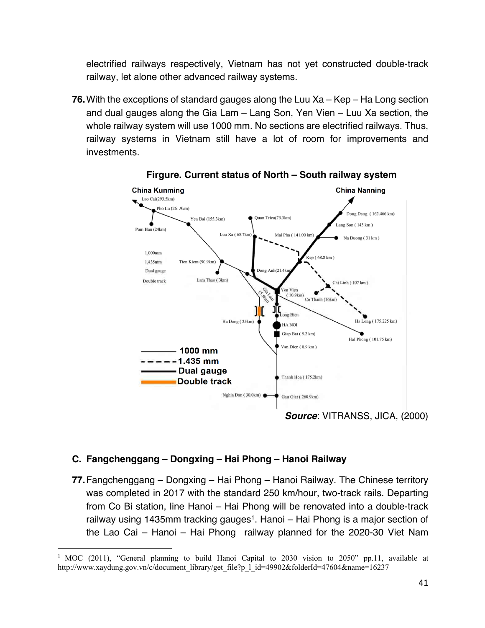electrified railways respectively, Vietnam has not yet constructed double-track railway, let alone other advanced railway systems.

**76.**With the exceptions of standard gauges along the Luu Xa – Kep – Ha Long section and dual gauges along the Gia Lam – Lang Son, Yen Vien – Luu Xa section, the whole railway system will use 1000 mm. No sections are electrified railways. Thus, railway systems in Vietnam still have a lot of room for improvements and investments.



**Firgure. Current status of North – South railway system**

#### **C. Fangchenggang – Dongxing – Hai Phong – Hanoi Railway**

**77.**Fangchenggang – Dongxing – Hai Phong – Hanoi Railway. The Chinese territory was completed in 2017 with the standard 250 km/hour, two-track rails. Departing from Co Bi station, line Hanoi – Hai Phong will be renovated into a double-track railway using 1435mm tracking gauges<sup>1</sup>. Hanoi – Hai Phong is a major section of the Lao Cai – Hanoi – Hai Phong railway planned for the 2020-30 Viet Nam

<sup>1</sup> MOC (2011), "General planning to build Hanoi Capital to 2030 vision to 2050" pp.11, available at http://www.xaydung.gov.vn/c/document\_library/get\_file?p\_l\_id=49902&folderId=47604&name=16237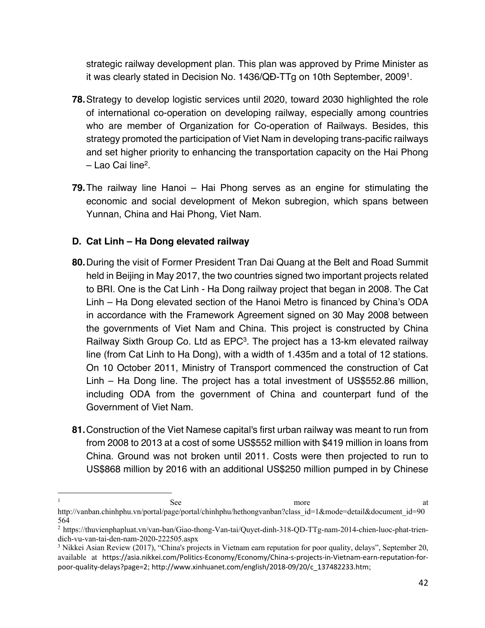strategic railway development plan. This plan was approved by Prime Minister as it was clearly stated in Decision No. 1436/QĐ-TTg on 10th September, 20091.

- **78.**Strategy to develop logistic services until 2020, toward 2030 highlighted the role of international co-operation on developing railway, especially among countries who are member of Organization for Co-operation of Railways. Besides, this strategy promoted the participation of Viet Nam in developing trans-pacific railways and set higher priority to enhancing the transportation capacity on the Hai Phong – Lao Cai line2.
- **79.**The railway line Hanoi Hai Phong serves as an engine for stimulating the economic and social development of Mekon subregion, which spans between Yunnan, China and Hai Phong, Viet Nam.

# **D. Cat Linh – Ha Dong elevated railway**

- **80.**During the visit of Former President Tran Dai Quang at the Belt and Road Summit held in Beijing in May 2017, the two countries signed two important projects related to BRI. One is the Cat Linh - Ha Dong railway project that began in 2008. The Cat Linh – Ha Dong elevated section of the Hanoi Metro is financed by China's ODA in accordance with the Framework Agreement signed on 30 May 2008 between the governments of Viet Nam and China. This project is constructed by China Railway Sixth Group Co. Ltd as EPC<sup>3</sup>. The project has a 13-km elevated railway line (from Cat Linh to Ha Dong), with a width of 1.435m and a total of 12 stations. On 10 October 2011, Ministry of Transport commenced the construction of Cat Linh – Ha Dong line. The project has a total investment of US\$552.86 million, including ODA from the government of China and counterpart fund of the Government of Viet Nam.
- **81.**Construction of the Viet Namese capital's first urban railway was meant to run from from 2008 to 2013 at a cost of some US\$552 million with \$419 million in loans from China. Ground was not broken until 2011. Costs were then projected to run to US\$868 million by 2016 with an additional US\$250 million pumped in by Chinese

<sup>1</sup> a see See at the set of the set of the set of the set of the set of the set of the set of the set of the set of the set of the set of the set of the set of the set of the set of the set of the set of the set of the set o

http://vanban.chinhphu.vn/portal/page/portal/chinhphu/hethongvanban?class\_id=1&mode=detail&document\_id=90 564

<sup>2</sup> https://thuvienphapluat.vn/van-ban/Giao-thong-Van-tai/Quyet-dinh-318-QD-TTg-nam-2014-chien-luoc-phat-triendich-vu-van-tai-den-nam-2020-222505.aspx

<sup>3</sup> Nikkei Asian Review (2017), "China's projects in Vietnam earn reputation for poor quality, delays", September 20, available at https://asia.nikkei.com/Politics-Economy/Economy/China-s-projects-in-Vietnam-earn-reputation-forpoor-quality-delays?page=2; http://www.xinhuanet.com/english/2018-09/20/c\_137482233.htm;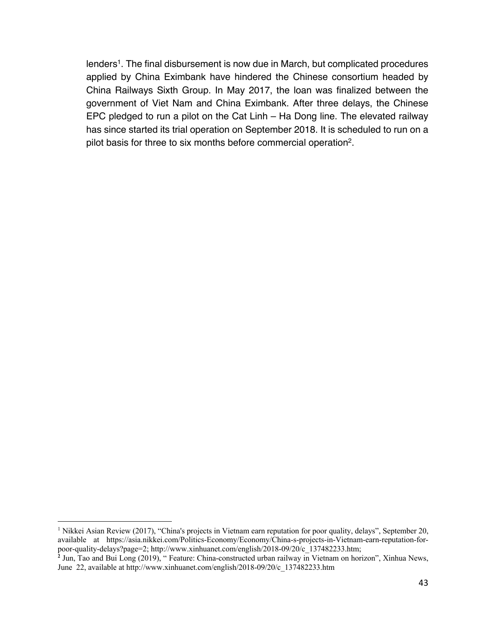lenders<sup>1</sup>. The final disbursement is now due in March, but complicated procedures applied by China Eximbank have hindered the Chinese consortium headed by China Railways Sixth Group. In May 2017, the loan was finalized between the government of Viet Nam and China Eximbank. After three delays, the Chinese EPC pledged to run a pilot on the Cat Linh – Ha Dong line. The elevated railway has since started its trial operation on September 2018. It is scheduled to run on a pilot basis for three to six months before commercial operation2.

<sup>&</sup>lt;sup>1</sup> Nikkei Asian Review (2017), "China's projects in Vietnam earn reputation for poor quality, delays", September 20, available at https://asia.nikkei.com/Politics-Economy/Economy/China-s-projects-in-Vietnam-earn-reputation-forpoor-quality-delays?page=2; http://www.xinhuanet.com/english/2018-09/20/c\_137482233.htm;

**<sup>2</sup>** Jun, Tao and Bui Long (2019), " Feature: China-constructed urban railway in Vietnam on horizon", Xinhua News, June 22, available at http://www.xinhuanet.com/english/2018-09/20/c\_137482233.htm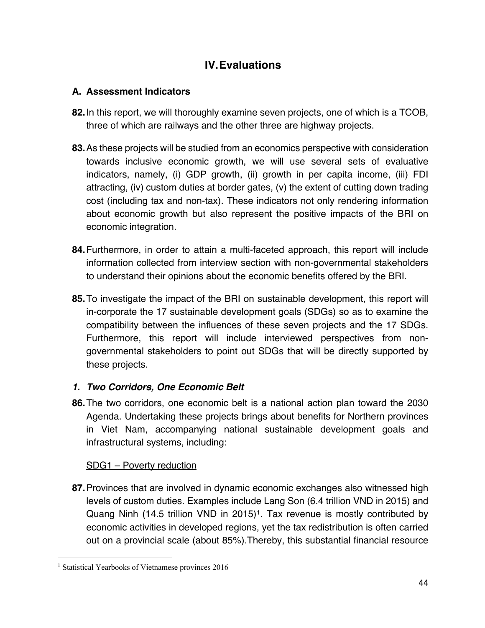# **IV.Evaluations**

# **A. Assessment Indicators**

- **82.**In this report, we will thoroughly examine seven projects, one of which is a TCOB, three of which are railways and the other three are highway projects.
- **83.**As these projects will be studied from an economics perspective with consideration towards inclusive economic growth, we will use several sets of evaluative indicators, namely, (i) GDP growth, (ii) growth in per capita income, (iii) FDI attracting, (iv) custom duties at border gates, (v) the extent of cutting down trading cost (including tax and non-tax). These indicators not only rendering information about economic growth but also represent the positive impacts of the BRI on economic integration.
- **84.**Furthermore, in order to attain a multi-faceted approach, this report will include information collected from interview section with non-governmental stakeholders to understand their opinions about the economic benefits offered by the BRI.
- **85.**To investigate the impact of the BRI on sustainable development, this report will in-corporate the 17 sustainable development goals (SDGs) so as to examine the compatibility between the influences of these seven projects and the 17 SDGs. Furthermore, this report will include interviewed perspectives from nongovernmental stakeholders to point out SDGs that will be directly supported by these projects.

# *1. Two Corridors, One Economic Belt*

**86.**The two corridors, one economic belt is a national action plan toward the 2030 Agenda. Undertaking these projects brings about benefits for Northern provinces in Viet Nam, accompanying national sustainable development goals and infrastructural systems, including:

# SDG1 – Poverty reduction

**87.**Provinces that are involved in dynamic economic exchanges also witnessed high levels of custom duties. Examples include Lang Son (6.4 trillion VND in 2015) and Quang Ninh (14.5 trillion VND in 2015)<sup>1</sup>. Tax revenue is mostly contributed by economic activities in developed regions, yet the tax redistribution is often carried out on a provincial scale (about 85%).Thereby, this substantial financial resource

<sup>&</sup>lt;sup>1</sup> Statistical Yearbooks of Vietnamese provinces 2016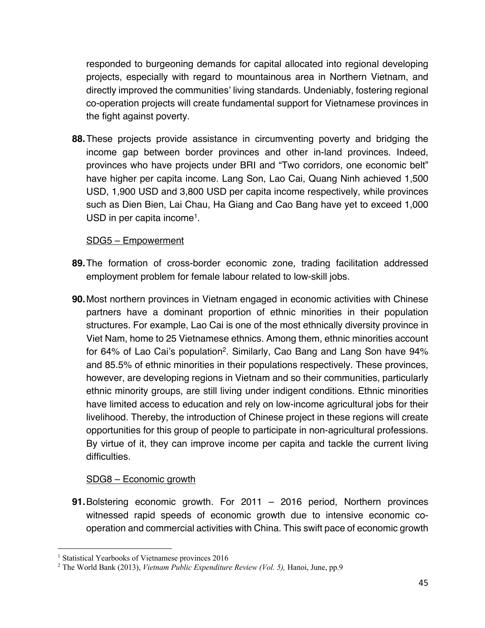responded to burgeoning demands for capital allocated into regional developing projects, especially with regard to mountainous area in Northern Vietnam, and directly improved the communities' living standards. Undeniably, fostering regional co-operation projects will create fundamental support for Vietnamese provinces in the fight against poverty.

**88.**These projects provide assistance in circumventing poverty and bridging the income gap between border provinces and other in-land provinces. Indeed, provinces who have projects under BRI and "Two corridors, one economic belt" have higher per capita income. Lang Son, Lao Cai, Quang Ninh achieved 1,500 USD, 1,900 USD and 3,800 USD per capita income respectively, while provinces such as Dien Bien, Lai Chau, Ha Giang and Cao Bang have yet to exceed 1,000 USD in per capita income<sup>1</sup>.

#### SDG5 – Empowerment

- **89.**The formation of cross-border economic zone, trading facilitation addressed employment problem for female labour related to low-skill jobs.
- **90.**Most northern provinces in Vietnam engaged in economic activities with Chinese partners have a dominant proportion of ethnic minorities in their population structures. For example, Lao Cai is one of the most ethnically diversity province in Viet Nam, home to 25 Vietnamese ethnics. Among them, ethnic minorities account for 64% of Lao Cai's population2. Similarly, Cao Bang and Lang Son have 94% and 85.5% of ethnic minorities in their populations respectively. These provinces, however, are developing regions in Vietnam and so their communities, particularly ethnic minority groups, are still living under indigent conditions. Ethnic minorities have limited access to education and rely on low-income agricultural jobs for their livelihood. Thereby, the introduction of Chinese project in these regions will create opportunities for this group of people to participate in non-agricultural professions. By virtue of it, they can improve income per capita and tackle the current living difficulties.

#### SDG8 – Economic growth

**91.**Bolstering economic growth. For 2011 – 2016 period, Northern provinces witnessed rapid speeds of economic growth due to intensive economic cooperation and commercial activities with China. This swift pace of economic growth

<sup>&</sup>lt;sup>1</sup> Statistical Yearbooks of Vietnamese provinces 2016

<sup>2</sup> The World Bank (2013), *Vietnam Public Expenditure Review (Vol. 5),* Hanoi, June, pp.9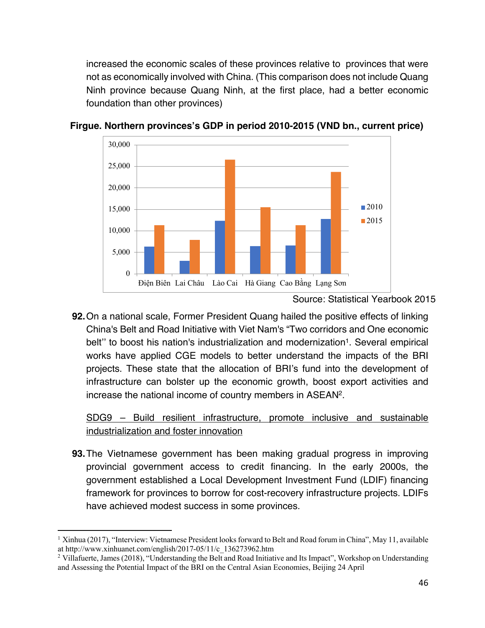increased the economic scales of these provinces relative to provinces that were not as economically involved with China. (This comparison does not include Quang Ninh province because Quang Ninh, at the first place, had a better economic foundation than other provinces)



**Firgue. Northern provinces's GDP in period 2010-2015 (VND bn., current price)**

**92.**On a national scale, Former President Quang hailed the positive effects of linking China's Belt and Road Initiative with Viet Nam's "Two corridors and One economic belt" to boost his nation's industrialization and modernization<sup>1</sup>. Several empirical works have applied CGE models to better understand the impacts of the BRI projects. These state that the allocation of BRI's fund into the development of infrastructure can bolster up the economic growth, boost export activities and increase the national income of country members in ASEAN2.

SDG9 – Build resilient infrastructure, promote inclusive and sustainable industrialization and foster innovation

**93.**The Vietnamese government has been making gradual progress in improving provincial government access to credit financing. In the early 2000s, the government established a Local Development Investment Fund (LDIF) financing framework for provinces to borrow for cost-recovery infrastructure projects. LDIFs have achieved modest success in some provinces.

Source: Statistical Yearbook 2015

<sup>&</sup>lt;sup>1</sup> Xinhua (2017), "Interview: Vietnamese President looks forward to Belt and Road forum in China", May 11, available at http://www.xinhuanet.com/english/2017-05/11/c\_136273962.htm

<sup>&</sup>lt;sup>2</sup> Villafuerte, James (2018), "Understanding the Belt and Road Initiative and Its Impact", Workshop on Understanding and Assessing the Potential Impact of the BRI on the Central Asian Economies, Beijing 24 April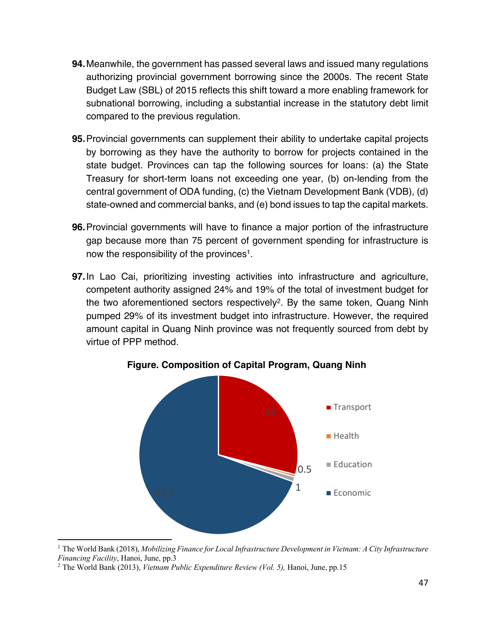- **94.**Meanwhile, the government has passed several laws and issued many regulations authorizing provincial government borrowing since the 2000s. The recent State Budget Law (SBL) of 2015 reflects this shift toward a more enabling framework for subnational borrowing, including a substantial increase in the statutory debt limit compared to the previous regulation.
- **95.**Provincial governments can supplement their ability to undertake capital projects by borrowing as they have the authority to borrow for projects contained in the state budget. Provinces can tap the following sources for loans: (a) the State Treasury for short-term loans not exceeding one year, (b) on-lending from the central government of ODA funding, (c) the Vietnam Development Bank (VDB), (d) state-owned and commercial banks, and (e) bond issues to tap the capital markets.
- **96.**Provincial governments will have to finance a major portion of the infrastructure gap because more than 75 percent of government spending for infrastructure is now the responsibility of the provinces<sup>1</sup>.
- **97.**In Lao Cai, prioritizing investing activities into infrastructure and agriculture, competent authority assigned 24% and 19% of the total of investment budget for the two aforementioned sectors respectively<sup>2</sup>. By the same token, Quang Ninh pumped 29% of its investment budget into infrastructure. However, the required amount capital in Quang Ninh province was not frequently sourced from debt by virtue of PPP method.



**Figure. Composition of Capital Program, Quang Ninh**

<sup>1</sup> The World Bank (2018), *Mobilizing Finance for Local Infrastructure Development in Vietnam: A City Infrastructure Financing Facility*, Hanoi, June, pp.3

<sup>2</sup> The World Bank (2013), *Vietnam Public Expenditure Review (Vol. 5),* Hanoi, June, pp.15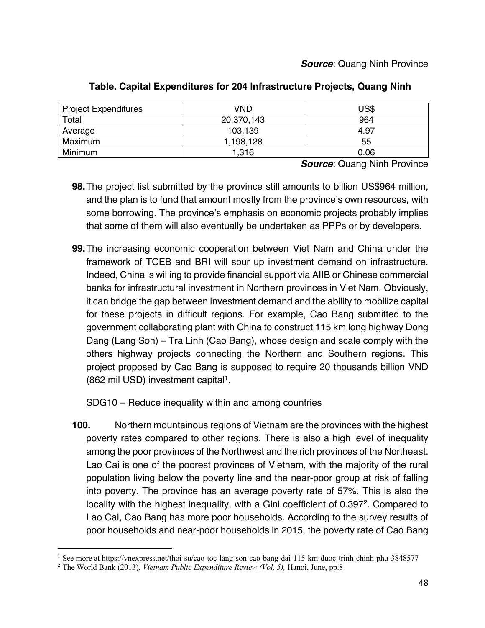| <b>Project Expenditures</b> | VND        | JS\$ |
|-----------------------------|------------|------|
| Total                       | 20,370,143 | 964  |
| Average                     | 103,139    | 4.97 |
| Maximum                     | 1,198,128  | 55   |
| Minimum                     | 1.316      | 0.06 |

#### **Table. Capital Expenditures for 204 Infrastructure Projects, Quang Ninh**

*Source: Quang Ninh Province* 

- **98.**The project list submitted by the province still amounts to billion US\$964 million, and the plan is to fund that amount mostly from the province's own resources, with some borrowing. The province's emphasis on economic projects probably implies that some of them will also eventually be undertaken as PPPs or by developers.
- **99.**The increasing economic cooperation between Viet Nam and China under the framework of TCEB and BRI will spur up investment demand on infrastructure. Indeed, China is willing to provide financial support via AIIB or Chinese commercial banks for infrastructural investment in Northern provinces in Viet Nam. Obviously, it can bridge the gap between investment demand and the ability to mobilize capital for these projects in difficult regions. For example, Cao Bang submitted to the government collaborating plant with China to construct 115 km long highway Dong Dang (Lang Son) – Tra Linh (Cao Bang), whose design and scale comply with the others highway projects connecting the Northern and Southern regions. This project proposed by Cao Bang is supposed to require 20 thousands billion VND (862 mil USD) investment capital1.

#### SDG10 – Reduce inequality within and among countries

**100.** Northern mountainous regions of Vietnam are the provinces with the highest poverty rates compared to other regions. There is also a high level of inequality among the poor provinces of the Northwest and the rich provinces of the Northeast. Lao Cai is one of the poorest provinces of Vietnam, with the majority of the rural population living below the poverty line and the near-poor group at risk of falling into poverty. The province has an average poverty rate of 57%. This is also the locality with the highest inequality, with a Gini coefficient of 0.397<sup>2</sup>. Compared to Lao Cai, Cao Bang has more poor households. According to the survey results of poor households and near-poor households in 2015, the poverty rate of Cao Bang

<sup>1</sup> See more at https://vnexpress.net/thoi-su/cao-toc-lang-son-cao-bang-dai-115-km-duoc-trinh-chinh-phu-3848577

<sup>2</sup> The World Bank (2013), *Vietnam Public Expenditure Review (Vol. 5),* Hanoi, June, pp.8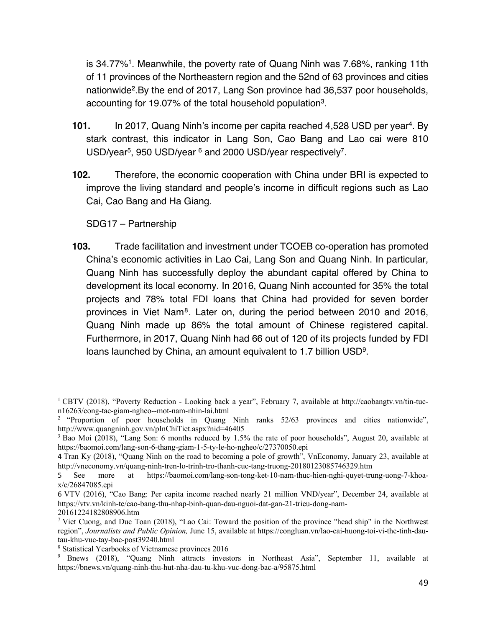is 34.77%1. Meanwhile, the poverty rate of Quang Ninh was 7.68%, ranking 11th of 11 provinces of the Northeastern region and the 52nd of 63 provinces and cities nationwide2.By the end of 2017, Lang Son province had 36,537 poor households, accounting for 19.07% of the total household population3.

- **101.** In 2017, Quang Ninh's income per capita reached 4,528 USD per year4. By stark contrast, this indicator in Lang Son, Cao Bang and Lao cai were 810 USD/year<sup>5</sup>, 950 USD/year <sup>6</sup> and 2000 USD/year respectively<sup>7</sup>.
- **102.** Therefore, the economic cooperation with China under BRI is expected to improve the living standard and people's income in difficult regions such as Lao Cai, Cao Bang and Ha Giang.

#### SDG17 – Partnership

**103.** Trade facilitation and investment under TCOEB co-operation has promoted China's economic activities in Lao Cai, Lang Son and Quang Ninh. In particular, Quang Ninh has successfully deploy the abundant capital offered by China to development its local economy. In 2016, Quang Ninh accounted for 35% the total projects and 78% total FDI loans that China had provided for seven border provinces in Viet Nam8. Later on, during the period between 2010 and 2016, Quang Ninh made up 86% the total amount of Chinese registered capital. Furthermore, in 2017, Quang Ninh had 66 out of 120 of its projects funded by FDI loans launched by China, an amount equivalent to 1.7 billion USD9.

<sup>&</sup>lt;sup>1</sup> CBTV (2018), "Poverty Reduction - Looking back a year", February 7, available at http://caobangtv.vn/tin-tucn16263/cong-tac-giam-ngheo--mot-nam-nhin-lai.html

<sup>&</sup>lt;sup>2</sup> "Proportion of poor households in Quang Ninh ranks 52/63 provinces and cities nationwide", http://www.quangninh.gov.vn/pInChiTiet.aspx?nid=46405

<sup>3</sup> Bao Moi (2018), "Lang Son: 6 months reduced by 1.5% the rate of poor households", August 20, available at https://baomoi.com/lang-son-6-thang-giam-1-5-ty-le-ho-ngheo/c/27370050.epi

<sup>4</sup> Tran Ky (2018), "Quang Ninh on the road to becoming a pole of growth", VnEconomy, January 23, available at http://vneconomy.vn/quang-ninh-tren-lo-trinh-tro-thanh-cuc-tang-truong-20180123085746329.htm

<sup>5</sup> See more at https://baomoi.com/lang-son-tong-ket-10-nam-thuc-hien-nghi-quyet-trung-uong-7-khoax/c/26847085.epi

<sup>6</sup> VTV (2016), "Cao Bang: Per capita income reached nearly 21 million VND/year", December 24, available at https://vtv.vn/kinh-te/cao-bang-thu-nhap-binh-quan-dau-nguoi-dat-gan-21-trieu-dong-nam-20161224182808906.htm

<sup>7</sup> Viet Cuong, and Duc Toan (2018), "Lao Cai: Toward the position of the province "head ship" in the Northwest region", *Journalists and Public Opinion,* June 15, available at https://congluan.vn/lao-cai-huong-toi-vi-the-tinh-dautau-khu-vuc-tay-bac-post39240.html

<sup>8</sup> Statistical Yearbooks of Vietnamese provinces 2016

<sup>&</sup>lt;sup>9</sup> Bnews (2018), "Quang Ninh attracts investors in Northeast Asia", September 11, available at https://bnews.vn/quang-ninh-thu-hut-nha-dau-tu-khu-vuc-dong-bac-a/95875.html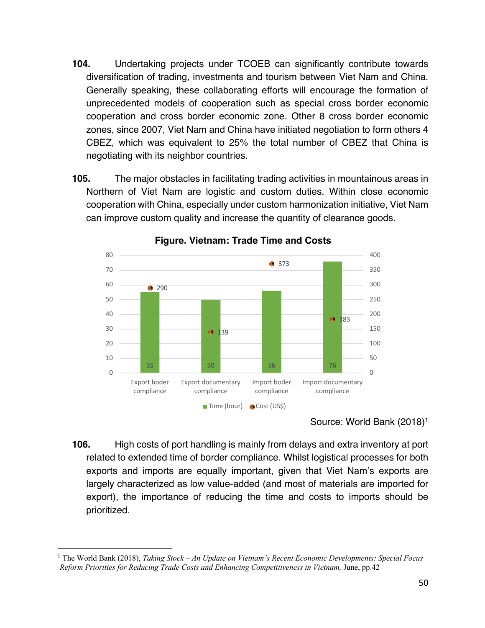- **104.** Undertaking projects under TCOEB can significantly contribute towards diversification of trading, investments and tourism between Viet Nam and China. Generally speaking, these collaborating efforts will encourage the formation of unprecedented models of cooperation such as special cross border economic cooperation and cross border economic zone. Other 8 cross border economic zones, since 2007, Viet Nam and China have initiated negotiation to form others 4 CBEZ, which was equivalent to 25% the total number of CBEZ that China is negotiating with its neighbor countries.
- **105.** The major obstacles in facilitating trading activities in mountainous areas in Northern of Viet Nam are logistic and custom duties. Within close economic cooperation with China, especially under custom harmonization initiative, Viet Nam can improve custom quality and increase the quantity of clearance goods.



**Figure. Vietnam: Trade Time and Costs**

Source: World Bank (2018)1

**106.** High costs of port handling is mainly from delays and extra inventory at port related to extended time of border compliance. Whilst logistical processes for both exports and imports are equally important, given that Viet Nam's exports are largely characterized as low value-added (and most of materials are imported for export), the importance of reducing the time and costs to imports should be prioritized.

<sup>1</sup> The World Bank (2018), *Taking Stock – An Update on Vietnam's Recent Economic Developments: Special Focus Reform Priorities for Reducing Trade Costs and Enhancing Competitiveness in Vietnam,* June, pp.42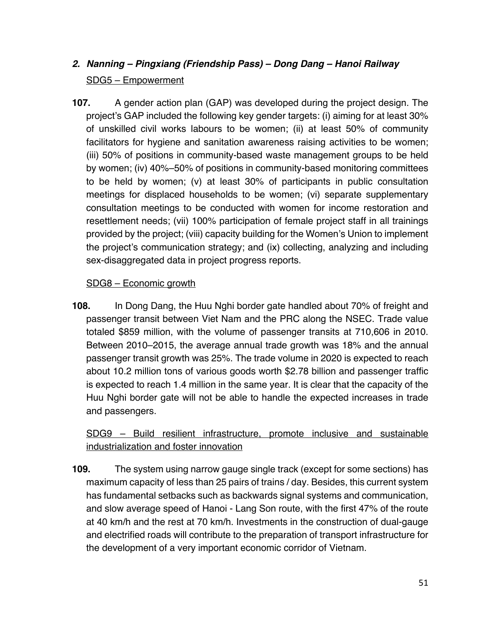# *2. Nanning – Pingxiang (Friendship Pass) – Dong Dang – Hanoi Railway* SDG5 – Empowerment

**107.** A gender action plan (GAP) was developed during the project design. The project's GAP included the following key gender targets: (i) aiming for at least 30% of unskilled civil works labours to be women; (ii) at least 50% of community facilitators for hygiene and sanitation awareness raising activities to be women; (iii) 50% of positions in community-based waste management groups to be held by women; (iv) 40%–50% of positions in community-based monitoring committees to be held by women; (v) at least 30% of participants in public consultation meetings for displaced households to be women; (vi) separate supplementary consultation meetings to be conducted with women for income restoration and resettlement needs; (vii) 100% participation of female project staff in all trainings provided by the project; (viii) capacity building for the Women's Union to implement the project's communication strategy; and (ix) collecting, analyzing and including sex-disaggregated data in project progress reports.

#### SDG8 – Economic growth

**108.** In Dong Dang, the Huu Nghi border gate handled about 70% of freight and passenger transit between Viet Nam and the PRC along the NSEC. Trade value totaled \$859 million, with the volume of passenger transits at 710,606 in 2010. Between 2010–2015, the average annual trade growth was 18% and the annual passenger transit growth was 25%. The trade volume in 2020 is expected to reach about 10.2 million tons of various goods worth \$2.78 billion and passenger traffic is expected to reach 1.4 million in the same year. It is clear that the capacity of the Huu Nghi border gate will not be able to handle the expected increases in trade and passengers.

SDG9 – Build resilient infrastructure, promote inclusive and sustainable industrialization and foster innovation

**109.** The system using narrow gauge single track (except for some sections) has maximum capacity of less than 25 pairs of trains / day. Besides, this current system has fundamental setbacks such as backwards signal systems and communication, and slow average speed of Hanoi - Lang Son route, with the first 47% of the route at 40 km/h and the rest at 70 km/h. Investments in the construction of dual-gauge and electrified roads will contribute to the preparation of transport infrastructure for the development of a very important economic corridor of Vietnam.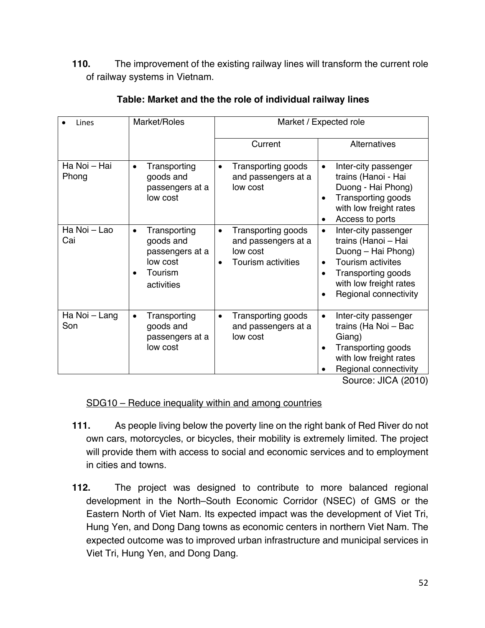**110.** The improvement of the existing railway lines will transform the current role of railway systems in Vietnam.

| Lines                 | Market/Roles                                                                                                | Market / Expected role                                                           |                                                                                                                                                                                                                      |  |
|-----------------------|-------------------------------------------------------------------------------------------------------------|----------------------------------------------------------------------------------|----------------------------------------------------------------------------------------------------------------------------------------------------------------------------------------------------------------------|--|
|                       |                                                                                                             | Current                                                                          | <b>Alternatives</b>                                                                                                                                                                                                  |  |
| Ha Noi - Hai<br>Phong | Transporting<br>$\bullet$<br>goods and<br>passengers at a<br>low cost                                       | Transporting goods<br>and passengers at a<br>low cost                            | Inter-city passenger<br>$\bullet$<br>trains (Hanoi - Hai<br>Duong - Hai Phong)<br>Transporting goods<br>$\bullet$<br>with low freight rates<br>Access to ports<br>$\bullet$                                          |  |
| Ha Noi - Lao<br>Cai   | Transporting<br>$\bullet$<br>goods and<br>passengers at a<br>low cost<br>Tourism<br>$\bullet$<br>activities | Transporting goods<br>٠<br>and passengers at a<br>low cost<br>Tourism activities | Inter-city passenger<br>$\bullet$<br>trains (Hanoi - Hai<br>Duong - Hai Phong)<br>Tourism activites<br>$\bullet$<br>Transporting goods<br>$\bullet$<br>with low freight rates<br>Regional connectivity<br>$\bullet$  |  |
| Ha Noi - Lang<br>Son  | Transporting<br>$\bullet$<br>goods and<br>passengers at a<br>low cost                                       | Transporting goods<br>$\bullet$<br>and passengers at a<br>low cost               | Inter-city passenger<br>$\bullet$<br>trains (Ha Noi - Bac<br>Giang)<br>Transporting goods<br>$\bullet$<br>with low freight rates<br>Regional connectivity<br>$O_{\sigma_1,\sigma_1,\sigma_2,\sigma_1}$ . IIOA (OO4O) |  |

#### **Table: Market and the the role of individual railway lines**

Source: JICA (2010)

#### SDG10 – Reduce inequality within and among countries

- **111.** As people living below the poverty line on the right bank of Red River do not own cars, motorcycles, or bicycles, their mobility is extremely limited. The project will provide them with access to social and economic services and to employment in cities and towns.
- **112.** The project was designed to contribute to more balanced regional development in the North–South Economic Corridor (NSEC) of GMS or the Eastern North of Viet Nam. Its expected impact was the development of Viet Tri, Hung Yen, and Dong Dang towns as economic centers in northern Viet Nam. The expected outcome was to improved urban infrastructure and municipal services in Viet Tri, Hung Yen, and Dong Dang.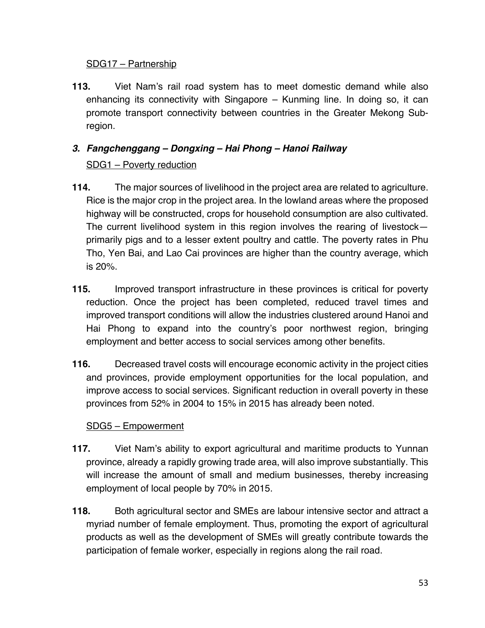#### SDG17 – Partnership

**113.** Viet Nam's rail road system has to meet domestic demand while also enhancing its connectivity with Singapore – Kunming line. In doing so, it can promote transport connectivity between countries in the Greater Mekong Subregion.

# *3. Fangchenggang – Dongxing – Hai Phong – Hanoi Railway* SDG1 – Poverty reduction

- **114.** The major sources of livelihood in the project area are related to agriculture. Rice is the major crop in the project area. In the lowland areas where the proposed highway will be constructed, crops for household consumption are also cultivated. The current livelihood system in this region involves the rearing of livestock primarily pigs and to a lesser extent poultry and cattle. The poverty rates in Phu Tho, Yen Bai, and Lao Cai provinces are higher than the country average, which is 20%.
- **115.** Improved transport infrastructure in these provinces is critical for poverty reduction. Once the project has been completed, reduced travel times and improved transport conditions will allow the industries clustered around Hanoi and Hai Phong to expand into the country's poor northwest region, bringing employment and better access to social services among other benefits.
- **116.** Decreased travel costs will encourage economic activity in the project cities and provinces, provide employment opportunities for the local population, and improve access to social services. Significant reduction in overall poverty in these provinces from 52% in 2004 to 15% in 2015 has already been noted.

# SDG5 – Empowerment

- **117.** Viet Nam's ability to export agricultural and maritime products to Yunnan province, already a rapidly growing trade area, will also improve substantially. This will increase the amount of small and medium businesses, thereby increasing employment of local people by 70% in 2015.
- **118.** Both agricultural sector and SMEs are labour intensive sector and attract a myriad number of female employment. Thus, promoting the export of agricultural products as well as the development of SMEs will greatly contribute towards the participation of female worker, especially in regions along the rail road.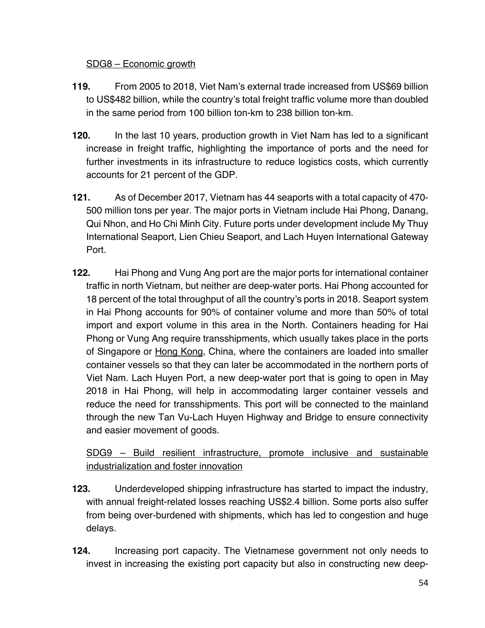#### SDG8 – Economic growth

- **119.** From 2005 to 2018, Viet Nam's external trade increased from US\$69 billion to US\$482 billion, while the country's total freight traffic volume more than doubled in the same period from 100 billion ton-km to 238 billion ton-km.
- **120.** In the last 10 years, production growth in Viet Nam has led to a significant increase in freight traffic, highlighting the importance of ports and the need for further investments in its infrastructure to reduce logistics costs, which currently accounts for 21 percent of the GDP.
- **121.** As of December 2017, Vietnam has 44 seaports with a total capacity of 470- 500 million tons per year. The major ports in Vietnam include Hai Phong, Danang, Qui Nhon, and Ho Chi Minh City. Future ports under development include My Thuy International Seaport, Lien Chieu Seaport, and Lach Huyen International Gateway Port.
- **122.** Hai Phong and Vung Ang port are the major ports for international container traffic in north Vietnam, but neither are deep-water ports. Hai Phong accounted for 18 percent of the total throughput of all the country's ports in 2018. Seaport system in Hai Phong accounts for 90% of container volume and more than 50% of total import and export volume in this area in the North. Containers heading for Hai Phong or Vung Ang require transshipments, which usually takes place in the ports of Singapore or Hong Kong, China, where the containers are loaded into smaller container vessels so that they can later be accommodated in the northern ports of Viet Nam. Lach Huyen Port, a new deep-water port that is going to open in May 2018 in Hai Phong, will help in accommodating larger container vessels and reduce the need for transshipments. This port will be connected to the mainland through the new Tan Vu-Lach Huyen Highway and Bridge to ensure connectivity and easier movement of goods.

SDG9 – Build resilient infrastructure, promote inclusive and sustainable industrialization and foster innovation

- **123.** Underdeveloped shipping infrastructure has started to impact the industry, with annual freight-related losses reaching US\$2.4 billion. Some ports also suffer from being over-burdened with shipments, which has led to congestion and huge delays.
- **124.** Increasing port capacity. The Vietnamese government not only needs to invest in increasing the existing port capacity but also in constructing new deep-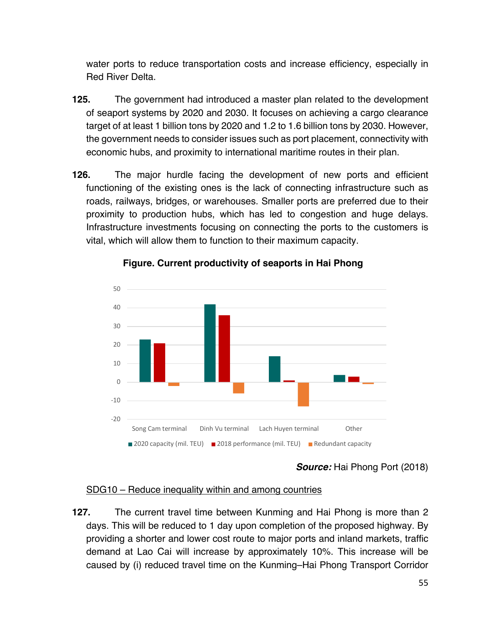water ports to reduce transportation costs and increase efficiency, especially in Red River Delta.

- **125.** The government had introduced a master plan related to the development of seaport systems by 2020 and 2030. It focuses on achieving a cargo clearance target of at least 1 billion tons by 2020 and 1.2 to 1.6 billion tons by 2030. However, the government needs to consider issues such as port placement, connectivity with economic hubs, and proximity to international maritime routes in their plan.
- **126.** The major hurdle facing the development of new ports and efficient functioning of the existing ones is the lack of connecting infrastructure such as roads, railways, bridges, or warehouses. Smaller ports are preferred due to their proximity to production hubs, which has led to congestion and huge delays. Infrastructure investments focusing on connecting the ports to the customers is vital, which will allow them to function to their maximum capacity.



#### **Figure. Current productivity of seaports in Hai Phong**

#### SDG10 – Reduce inequality within and among countries

**127.** The current travel time between Kunming and Hai Phong is more than 2 days. This will be reduced to 1 day upon completion of the proposed highway. By providing a shorter and lower cost route to major ports and inland markets, traffic demand at Lao Cai will increase by approximately 10%. This increase will be caused by (i) reduced travel time on the Kunming–Hai Phong Transport Corridor

*Source:* Hai Phong Port (2018)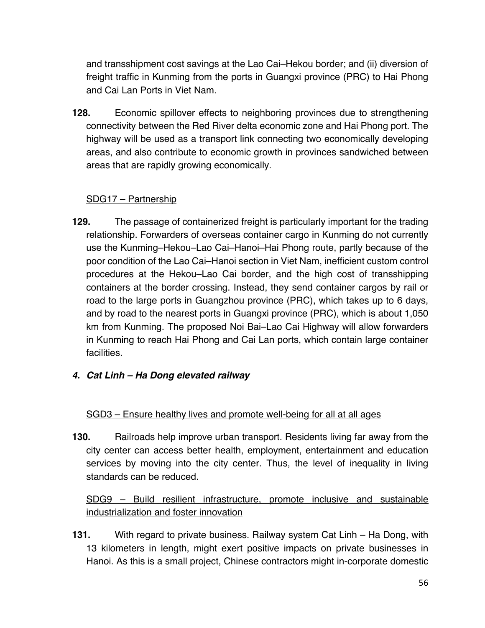and transshipment cost savings at the Lao Cai–Hekou border; and (ii) diversion of freight traffic in Kunming from the ports in Guangxi province (PRC) to Hai Phong and Cai Lan Ports in Viet Nam.

**128.** Economic spillover effects to neighboring provinces due to strengthening connectivity between the Red River delta economic zone and Hai Phong port. The highway will be used as a transport link connecting two economically developing areas, and also contribute to economic growth in provinces sandwiched between areas that are rapidly growing economically.

#### SDG17 – Partnership

- **129.** The passage of containerized freight is particularly important for the trading relationship. Forwarders of overseas container cargo in Kunming do not currently use the Kunming–Hekou–Lao Cai–Hanoi–Hai Phong route, partly because of the poor condition of the Lao Cai–Hanoi section in Viet Nam, inefficient custom control procedures at the Hekou–Lao Cai border, and the high cost of transshipping containers at the border crossing. Instead, they send container cargos by rail or road to the large ports in Guangzhou province (PRC), which takes up to 6 days, and by road to the nearest ports in Guangxi province (PRC), which is about 1,050 km from Kunming. The proposed Noi Bai–Lao Cai Highway will allow forwarders in Kunming to reach Hai Phong and Cai Lan ports, which contain large container facilities.
- *4. Cat Linh – Ha Dong elevated railway*

#### SGD3 – Ensure healthy lives and promote well-being for all at all ages

**130.** Railroads help improve urban transport. Residents living far away from the city center can access better health, employment, entertainment and education services by moving into the city center. Thus, the level of inequality in living standards can be reduced.

SDG9 – Build resilient infrastructure, promote inclusive and sustainable industrialization and foster innovation

**131.** With regard to private business. Railway system Cat Linh – Ha Dong, with 13 kilometers in length, might exert positive impacts on private businesses in Hanoi. As this is a small project, Chinese contractors might in-corporate domestic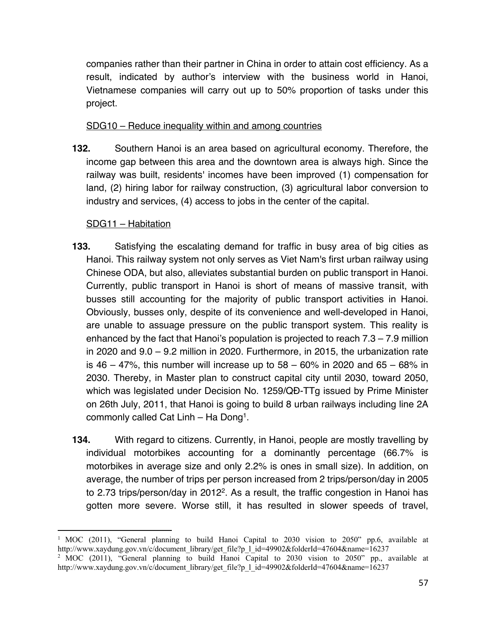companies rather than their partner in China in order to attain cost efficiency. As a result, indicated by author's interview with the business world in Hanoi, Vietnamese companies will carry out up to 50% proportion of tasks under this project.

SDG10 – Reduce inequality within and among countries

**132.** Southern Hanoi is an area based on agricultural economy. Therefore, the income gap between this area and the downtown area is always high. Since the railway was built, residents' incomes have been improved (1) compensation for land, (2) hiring labor for railway construction, (3) agricultural labor conversion to industry and services, (4) access to jobs in the center of the capital.

#### SDG11 – Habitation

- **133.** Satisfying the escalating demand for traffic in busy area of big cities as Hanoi. This railway system not only serves as Viet Nam's first urban railway using Chinese ODA, but also, alleviates substantial burden on public transport in Hanoi. Currently, public transport in Hanoi is short of means of massive transit, with busses still accounting for the majority of public transport activities in Hanoi. Obviously, busses only, despite of its convenience and well-developed in Hanoi, are unable to assuage pressure on the public transport system. This reality is enhanced by the fact that Hanoi's population is projected to reach 7.3 – 7.9 million in 2020 and 9.0 – 9.2 million in 2020. Furthermore, in 2015, the urbanization rate is  $46 - 47$ %, this number will increase up to  $58 - 60$ % in 2020 and  $65 - 68$ % in 2030. Thereby, in Master plan to construct capital city until 2030, toward 2050, which was legislated under Decision No. 1259/QĐ-TTg issued by Prime Minister on 26th July, 2011, that Hanoi is going to build 8 urban railways including line 2A commonly called Cat Linh – Ha Dong1.
- **134.** With regard to citizens. Currently, in Hanoi, people are mostly travelling by individual motorbikes accounting for a dominantly percentage (66.7% is motorbikes in average size and only 2.2% is ones in small size). In addition, on average, the number of trips per person increased from 2 trips/person/day in 2005 to 2.73 trips/person/day in 2012<sup>2</sup>. As a result, the traffic congestion in Hanoi has gotten more severe. Worse still, it has resulted in slower speeds of travel,

<sup>&</sup>lt;sup>1</sup> MOC (2011), "General planning to build Hanoi Capital to 2030 vision to 2050" pp.6, available at http://www.xaydung.gov.vn/c/document\_library/get\_file?p\_l\_id=49902&folderId=47604&name=16237

<sup>&</sup>lt;sup>2</sup> MOC (2011), "General planning to build Hanoi Capital to 2030 vision to 2050" pp., available at http://www.xaydung.gov.vn/c/document\_library/get\_file?p\_l\_id=49902&folderId=47604&name=16237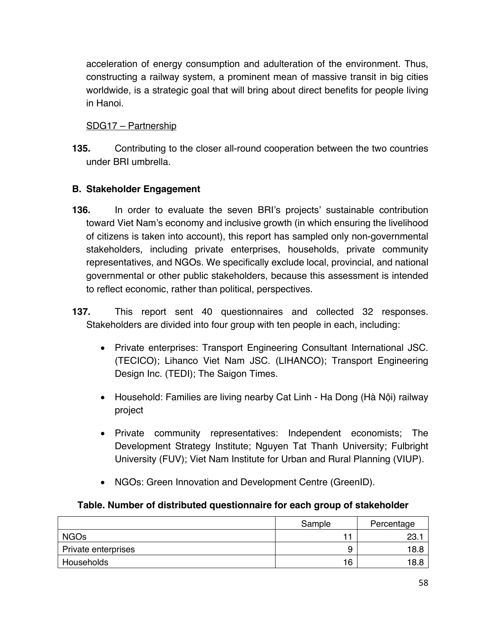acceleration of energy consumption and adulteration of the environment. Thus, constructing a railway system, a prominent mean of massive transit in big cities worldwide, is a strategic goal that will bring about direct benefits for people living in Hanoi.

#### SDG17 – Partnership

**135.** Contributing to the closer all-round cooperation between the two countries under BRI umbrella.

# **B. Stakeholder Engagement**

- **136.** In order to evaluate the seven BRI's projects' sustainable contribution toward Viet Nam's economy and inclusive growth (in which ensuring the livelihood of citizens is taken into account), this report has sampled only non-governmental stakeholders, including private enterprises, households, private community representatives, and NGOs. We specifically exclude local, provincial, and national governmental or other public stakeholders, because this assessment is intended to reflect economic, rather than political, perspectives.
- **137.** This report sent 40 questionnaires and collected 32 responses. Stakeholders are divided into four group with ten people in each, including:
	- Private enterprises: Transport Engineering Consultant International JSC. (TECICO); Lihanco Viet Nam JSC. (LIHANCO); Transport Engineering Design Inc. (TEDI); The Saigon Times.
	- Household: Families are living nearby Cat Linh Ha Dong (Hà Nội) railway project
	- Private community representatives: Independent economists; The Development Strategy Institute; Nguyen Tat Thanh University; Fulbright University (FUV); Viet Nam Institute for Urban and Rural Planning (VIUP).
	- NGOs: Green Innovation and Development Centre (GreenID).

#### **Table. Number of distributed questionnaire for each group of stakeholder**

|                     | Sample | Percentage |
|---------------------|--------|------------|
| <b>NGOs</b>         |        | 23.        |
| Private enterprises | У      | 18.8       |
| Households          | 16     | 18.8       |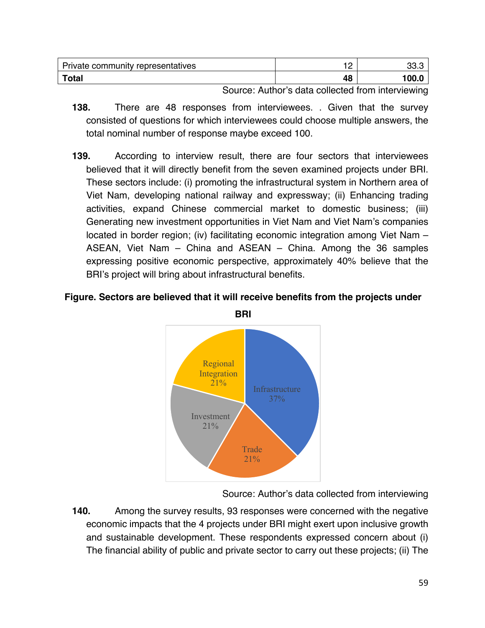| Private community representatives | -  | הר<br>ں ں |
|-----------------------------------|----|-----------|
| <b>Total</b>                      | 48 | 100.0     |

Source: Author's data collected from interviewing

- **138.** There are 48 responses from interviewees. . Given that the survey consisted of questions for which interviewees could choose multiple answers, the total nominal number of response maybe exceed 100.
- **139.** According to interview result, there are four sectors that interviewees believed that it will directly benefit from the seven examined projects under BRI. These sectors include: (i) promoting the infrastructural system in Northern area of Viet Nam, developing national railway and expressway; (ii) Enhancing trading activities, expand Chinese commercial market to domestic business; (iii) Generating new investment opportunities in Viet Nam and Viet Nam's companies located in border region; (iv) facilitating economic integration among Viet Nam – ASEAN, Viet Nam – China and ASEAN – China. Among the 36 samples expressing positive economic perspective, approximately 40% believe that the BRI's project will bring about infrastructural benefits.

#### **Figure. Sectors are believed that it will receive benefits from the projects under**



Source: Author's data collected from interviewing

**140.** Among the survey results, 93 responses were concerned with the negative economic impacts that the 4 projects under BRI might exert upon inclusive growth and sustainable development. These respondents expressed concern about (i) The financial ability of public and private sector to carry out these projects; (ii) The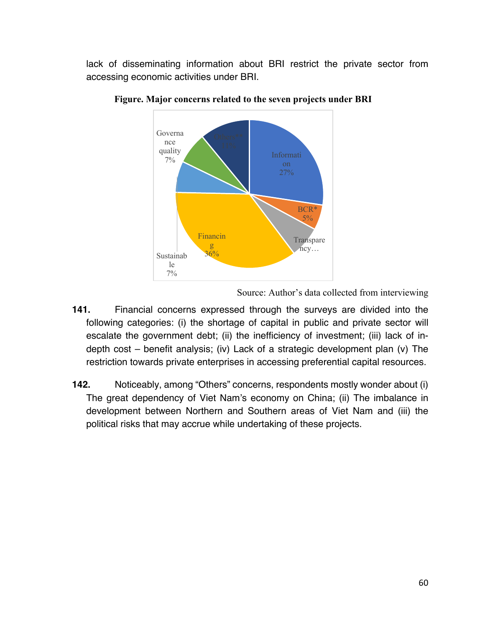lack of disseminating information about BRI restrict the private sector from accessing economic activities under BRI.



**Figure. Major concerns related to the seven projects under BRI**

Source: Author's data collected from interviewing

- **141.** Financial concerns expressed through the surveys are divided into the following categories: (i) the shortage of capital in public and private sector will escalate the government debt; (ii) the inefficiency of investment; (iii) lack of indepth cost – benefit analysis; (iv) Lack of a strategic development plan (v) The restriction towards private enterprises in accessing preferential capital resources.
- **142.** Noticeably, among "Others" concerns, respondents mostly wonder about (i) The great dependency of Viet Nam's economy on China; (ii) The imbalance in development between Northern and Southern areas of Viet Nam and (iii) the political risks that may accrue while undertaking of these projects.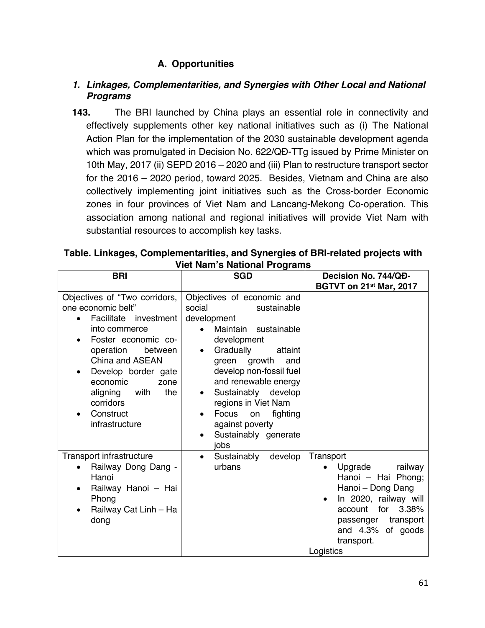# **A. Opportunities**

#### *1. Linkages, Complementarities, and Synergies with Other Local and National Programs*

**143.** The BRI launched by China plays an essential role in connectivity and effectively supplements other key national initiatives such as (i) The National Action Plan for the implementation of the 2030 sustainable development agenda which was promulgated in Decision No. 622/QĐ-TTg issued by Prime Minister on 10th May, 2017 (ii) SEPD 2016 – 2020 and (iii) Plan to restructure transport sector for the 2016 – 2020 period, toward 2025. Besides, Vietnam and China are also collectively implementing joint initiatives such as the Cross-border Economic zones in four provinces of Viet Nam and Lancang-Mekong Co-operation. This association among national and regional initiatives will provide Viet Nam with substantial resources to accomplish key tasks.

| Table. Linkages, Complementarities, and Synergies of BRI-related projects with |  |  |  |  |  |
|--------------------------------------------------------------------------------|--|--|--|--|--|
| <b>Viet Nam's National Programs</b>                                            |  |  |  |  |  |
|                                                                                |  |  |  |  |  |

| <b>BRI</b>                                                                                                                                                                                                                                                                        | <b>SGD</b>                                                                                                                                                                                                                                                                                                                                                           | Decision No. 744/QD-                                                                                                                                                                                     |  |
|-----------------------------------------------------------------------------------------------------------------------------------------------------------------------------------------------------------------------------------------------------------------------------------|----------------------------------------------------------------------------------------------------------------------------------------------------------------------------------------------------------------------------------------------------------------------------------------------------------------------------------------------------------------------|----------------------------------------------------------------------------------------------------------------------------------------------------------------------------------------------------------|--|
|                                                                                                                                                                                                                                                                                   |                                                                                                                                                                                                                                                                                                                                                                      | BGTVT on 21st Mar, 2017                                                                                                                                                                                  |  |
| Objectives of "Two corridors,<br>one economic belt"<br>Facilitate investment<br>into commerce<br>Foster economic co-<br>operation<br>between<br>China and ASEAN<br>Develop border gate<br>economic<br>zone<br>the<br>aligning<br>with<br>corridors<br>Construct<br>infrastructure | Objectives of economic and<br>social<br>sustainable<br>development<br>sustainable<br>Maintain<br>development<br>Gradually<br>attaint<br>$\bullet$<br>green growth<br>and<br>develop non-fossil fuel<br>and renewable energy<br>Sustainably develop<br>$\bullet$<br>regions in Viet Nam<br>Focus<br>fighting<br>on<br>against poverty<br>Sustainably generate<br>jobs |                                                                                                                                                                                                          |  |
| Transport infrastructure<br>Railway Dong Dang -<br>Hanoi<br>Railway Hanoi - Hai<br>Phong<br>Railway Cat Linh - Ha<br>dong                                                                                                                                                         | develop<br>Sustainably<br>$\bullet$<br>urbans                                                                                                                                                                                                                                                                                                                        | Transport<br>railway<br>Upgrade<br>Hanoi - Hai Phong;<br>Hanoi - Dong Dang<br>In 2020, railway will<br>for<br>3.38%<br>account<br>transport<br>passenger<br>and 4.3% of goods<br>transport.<br>Logistics |  |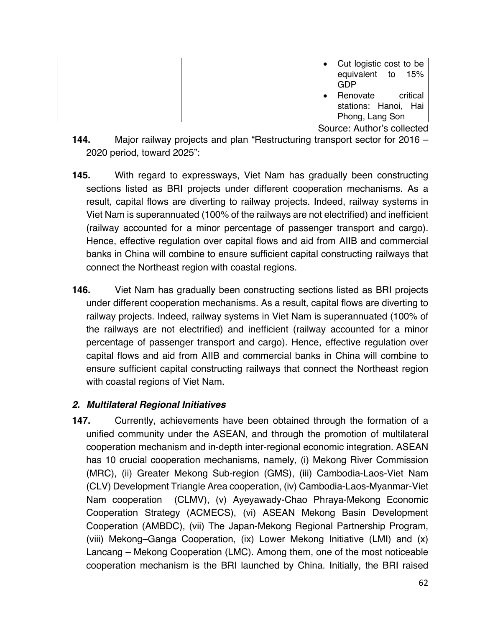| • Cut logistic cost to be<br>equivalent to<br>15%<br>GDP |
|----------------------------------------------------------|
| critical<br>Renovate                                     |
| stations: Hanoi, Hai                                     |
| Phong, Lang Son                                          |

Source: Author's collected

- **144.** Major railway projects and plan "Restructuring transport sector for 2016 2020 period, toward 2025":
- **145.** With regard to expressways, Viet Nam has gradually been constructing sections listed as BRI projects under different cooperation mechanisms. As a result, capital flows are diverting to railway projects. Indeed, railway systems in Viet Nam is superannuated (100% of the railways are not electrified) and inefficient (railway accounted for a minor percentage of passenger transport and cargo). Hence, effective regulation over capital flows and aid from AIIB and commercial banks in China will combine to ensure sufficient capital constructing railways that connect the Northeast region with coastal regions.
- **146.** Viet Nam has gradually been constructing sections listed as BRI projects under different cooperation mechanisms. As a result, capital flows are diverting to railway projects. Indeed, railway systems in Viet Nam is superannuated (100% of the railways are not electrified) and inefficient (railway accounted for a minor percentage of passenger transport and cargo). Hence, effective regulation over capital flows and aid from AIIB and commercial banks in China will combine to ensure sufficient capital constructing railways that connect the Northeast region with coastal regions of Viet Nam.

#### *2. Multilateral Regional Initiatives*

**147.** Currently, achievements have been obtained through the formation of a unified community under the ASEAN, and through the promotion of multilateral cooperation mechanism and in-depth inter-regional economic integration. ASEAN has 10 crucial cooperation mechanisms, namely, (i) Mekong River Commission (MRC), (ii) Greater Mekong Sub-region (GMS), (iii) Cambodia-Laos-Viet Nam (CLV) Development Triangle Area cooperation, (iv) Cambodia-Laos-Myanmar-Viet Nam cooperation (CLMV), (v) Ayeyawady-Chao Phraya-Mekong Economic Cooperation Strategy (ACMECS), (vi) ASEAN Mekong Basin Development Cooperation (AMBDC), (vii) The Japan-Mekong Regional Partnership Program, (viii) Mekong–Ganga Cooperation, (ix) Lower Mekong Initiative (LMI) and (x) Lancang – Mekong Cooperation (LMC). Among them, one of the most noticeable cooperation mechanism is the BRI launched by China. Initially, the BRI raised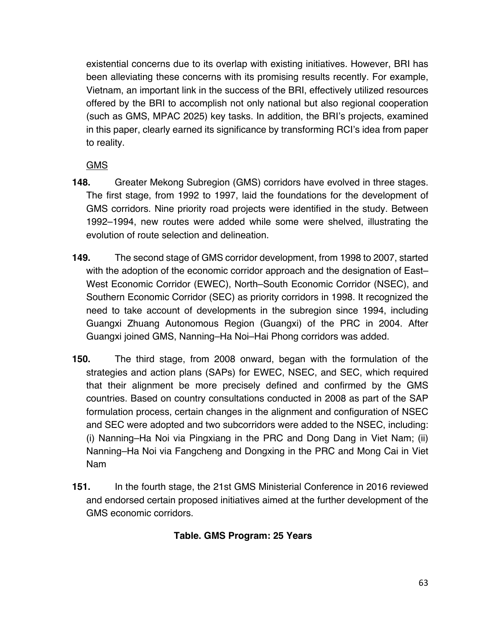existential concerns due to its overlap with existing initiatives. However, BRI has been alleviating these concerns with its promising results recently. For example, Vietnam, an important link in the success of the BRI, effectively utilized resources offered by the BRI to accomplish not only national but also regional cooperation (such as GMS, MPAC 2025) key tasks. In addition, the BRI's projects, examined in this paper, clearly earned its significance by transforming RCI's idea from paper to reality.

**GMS** 

- **148.** Greater Mekong Subregion (GMS) corridors have evolved in three stages. The first stage, from 1992 to 1997, laid the foundations for the development of GMS corridors. Nine priority road projects were identified in the study. Between 1992–1994, new routes were added while some were shelved, illustrating the evolution of route selection and delineation.
- **149.** The second stage of GMS corridor development, from 1998 to 2007, started with the adoption of the economic corridor approach and the designation of East– West Economic Corridor (EWEC), North–South Economic Corridor (NSEC), and Southern Economic Corridor (SEC) as priority corridors in 1998. It recognized the need to take account of developments in the subregion since 1994, including Guangxi Zhuang Autonomous Region (Guangxi) of the PRC in 2004. After Guangxi joined GMS, Nanning–Ha Noi–Hai Phong corridors was added.
- **150.** The third stage, from 2008 onward, began with the formulation of the strategies and action plans (SAPs) for EWEC, NSEC, and SEC, which required that their alignment be more precisely defined and confirmed by the GMS countries. Based on country consultations conducted in 2008 as part of the SAP formulation process, certain changes in the alignment and configuration of NSEC and SEC were adopted and two subcorridors were added to the NSEC, including: (i) Nanning–Ha Noi via Pingxiang in the PRC and Dong Dang in Viet Nam; (ii) Nanning–Ha Noi via Fangcheng and Dongxing in the PRC and Mong Cai in Viet Nam
- **151.** In the fourth stage, the 21st GMS Ministerial Conference in 2016 reviewed and endorsed certain proposed initiatives aimed at the further development of the GMS economic corridors.

# **Table. GMS Program: 25 Years**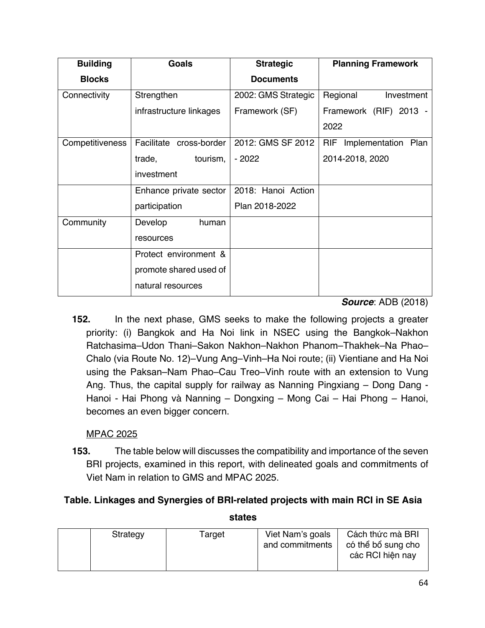| <b>Building</b> | <b>Goals</b>            | <b>Strategic</b>    | <b>Planning Framework</b>         |
|-----------------|-------------------------|---------------------|-----------------------------------|
| <b>Blocks</b>   |                         | <b>Documents</b>    |                                   |
| Connectivity    | Strengthen              | 2002: GMS Strategic | Regional<br>Investment            |
|                 | infrastructure linkages | Framework (SF)      | Framework (RIF) 2013 -            |
|                 |                         |                     | 2022                              |
| Competitiveness | Facilitate cross-border | 2012: GMS SF 2012   | <b>RIF</b><br>Implementation Plan |
|                 | tourism,<br>trade,      | - 2022              | 2014-2018, 2020                   |
|                 | investment              |                     |                                   |
|                 | Enhance private sector  | 2018: Hanoi Action  |                                   |
|                 | participation           | Plan 2018-2022      |                                   |
| Community       | Develop<br>human        |                     |                                   |
|                 | resources               |                     |                                   |
|                 | Protect environment &   |                     |                                   |
|                 | promote shared used of  |                     |                                   |
|                 | natural resources       |                     |                                   |

#### *Source*: ADB (2018)

**152.** In the next phase, GMS seeks to make the following projects a greater priority: (i) Bangkok and Ha Noi link in NSEC using the Bangkok–Nakhon Ratchasima–Udon Thani–Sakon Nakhon–Nakhon Phanom–Thakhek–Na Phao– Chalo (via Route No. 12)–Vung Ang–Vinh–Ha Noi route; (ii) Vientiane and Ha Noi using the Paksan–Nam Phao–Cau Treo–Vinh route with an extension to Vung Ang. Thus, the capital supply for railway as Nanning Pingxiang – Dong Dang - Hanoi - Hai Phong và Nanning – Dongxing – Mong Cai – Hai Phong – Hanoi, becomes an even bigger concern.

#### MPAC 2025

**153.** The table below will discusses the compatibility and importance of the seven BRI projects, examined in this report, with delineated goals and commitments of Viet Nam in relation to GMS and MPAC 2025.

# **Table. Linkages and Synergies of BRI-related projects with main RCI in SE Asia**

| Viet Nam's goals<br>Strategy<br>Target |  |                 |                                                            |
|----------------------------------------|--|-----------------|------------------------------------------------------------|
|                                        |  | and commitments | Cách thức mà BRI<br>có thể bổ sung cho<br>các RCI hiện nay |

**states**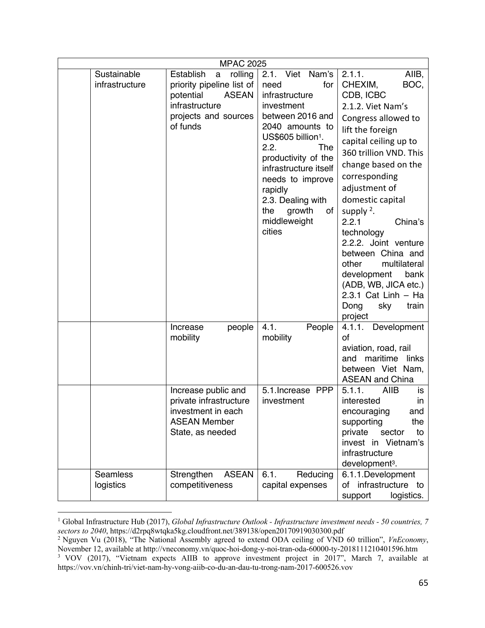|                               | <b>MPAC 2025</b>                                                                                                                                    |                                                                                                                                                                                                                                                                                                             |                                                                                                                                                                                                                                                                                                                                                                                                                                                                                      |
|-------------------------------|-----------------------------------------------------------------------------------------------------------------------------------------------------|-------------------------------------------------------------------------------------------------------------------------------------------------------------------------------------------------------------------------------------------------------------------------------------------------------------|--------------------------------------------------------------------------------------------------------------------------------------------------------------------------------------------------------------------------------------------------------------------------------------------------------------------------------------------------------------------------------------------------------------------------------------------------------------------------------------|
| Sustainable<br>infrastructure | Establish<br>$\mathbf a$<br>rolling<br>priority pipeline list of<br>potential<br><b>ASEAN</b><br>infrastructure<br>projects and sources<br>of funds | 2.1. Viet Nam's<br>need<br>for<br>infrastructure<br>investment<br>between 2016 and<br>2040 amounts to<br>US\$605 billion <sup>1</sup> .<br>2.2.<br>The<br>productivity of the<br>infrastructure itself<br>needs to improve<br>rapidly<br>2.3. Dealing with<br>growth<br>the<br>of<br>middleweight<br>cities | 2.1.1.<br>AIIB,<br>BOC,<br>CHEXIM,<br>CDB, ICBC<br>2.1.2. Viet Nam's<br>Congress allowed to<br>lift the foreign<br>capital ceiling up to<br>360 trillion VND. This<br>change based on the<br>corresponding<br>adjustment of<br>domestic capital<br>supply $2$ .<br>2.2.1<br>China's<br>technology<br>2.2.2. Joint venture<br>between China and<br>other<br>multilateral<br>development<br>bank<br>(ADB, WB, JICA etc.)<br>$2.3.1$ Cat Linh $-$ Ha<br>Dong<br>sky<br>train<br>project |
|                               | Increase<br>people<br>mobility<br>Increase public and                                                                                               | 4.1.<br>People<br>mobility<br>5.1. Increase PPP                                                                                                                                                                                                                                                             | Development<br>4.1.1.<br><b>of</b><br>aviation, road, rail<br>maritime links<br>and<br>between Viet Nam,<br><b>ASEAN and China</b><br>5.1.1.<br><b>AIIB</b><br>is                                                                                                                                                                                                                                                                                                                    |
|                               | private infrastructure<br>investment in each<br><b>ASEAN Member</b><br>State, as needed                                                             | investment                                                                                                                                                                                                                                                                                                  | interested<br>in.<br>and<br>encouraging<br>supporting<br>the<br>private<br>sector<br>to<br>invest in Vietnam's<br>infrastructure<br>development <sup>3</sup> .                                                                                                                                                                                                                                                                                                                       |
| Seamless<br>logistics         | Strengthen<br><b>ASEAN</b><br>competitiveness                                                                                                       | 6.1.<br>Reducing<br>capital expenses                                                                                                                                                                                                                                                                        | 6.1.1.Development<br>of infrastructure to<br>support<br>logistics.                                                                                                                                                                                                                                                                                                                                                                                                                   |

<sup>1</sup> Global Infrastructure Hub (2017), *Global Infrastructure Outlook - Infrastructure investment needs - 50 countries, 7 sectors to 2040*, https://d2rpq8wtqka5kg.cloudfront.net/389138/open20170919030300.pdf

<sup>2</sup> Nguyen Vu (2018), "The National Assembly agreed to extend ODA ceiling of VND 60 trillion", *VnEconomy*, November 12, available at http://vneconomy.vn/quoc-hoi-dong-y-noi-tran-oda-60000-ty-2018111210401596.htm

<sup>&</sup>lt;sup>3</sup> VOV (2017), "Vietnam expects AIIB to approve investment project in 2017", March 7, available at https://vov.vn/chinh-tri/viet-nam-hy-vong-aiib-co-du-an-dau-tu-trong-nam-2017-600526.vov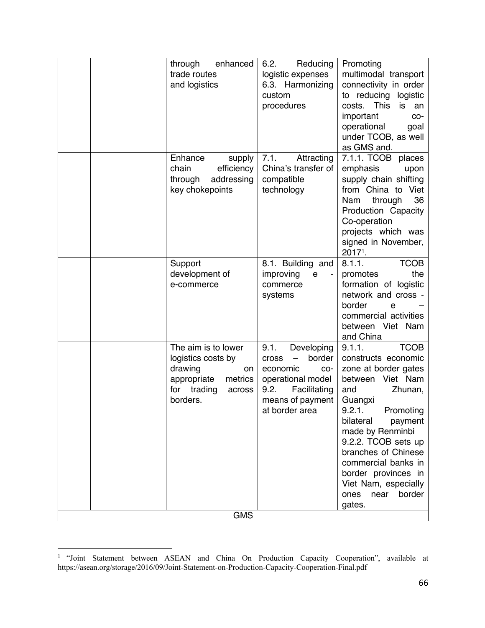|            |  | through<br>enhanced<br>trade routes<br>and logistics                                                                         | 6.2.<br>Reducing<br>logistic expenses<br>6.3. Harmonizing<br>custom<br>procedures                                                                  | Promoting<br>multimodal transport<br>connectivity in order<br>to reducing logistic<br>costs.<br>This<br>is<br>an<br>important<br>CO-<br>operational<br>goal<br>under TCOB, as well<br>as GMS and.                                                                                                                                               |
|------------|--|------------------------------------------------------------------------------------------------------------------------------|----------------------------------------------------------------------------------------------------------------------------------------------------|-------------------------------------------------------------------------------------------------------------------------------------------------------------------------------------------------------------------------------------------------------------------------------------------------------------------------------------------------|
|            |  | Enhance<br>supply<br>chain<br>efficiency<br>through<br>addressing<br>key chokepoints                                         | Attracting<br>7.1.<br>China's transfer of<br>compatible<br>technology                                                                              | 7.1.1. TCOB<br>places<br>emphasis<br>upon<br>supply chain shifting<br>from China to Viet<br>36<br>Nam<br>through<br>Production Capacity<br>Co-operation<br>projects which was<br>signed in November,<br>20171.                                                                                                                                  |
|            |  | Support<br>development of<br>e-commerce                                                                                      | 8.1. Building and<br>improving<br>e<br>commerce<br>systems                                                                                         | <b>TCOB</b><br>8.1.1.<br>the<br>promotes<br>formation of logistic<br>network and cross -<br>border<br>е<br>commercial activities<br>between Viet Nam<br>and China                                                                                                                                                                               |
|            |  | The aim is to lower<br>logistics costs by<br>drawing<br>on<br>appropriate<br>metrics<br>trading<br>for<br>across<br>borders. | 9.1.<br>Developing<br>border<br><b>Cross</b><br>economic<br>CO-<br>operational model<br>Facilitating<br>9.2.<br>means of payment<br>at border area | <b>TCOB</b><br>9.1.1.<br>constructs economic<br>zone at border gates<br>between Viet Nam<br>Zhunan,<br>and<br>Guangxi<br>9.2.1<br>Promoting<br>bilateral<br>payment<br>made by Renminbi<br>9.2.2. TCOB sets up<br>branches of Chinese<br>commercial banks in<br>border provinces in<br>Viet Nam, especially<br>near<br>border<br>ones<br>gates. |
| <b>GMS</b> |  |                                                                                                                              |                                                                                                                                                    |                                                                                                                                                                                                                                                                                                                                                 |

<sup>&</sup>lt;sup>1</sup> "Joint Statement between ASEAN and China On Production Capacity Cooperation", available at https://asean.org/storage/2016/09/Joint-Statement-on-Production-Capacity-Cooperation-Final.pdf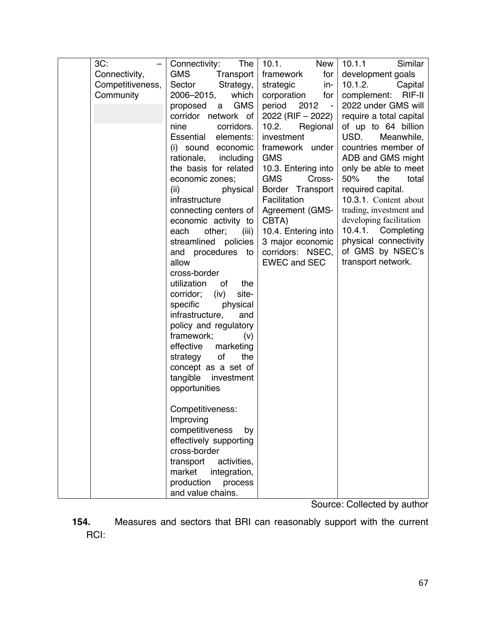| $3C$ :           | Connectivity:<br>The        | 10.1.<br><b>New</b>              | Similar<br>10.1.1       |
|------------------|-----------------------------|----------------------------------|-------------------------|
| Connectivity,    | <b>GMS</b><br>Transport     | framework<br>for                 | development goals       |
| Competitiveness, | Strategy,<br>Sector         | strategic<br>in-                 | 10.1.2.<br>Capital      |
| Community        | which<br>2006-2015,         | corporation<br>for               | RIF-II<br>complement:   |
|                  | <b>GMS</b><br>proposed<br>a | period<br>2012<br>$\blacksquare$ | 2022 under GMS will     |
|                  | corridor network of         | 2022 (RIF - 2022)                | require a total capital |
|                  | nine<br>corridors.          | 10.2.<br>Regional                | of up to 64 billion     |
|                  | Essential<br>elements:      | investment                       | USD.<br>Meanwhile,      |
|                  | (i) sound economic          | framework under                  | countries member of     |
|                  | rationale,<br>including     | <b>GMS</b>                       | ADB and GMS might       |
|                  | the basis for related       | 10.3. Entering into              | only be able to meet    |
|                  | economic zones;             | <b>GMS</b><br>Cross-             | 50%<br>the<br>total     |
|                  | (ii)<br>physical            | Border Transport                 | required capital.       |
|                  | infrastructure              | Facilitation                     | 10.3.1. Content about   |
|                  | connecting centers of       | Agreement (GMS-                  | trading, investment and |
|                  | economic activity to        | CBTA)                            | developing facilitation |
|                  | other;<br>each<br>(iii)     | 10.4. Entering into              | 10.4.1.<br>Completing   |
|                  | streamlined policies        | 3 major economic                 | physical connectivity   |
|                  | and procedures to           | corridors: NSEC,                 | of GMS by NSEC's        |
|                  | allow                       | <b>EWEC and SEC</b>              | transport network.      |
|                  | cross-border                |                                  |                         |
|                  | utilization<br>of<br>the    |                                  |                         |
|                  | corridor; (iv)<br>site-     |                                  |                         |
|                  | physical<br>specific        |                                  |                         |
|                  | infrastructure,<br>and      |                                  |                         |
|                  | policy and regulatory       |                                  |                         |
|                  | framework;<br>(v)           |                                  |                         |
|                  | effective<br>marketing      |                                  |                         |
|                  | of<br>the<br>strategy       |                                  |                         |
|                  | concept as a set of         |                                  |                         |
|                  | tangible<br>investment      |                                  |                         |
|                  | opportunities               |                                  |                         |
|                  |                             |                                  |                         |
|                  | Competitiveness:            |                                  |                         |
|                  | Improving                   |                                  |                         |
|                  | competitiveness<br>by       |                                  |                         |
|                  | effectively supporting      |                                  |                         |
|                  | cross-border                |                                  |                         |
|                  | transport<br>activities,    |                                  |                         |
|                  | market<br>integration,      |                                  |                         |
|                  | production<br>process       |                                  |                         |
|                  | and value chains.           |                                  |                         |

Source: Collected by author

**154.** Measures and sectors that BRI can reasonably support with the current RCI: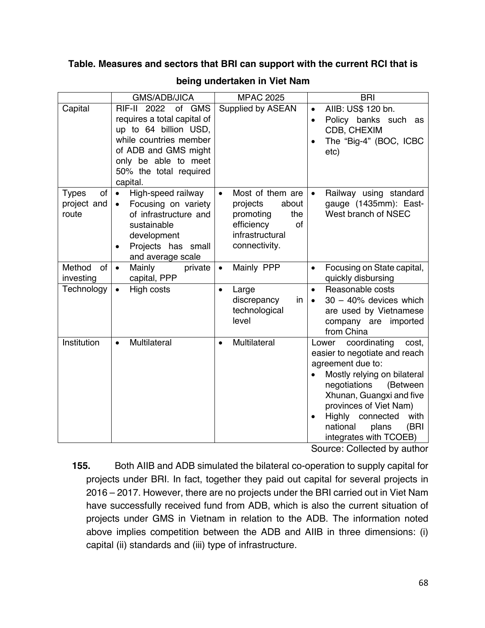#### **Table. Measures and sectors that BRI can support with the current RCI that is**

|                                            | <b>GMS/ADB/JICA</b>                                                                                                                                                                           | <b>MPAC 2025</b>                                                                                                               | <b>BRI</b>                                                                                                                                                                                                                                                                                            |
|--------------------------------------------|-----------------------------------------------------------------------------------------------------------------------------------------------------------------------------------------------|--------------------------------------------------------------------------------------------------------------------------------|-------------------------------------------------------------------------------------------------------------------------------------------------------------------------------------------------------------------------------------------------------------------------------------------------------|
| Capital                                    | RIF-II 2022<br>of GMS<br>requires a total capital of<br>up to 64 billion USD,<br>while countries member<br>of ADB and GMS might<br>only be able to meet<br>50% the total required<br>capital. | Supplied by ASEAN                                                                                                              | AIIB: US\$ 120 bn.<br>$\bullet$<br>Policy banks such as<br>$\bullet$<br>CDB, CHEXIM<br>The "Big-4" (BOC, ICBC<br>etc)                                                                                                                                                                                 |
| of<br><b>Types</b><br>project and<br>route | High-speed railway<br>$\bullet$<br>Focusing on variety<br>$\bullet$<br>of infrastructure and<br>sustainable<br>development<br>Projects has small<br>$\bullet$<br>and average scale            | Most of them are<br>$\bullet$<br>projects<br>about<br>promoting<br>the<br>efficiency<br>οf<br>infrastructural<br>connectivity. | Railway using standard<br>gauge (1435mm): East-<br>West branch of NSEC                                                                                                                                                                                                                                |
| Method<br><b>of</b><br>investing           | Mainly<br>$\bullet$<br>private<br>capital, PPP                                                                                                                                                | Mainly PPP<br>$\bullet$                                                                                                        | Focusing on State capital,<br>$\bullet$<br>quickly disbursing                                                                                                                                                                                                                                         |
| Technology                                 | High costs<br>$\bullet$                                                                                                                                                                       | Large<br>$\bullet$<br>discrepancy<br>in<br>technological<br>level                                                              | Reasonable costs<br>$\bullet$<br>$30 - 40\%$ devices which<br>$\bullet$<br>are used by Vietnamese<br>company are imported<br>from China                                                                                                                                                               |
| Institution                                | Multilateral<br>$\bullet$                                                                                                                                                                     | Multilateral<br>$\bullet$                                                                                                      | coordinating<br>Lower<br>cost,<br>easier to negotiate and reach<br>agreement due to:<br>Mostly relying on bilateral<br>negotiations<br>(Between<br>Xhunan, Guangxi and five<br>provinces of Viet Nam)<br>Highly connected<br>with<br>$\bullet$<br>national<br>(BRI<br>plans<br>integrates with TCOEB) |

#### **being undertaken in Viet Nam**

Source: Collected by author

**155.** Both AIIB and ADB simulated the bilateral co-operation to supply capital for projects under BRI. In fact, together they paid out capital for several projects in 2016 – 2017. However, there are no projects under the BRI carried out in Viet Nam have successfully received fund from ADB, which is also the current situation of projects under GMS in Vietnam in relation to the ADB. The information noted above implies competition between the ADB and AIIB in three dimensions: (i) capital (ii) standards and (iii) type of infrastructure.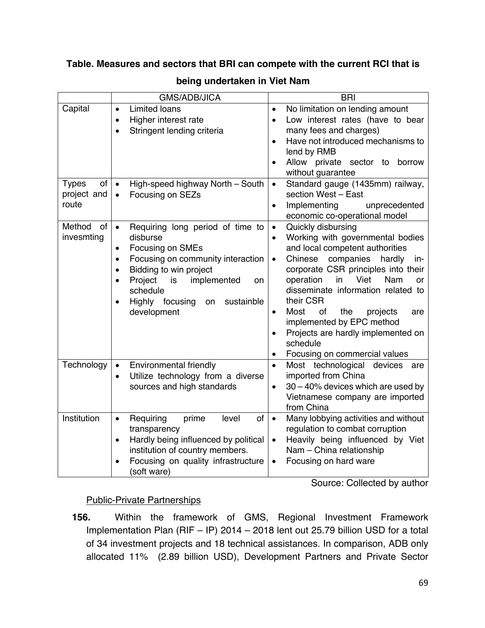#### **Table. Measures and sectors that BRI can compete with the current RCI that is**

|                     | <b>GMS/ADB/JICA</b>                                            | <b>BRI</b>                                               |  |  |
|---------------------|----------------------------------------------------------------|----------------------------------------------------------|--|--|
| Capital             | <b>Limited loans</b><br>$\bullet$                              | No limitation on lending amount<br>$\bullet$             |  |  |
|                     | Higher interest rate<br>$\bullet$                              | Low interest rates (have to bear<br>$\bullet$            |  |  |
|                     | Stringent lending criteria<br>$\bullet$                        | many fees and charges)                                   |  |  |
|                     |                                                                | Have not introduced mechanisms to<br>$\bullet$           |  |  |
|                     |                                                                | lend by RMB                                              |  |  |
|                     |                                                                | Allow private sector to<br>borrow<br>$\bullet$           |  |  |
|                     |                                                                | without guarantee                                        |  |  |
| of<br><b>Types</b>  | High-speed highway North - South<br>$\bullet$                  | Standard gauge (1435mm) railway,<br>$\bullet$            |  |  |
| project and         | Focusing on SEZs<br>$\bullet$                                  | section West - East                                      |  |  |
| route               |                                                                | Implementing<br>unprecedented<br>$\bullet$               |  |  |
|                     |                                                                | economic co-operational model                            |  |  |
| Method<br><b>of</b> | Requiring long period of time to<br>$\bullet$                  | Quickly disbursing<br>$\bullet$                          |  |  |
| invesmting          | disburse                                                       | Working with governmental bodies<br>$\bullet$            |  |  |
|                     | Focusing on SMEs<br>$\bullet$                                  | and local competent authorities                          |  |  |
|                     | Focusing on community interaction<br>$\bullet$                 | companies<br>Chinese<br>hardly<br>in-<br>$\bullet$       |  |  |
|                     | Bidding to win project<br>$\bullet$                            | corporate CSR principles into their                      |  |  |
|                     | Project<br>implemented<br>is<br>on<br>$\bullet$                | operation<br>Nam<br>in<br>Viet<br><b>or</b>              |  |  |
|                     | schedule                                                       | disseminate information related to                       |  |  |
|                     | Highly focusing<br>sustainble<br>on<br>$\bullet$               | their CSR                                                |  |  |
|                     | development                                                    | of<br>the<br><b>Most</b><br>projects<br>are<br>$\bullet$ |  |  |
|                     |                                                                | implemented by EPC method                                |  |  |
|                     |                                                                | Projects are hardly implemented on                       |  |  |
|                     |                                                                | schedule                                                 |  |  |
|                     |                                                                | Focusing on commercial values<br>$\bullet$               |  |  |
| Technology          | Environmental friendly<br>$\bullet$                            | Most technological<br>devices<br>$\bullet$<br>are        |  |  |
|                     | Utilize technology from a diverse<br>$\bullet$                 | imported from China                                      |  |  |
|                     | sources and high standards                                     | $30 - 40\%$ devices which are used by<br>$\bullet$       |  |  |
|                     |                                                                | Vietnamese company are imported                          |  |  |
|                     |                                                                | from China                                               |  |  |
| Institution         | Requiring<br>prime<br>level<br>of<br>$\bullet$                 | Many lobbying activities and without<br>$\bullet$        |  |  |
|                     | transparency                                                   | regulation to combat corruption                          |  |  |
|                     | Hardly being influenced by political<br>$\bullet$              | Heavily being influenced by Viet<br>$\bullet$            |  |  |
|                     | institution of country members.                                | Nam - China relationship                                 |  |  |
|                     | Focusing on quality infrastructure<br>$\bullet$<br>(soft ware) | Focusing on hard ware<br>$\bullet$                       |  |  |

#### **being undertaken in Viet Nam**

Source: Collected by author

#### Public-Private Partnerships

**156.** Within the framework of GMS, Regional Investment Framework Implementation Plan (RIF – IP) 2014 – 2018 lent out 25.79 billion USD for a total of 34 investment projects and 18 technical assistances. In comparison, ADB only allocated 11% (2.89 billion USD), Development Partners and Private Sector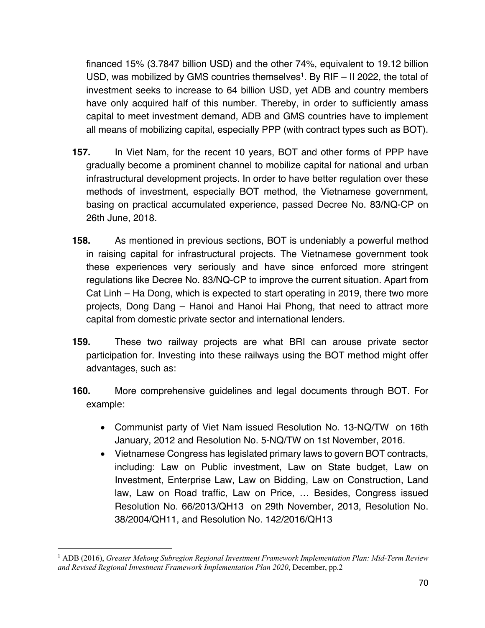financed 15% (3.7847 billion USD) and the other 74%, equivalent to 19.12 billion USD, was mobilized by GMS countries themselves<sup>1</sup>. By RIF  $-$  II 2022, the total of investment seeks to increase to 64 billion USD, yet ADB and country members have only acquired half of this number. Thereby, in order to sufficiently amass capital to meet investment demand, ADB and GMS countries have to implement all means of mobilizing capital, especially PPP (with contract types such as BOT).

- **157.** In Viet Nam, for the recent 10 years, BOT and other forms of PPP have gradually become a prominent channel to mobilize capital for national and urban infrastructural development projects. In order to have better regulation over these methods of investment, especially BOT method, the Vietnamese government, basing on practical accumulated experience, passed Decree No. 83/NQ-CP on 26th June, 2018.
- **158.** As mentioned in previous sections, BOT is undeniably a powerful method in raising capital for infrastructural projects. The Vietnamese government took these experiences very seriously and have since enforced more stringent regulations like Decree No. 83/NQ-CP to improve the current situation. Apart from Cat Linh – Ha Dong, which is expected to start operating in 2019, there two more projects, Dong Dang – Hanoi and Hanoi Hai Phong, that need to attract more capital from domestic private sector and international lenders.
- **159.** These two railway projects are what BRI can arouse private sector participation for. Investing into these railways using the BOT method might offer advantages, such as:
- **160.** More comprehensive guidelines and legal documents through BOT. For example:
	- Communist party of Viet Nam issued Resolution No. 13-NQ/TW on 16th January, 2012 and Resolution No. 5-NQ/TW on 1st November, 2016.
	- Vietnamese Congress has legislated primary laws to govern BOT contracts, including: Law on Public investment, Law on State budget, Law on Investment, Enterprise Law, Law on Bidding, Law on Construction, Land law, Law on Road traffic, Law on Price, … Besides, Congress issued Resolution No. 66/2013/QH13 on 29th November, 2013, Resolution No. 38/2004/QH11, and Resolution No. 142/2016/QH13

<sup>1</sup> ADB (2016), *Greater Mekong Subregion Regional Investment Framework Implementation Plan: Mid-Term Review and Revised Regional Investment Framework Implementation Plan 2020*, December, pp.2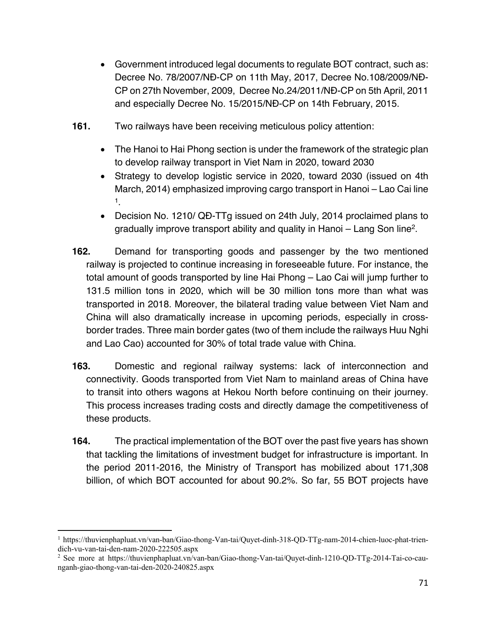- Government introduced legal documents to regulate BOT contract, such as: Decree No. 78/2007/NĐ-CP on 11th May, 2017, Decree No.108/2009/NĐ-CP on 27th November, 2009, Decree No.24/2011/NĐ-CP on 5th April, 2011 and especially Decree No. 15/2015/NĐ-CP on 14th February, 2015.
- **161.** Two railways have been receiving meticulous policy attention:
	- The Hanoi to Hai Phong section is under the framework of the strategic plan to develop railway transport in Viet Nam in 2020, toward 2030
	- Strategy to develop logistic service in 2020, toward 2030 (issued on 4th March, 2014) emphasized improving cargo transport in Hanoi – Lao Cai line 1.
	- Decision No. 1210/ QĐ-TTg issued on 24th July, 2014 proclaimed plans to gradually improve transport ability and quality in Hanoi – Lang Son line2.
- **162.** Demand for transporting goods and passenger by the two mentioned railway is projected to continue increasing in foreseeable future. For instance, the total amount of goods transported by line Hai Phong – Lao Cai will jump further to 131.5 million tons in 2020, which will be 30 million tons more than what was transported in 2018. Moreover, the bilateral trading value between Viet Nam and China will also dramatically increase in upcoming periods, especially in crossborder trades. Three main border gates (two of them include the railways Huu Nghi and Lao Cao) accounted for 30% of total trade value with China.
- **163.** Domestic and regional railway systems: lack of interconnection and connectivity. Goods transported from Viet Nam to mainland areas of China have to transit into others wagons at Hekou North before continuing on their journey. This process increases trading costs and directly damage the competitiveness of these products.
- **164.** The practical implementation of the BOT over the past five years has shown that tackling the limitations of investment budget for infrastructure is important. In the period 2011-2016, the Ministry of Transport has mobilized about 171,308 billion, of which BOT accounted for about 90.2%. So far, 55 BOT projects have

<sup>1</sup> https://thuvienphapluat.vn/van-ban/Giao-thong-Van-tai/Quyet-dinh-318-QD-TTg-nam-2014-chien-luoc-phat-triendich-vu-van-tai-den-nam-2020-222505.aspx

<sup>&</sup>lt;sup>2</sup> See more at https://thuvienphapluat.vn/van-ban/Giao-thong-Van-tai/Quyet-dinh-1210-QD-TTg-2014-Tai-co-caunganh-giao-thong-van-tai-den-2020-240825.aspx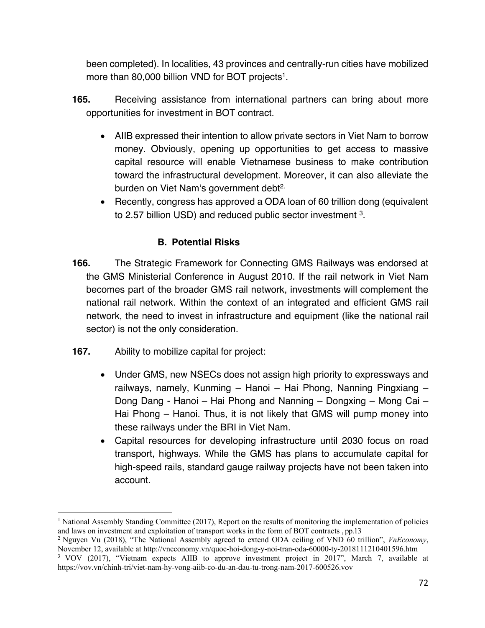been completed). In localities, 43 provinces and centrally-run cities have mobilized more than 80,000 billion VND for BOT projects<sup>1</sup>.

- **165.** Receiving assistance from international partners can bring about more opportunities for investment in BOT contract.
	- AIIB expressed their intention to allow private sectors in Viet Nam to borrow money. Obviously, opening up opportunities to get access to massive capital resource will enable Vietnamese business to make contribution toward the infrastructural development. Moreover, it can also alleviate the burden on Viet Nam's government debt<sup>2.</sup>
	- Recently, congress has approved a ODA loan of 60 trillion dong (equivalent to 2.57 billion USD) and reduced public sector investment 3.

# **B. Potential Risks**

- **166.** The Strategic Framework for Connecting GMS Railways was endorsed at the GMS Ministerial Conference in August 2010. If the rail network in Viet Nam becomes part of the broader GMS rail network, investments will complement the national rail network. Within the context of an integrated and efficient GMS rail network, the need to invest in infrastructure and equipment (like the national rail sector) is not the only consideration.
- **167.** Ability to mobilize capital for project:
	- Under GMS, new NSECs does not assign high priority to expressways and railways, namely, Kunming – Hanoi – Hai Phong, Nanning Pingxiang – Dong Dang - Hanoi – Hai Phong and Nanning – Dongxing – Mong Cai – Hai Phong – Hanoi. Thus, it is not likely that GMS will pump money into these railways under the BRI in Viet Nam.
	- Capital resources for developing infrastructure until 2030 focus on road transport, highways. While the GMS has plans to accumulate capital for high-speed rails, standard gauge railway projects have not been taken into account.

<sup>&</sup>lt;sup>1</sup> National Assembly Standing Committee (2017), Report on the results of monitoring the implementation of policies and laws on investment and exploitation of transport works in the form of BOT contracts , pp.13

<sup>2</sup> Nguyen Vu (2018), "The National Assembly agreed to extend ODA ceiling of VND 60 trillion", *VnEconomy*, November 12, available at http://vneconomy.vn/quoc-hoi-dong-y-noi-tran-oda-60000-ty-2018111210401596.htm

<sup>&</sup>lt;sup>3</sup> VOV (2017), "Vietnam expects AIIB to approve investment project in 2017", March 7, available at https://vov.vn/chinh-tri/viet-nam-hy-vong-aiib-co-du-an-dau-tu-trong-nam-2017-600526.vov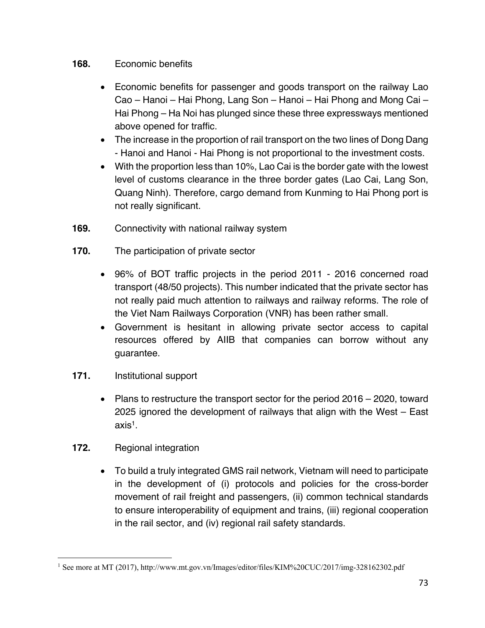#### **168.** Economic benefits

- Economic benefits for passenger and goods transport on the railway Lao Cao – Hanoi – Hai Phong, Lang Son – Hanoi – Hai Phong and Mong Cai – Hai Phong – Ha Noi has plunged since these three expressways mentioned above opened for traffic.
- The increase in the proportion of rail transport on the two lines of Dong Dang - Hanoi and Hanoi - Hai Phong is not proportional to the investment costs.
- With the proportion less than 10%, Lao Cai is the border gate with the lowest level of customs clearance in the three border gates (Lao Cai, Lang Son, Quang Ninh). Therefore, cargo demand from Kunming to Hai Phong port is not really significant.
- **169.** Connectivity with national railway system
- **170.** The participation of private sector
	- 96% of BOT traffic projects in the period 2011 2016 concerned road transport (48/50 projects). This number indicated that the private sector has not really paid much attention to railways and railway reforms. The role of the Viet Nam Railways Corporation (VNR) has been rather small.
	- Government is hesitant in allowing private sector access to capital resources offered by AIIB that companies can borrow without any guarantee.
- **171.** Institutional support
	- Plans to restructure the transport sector for the period 2016 2020, toward 2025 ignored the development of railways that align with the West – East axis1.
- **172.** Regional integration
	- To build a truly integrated GMS rail network, Vietnam will need to participate in the development of (i) protocols and policies for the cross-border movement of rail freight and passengers, (ii) common technical standards to ensure interoperability of equipment and trains, (iii) regional cooperation in the rail sector, and (iv) regional rail safety standards.

<sup>1</sup> See more at MT (2017), http://www.mt.gov.vn/Images/editor/files/KIM%20CUC/2017/img-328162302.pdf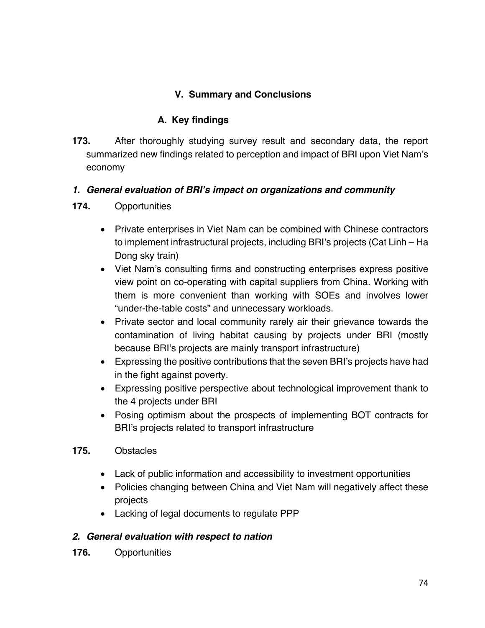# **V. Summary and Conclusions**

## **A. Key findings**

**173.** After thoroughly studying survey result and secondary data, the report summarized new findings related to perception and impact of BRI upon Viet Nam's economy

#### *1. General evaluation of BRI's impact on organizations and community*

- **174.** Opportunities
	- Private enterprises in Viet Nam can be combined with Chinese contractors to implement infrastructural projects, including BRI's projects (Cat Linh – Ha Dong sky train)
	- Viet Nam's consulting firms and constructing enterprises express positive view point on co-operating with capital suppliers from China. Working with them is more convenient than working with SOEs and involves lower "under-the-table costs" and unnecessary workloads.
	- Private sector and local community rarely air their grievance towards the contamination of living habitat causing by projects under BRI (mostly because BRI's projects are mainly transport infrastructure)
	- Expressing the positive contributions that the seven BRI's projects have had in the fight against poverty.
	- Expressing positive perspective about technological improvement thank to the 4 projects under BRI
	- Posing optimism about the prospects of implementing BOT contracts for BRI's projects related to transport infrastructure
- **175.** Obstacles
	- Lack of public information and accessibility to investment opportunities
	- Policies changing between China and Viet Nam will negatively affect these projects
	- Lacking of legal documents to regulate PPP

#### *2. General evaluation with respect to nation*

**176.** Opportunities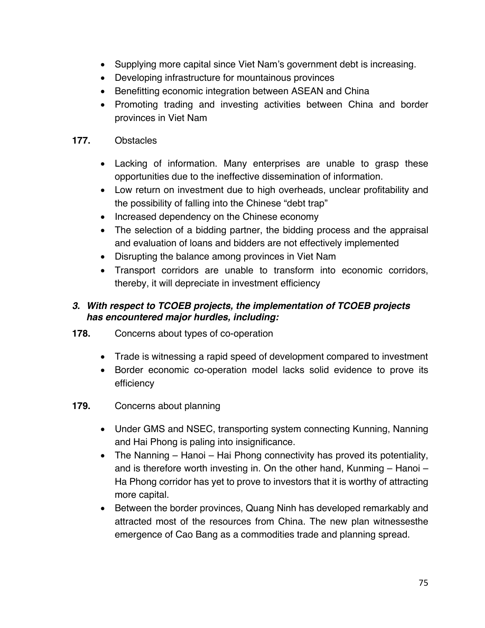- Supplying more capital since Viet Nam's government debt is increasing.
- Developing infrastructure for mountainous provinces
- Benefitting economic integration between ASEAN and China
- Promoting trading and investing activities between China and border provinces in Viet Nam

#### **177.** Obstacles

- Lacking of information. Many enterprises are unable to grasp these opportunities due to the ineffective dissemination of information.
- Low return on investment due to high overheads, unclear profitability and the possibility of falling into the Chinese "debt trap"
- Increased dependency on the Chinese economy
- The selection of a bidding partner, the bidding process and the appraisal and evaluation of loans and bidders are not effectively implemented
- Disrupting the balance among provinces in Viet Nam
- Transport corridors are unable to transform into economic corridors, thereby, it will depreciate in investment efficiency

### *3. With respect to TCOEB projects, the implementation of TCOEB projects has encountered major hurdles, including:*

- **178.** Concerns about types of co-operation
	- Trade is witnessing a rapid speed of development compared to investment
	- Border economic co-operation model lacks solid evidence to prove its efficiency
- **179.** Concerns about planning
	- Under GMS and NSEC, transporting system connecting Kunning, Nanning and Hai Phong is paling into insignificance.
	- The Nanning Hanoi Hai Phong connectivity has proved its potentiality, and is therefore worth investing in. On the other hand, Kunming – Hanoi – Ha Phong corridor has yet to prove to investors that it is worthy of attracting more capital.
	- Between the border provinces, Quang Ninh has developed remarkably and attracted most of the resources from China. The new plan witnessesthe emergence of Cao Bang as a commodities trade and planning spread.